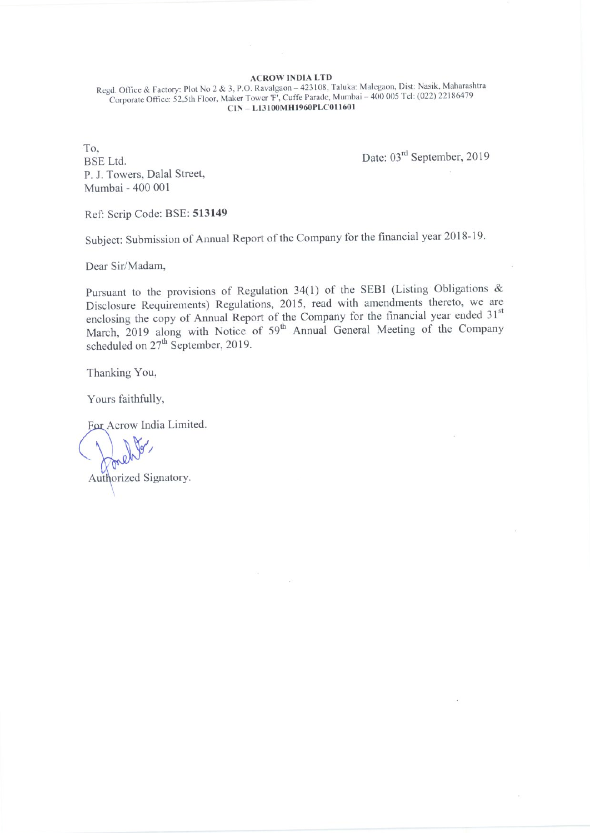**ACROW INDIA LTD** 

Regd. Office & Factory: Plot No 2 & 3, P.O. Ravalgaon - 423108, Taluka: Malegaon, Dist: Nasik, Maharashtra Corporate Office: 52,5th Floor, Maker Tower 'F', Cuffe Parade, Mumbai – 400 005 Tel: (022) 22186479 CIN-L13100MH1960PLC011601

To. **BSE Ltd.** P. J. Towers, Dalal Street, Mumbai - 400 001

Date: 03rd September, 2019

Ref: Scrip Code: BSE: 513149

Subject: Submission of Annual Report of the Company for the financial year 2018-19.

Dear Sir/Madam,

Pursuant to the provisions of Regulation 34(1) of the SEBI (Listing Obligations & Disclosure Requirements) Regulations, 2015, read with amendments thereto, we are enclosing the copy of Annual Report of the Company for the financial year ended 31<sup>st</sup><br>March, 2019 along with Notice of 59<sup>th</sup> Annual General Meeting of the Company scheduled on  $27<sup>th</sup>$  September, 2019.

Thanking You,

Yours faithfully,

For Acrow India Limited.

Authorized Signatory.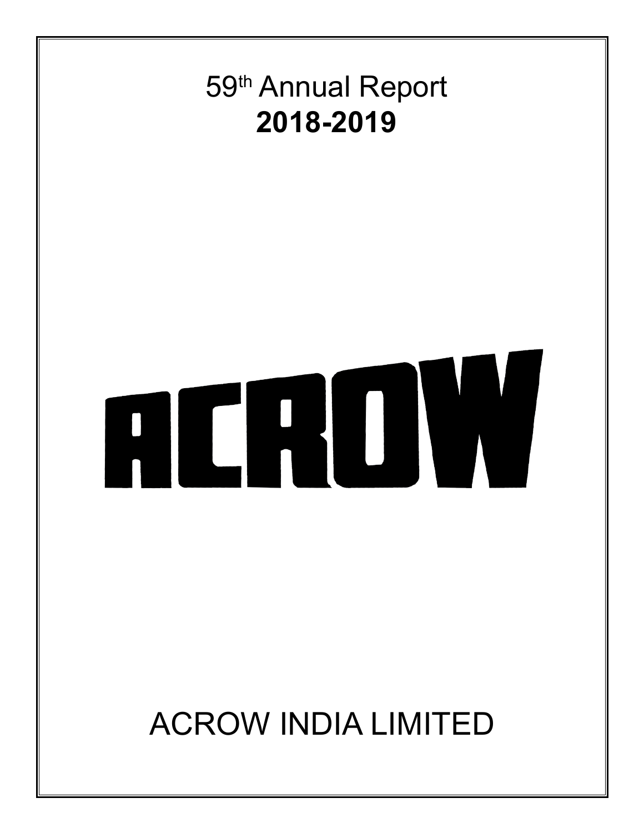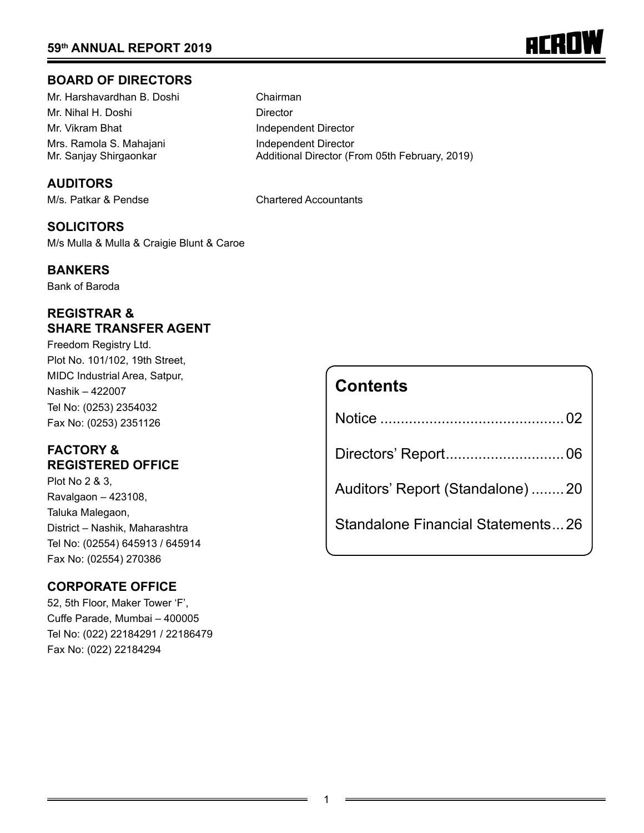#### **BOARD OF DIRECTORS**

Mr. Harshavardhan B. Doshi Chairman Mr. Nihal H. Doshi Director Mr. Vikram Bhat **Independent Director** Mrs. Ramola S. Mahajani **Independent Director** 

#### **AUDITORS**

Mr. Sanjay Shirgaonkar **Additional Director (From 05th February, 2019)** 

M/s. Patkar & Pendse Chartered Accountants

#### **SOLICITORS**

M/s Mulla & Mulla & Craigie Blunt & Caroe

#### **BANKERS**

Bank of Baroda

#### **REGISTRAR & SHARE TRANSFER AGENT**

Freedom Registry Ltd. Plot No. 101/102, 19th Street, MIDC Industrial Area, Satpur, Nashik – 422007 Tel No: (0253) 2354032 Fax No: (0253) 2351126

#### **FACTORY & REGISTERED OFFICE**

Plot No 2 & 3, Ravalgaon – 423108, Taluka Malegaon, District – Nashik, Maharashtra Tel No: (02554) 645913 / 645914 Fax No: (02554) 270386

#### **CORPORATE OFFICE**

52, 5th Floor, Maker Tower 'F', Cuffe Parade, Mumbai – 400005 Tel No: (022) 22184291 / 22186479 Fax No: (022) 22184294

| 02                                |
|-----------------------------------|
|                                   |
| Auditors' Report (Standalone) 20  |
| Standalone Financial Statements26 |
|                                   |

# ACRO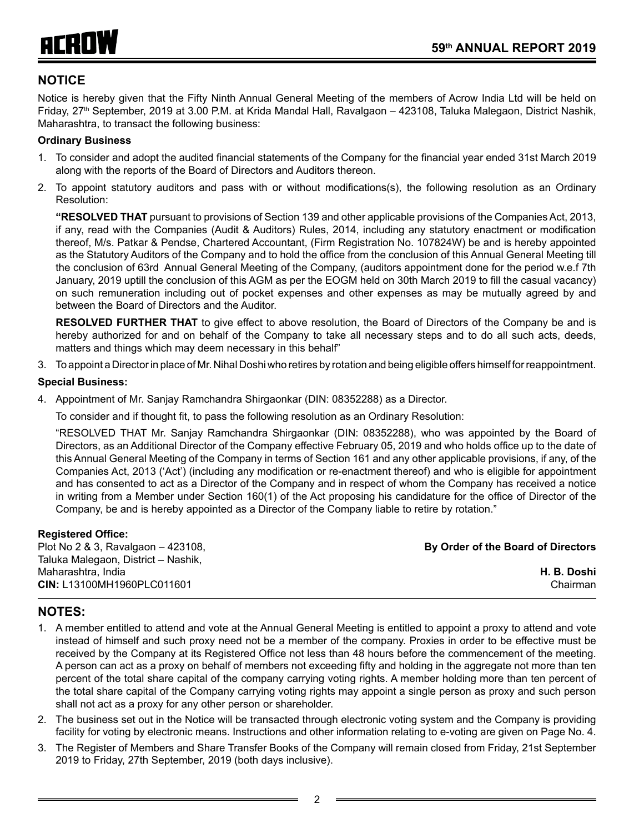

#### **NOTICE**

Notice is hereby given that the Fifty Ninth Annual General Meeting of the members of Acrow India Ltd will be held on Friday, 27th September, 2019 at 3.00 P.M. at Krida Mandal Hall, Ravalgaon – 423108, Taluka Malegaon, District Nashik, Maharashtra, to transact the following business:

#### **Ordinary Business**

- 1. To consider and adopt the audited financial statements of the Company for the financial year ended 31st March 2019 along with the reports of the Board of Directors and Auditors thereon.
- 2. To appoint statutory auditors and pass with or without modifications(s), the following resolution as an Ordinary Resolution:

**"RESOLVED THAT** pursuant to provisions of Section 139 and other applicable provisions of the Companies Act, 2013, if any, read with the Companies (Audit & Auditors) Rules, 2014, including any statutory enactment or modification thereof, M/s. Patkar & Pendse, Chartered Accountant, (Firm Registration No. 107824W) be and is hereby appointed as the Statutory Auditors of the Company and to hold the office from the conclusion of this Annual General Meeting till the conclusion of 63rd Annual General Meeting of the Company, (auditors appointment done for the period w.e.f 7th January, 2019 uptill the conclusion of this AGM as per the EOGM held on 30th March 2019 to fill the casual vacancy) on such remuneration including out of pocket expenses and other expenses as may be mutually agreed by and between the Board of Directors and the Auditor.

**RESOLVED FURTHER THAT** to give effect to above resolution, the Board of Directors of the Company be and is hereby authorized for and on behalf of the Company to take all necessary steps and to do all such acts, deeds, matters and things which may deem necessary in this behalf"

3. To appoint a Director in place of Mr. Nihal Doshi who retires by rotation and being eligible offers himself for reappointment.

#### **Special Business:**

4. Appointment of Mr. Sanjay Ramchandra Shirgaonkar (DIN: 08352288) as a Director.

To consider and if thought fit, to pass the following resolution as an Ordinary Resolution:

"RESOLVED THAT Mr. Sanjay Ramchandra Shirgaonkar (DIN: 08352288), who was appointed by the Board of Directors, as an Additional Director of the Company effective February 05, 2019 and who holds office up to the date of this Annual General Meeting of the Company in terms of Section 161 and any other applicable provisions, if any, of the Companies Act, 2013 ('Act') (including any modification or re-enactment thereof) and who is eligible for appointment and has consented to act as a Director of the Company and in respect of whom the Company has received a notice in writing from a Member under Section 160(1) of the Act proposing his candidature for the office of Director of the Company, be and is hereby appointed as a Director of the Company liable to retire by rotation."

#### **Registered Office:**

Taluka Malegaon, District – Nashik, Maharashtra, India **H. B. Doshi CIN:** L13100MH1960PLC011601 Chairman

Plot No 2 & 3, Ravalgaon – 423108, **By Order of the Board of Directors**

#### **NOTES:**

- 1. A member entitled to attend and vote at the Annual General Meeting is entitled to appoint a proxy to attend and vote instead of himself and such proxy need not be a member of the company. Proxies in order to be effective must be received by the Company at its Registered Office not less than 48 hours before the commencement of the meeting. A person can act as a proxy on behalf of members not exceeding fifty and holding in the aggregate not more than ten percent of the total share capital of the company carrying voting rights. A member holding more than ten percent of the total share capital of the Company carrying voting rights may appoint a single person as proxy and such person shall not act as a proxy for any other person or shareholder.
- 2. The business set out in the Notice will be transacted through electronic voting system and the Company is providing facility for voting by electronic means. Instructions and other information relating to e-voting are given on Page No. 4.
- 3. The Register of Members and Share Transfer Books of the Company will remain closed from Friday, 21st September 2019 to Friday, 27th September, 2019 (both days inclusive).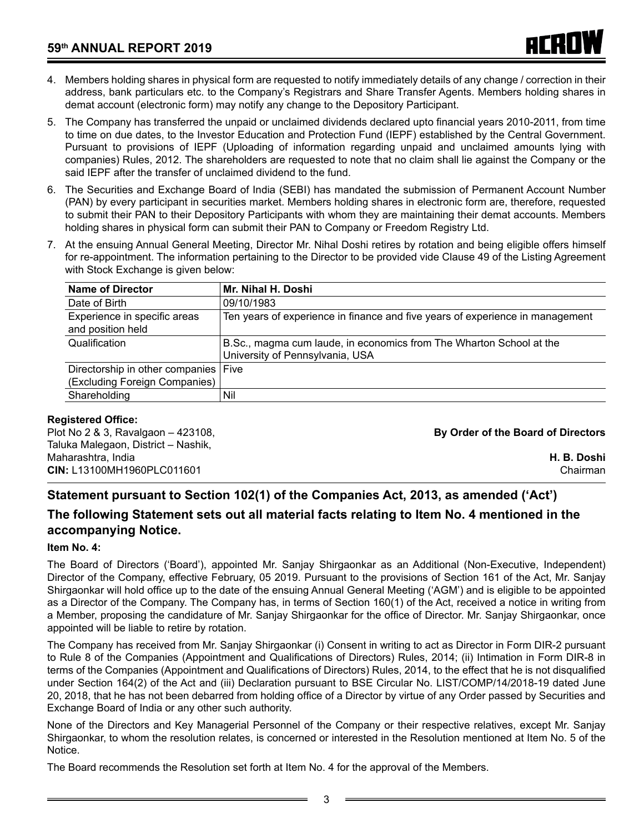- 4. Members holding shares in physical form are requested to notify immediately details of any change / correction in their address, bank particulars etc. to the Company's Registrars and Share Transfer Agents. Members holding shares in demat account (electronic form) may notify any change to the Depository Participant.
- 5. The Company has transferred the unpaid or unclaimed dividends declared upto financial years 2010-2011, from time to time on due dates, to the Investor Education and Protection Fund (IEPF) established by the Central Government. Pursuant to provisions of IEPF (Uploading of information regarding unpaid and unclaimed amounts lying with companies) Rules, 2012. The shareholders are requested to note that no claim shall lie against the Company or the said IEPF after the transfer of unclaimed dividend to the fund.
- 6. The Securities and Exchange Board of India (SEBI) has mandated the submission of Permanent Account Number (PAN) by every participant in securities market. Members holding shares in electronic form are, therefore, requested to submit their PAN to their Depository Participants with whom they are maintaining their demat accounts. Members holding shares in physical form can submit their PAN to Company or Freedom Registry Ltd.
- 7. At the ensuing Annual General Meeting, Director Mr. Nihal Doshi retires by rotation and being eligible offers himself for re-appointment. The information pertaining to the Director to be provided vide Clause 49 of the Listing Agreement with Stock Exchange is given below:

| <b>Name of Director</b>                           | Mr. Nihal H. Doshi                                                                                     |
|---------------------------------------------------|--------------------------------------------------------------------------------------------------------|
| Date of Birth                                     | 09/10/1983                                                                                             |
| Experience in specific areas<br>and position held | Ten years of experience in finance and five years of experience in management                          |
| Qualification                                     | B.Sc., magma cum laude, in economics from The Wharton School at the<br>University of Pennsylvania, USA |
| Directorship in other companies   Five            |                                                                                                        |
| (Excluding Foreign Companies)                     |                                                                                                        |
| Shareholding                                      | Nil                                                                                                    |

#### **Registered Office:**

Plot No 2 & 3, Ravalgaon – 423108, **By Order of the Board of Directors** Taluka Malegaon, District – Nashik, Maharashtra, India **H. B. Doshi CIN:** L13100MH1960PLC011601 Chairman

## **Statement pursuant to Section 102(1) of the Companies Act, 2013, as amended ('Act')**

#### **The following Statement sets out all material facts relating to Item No. 4 mentioned in the accompanying Notice.**

#### **Item No. 4:**

The Board of Directors ('Board'), appointed Mr. Sanjay Shirgaonkar as an Additional (Non-Executive, Independent) Director of the Company, effective February, 05 2019. Pursuant to the provisions of Section 161 of the Act, Mr. Sanjay Shirgaonkar will hold office up to the date of the ensuing Annual General Meeting ('AGM') and is eligible to be appointed as a Director of the Company. The Company has, in terms of Section 160(1) of the Act, received a notice in writing from a Member, proposing the candidature of Mr. Sanjay Shirgaonkar for the office of Director. Mr. Sanjay Shirgaonkar, once appointed will be liable to retire by rotation.

The Company has received from Mr. Sanjay Shirgaonkar (i) Consent in writing to act as Director in Form DIR-2 pursuant to Rule 8 of the Companies (Appointment and Qualifications of Directors) Rules, 2014; (ii) Intimation in Form DIR-8 in terms of the Companies (Appointment and Qualifications of Directors) Rules, 2014, to the effect that he is not disqualified under Section 164(2) of the Act and (iii) Declaration pursuant to BSE Circular No. LIST/COMP/14/2018-19 dated June 20, 2018, that he has not been debarred from holding office of a Director by virtue of any Order passed by Securities and Exchange Board of India or any other such authority.

None of the Directors and Key Managerial Personnel of the Company or their respective relatives, except Mr. Sanjay Shirgaonkar, to whom the resolution relates, is concerned or interested in the Resolution mentioned at Item No. 5 of the Notice.

The Board recommends the Resolution set forth at Item No. 4 for the approval of the Members.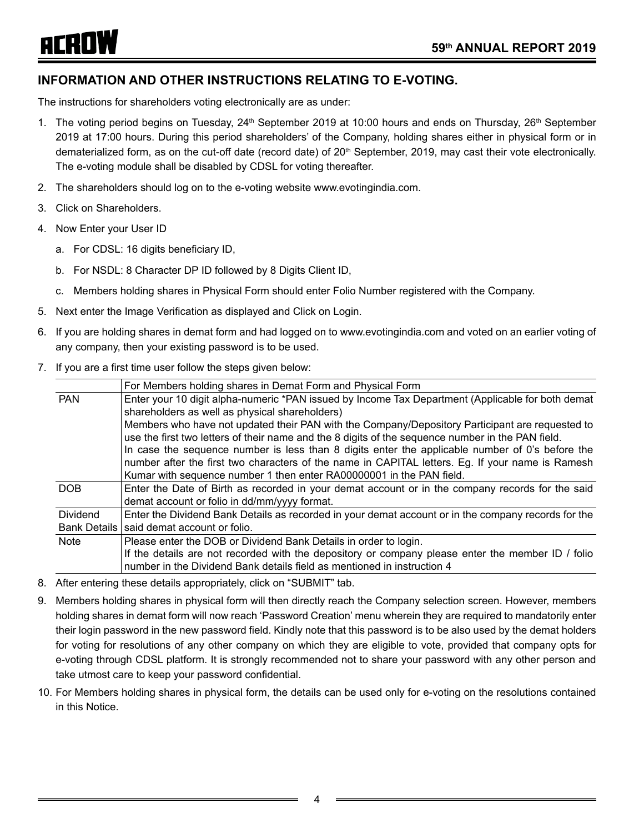## ACAOW

### **INFORMATION AND OTHER INSTRUCTIONS RELATING TO E-VOTING.**

The instructions for shareholders voting electronically are as under:

- 1. The voting period begins on Tuesday,  $24<sup>th</sup>$  September 2019 at 10:00 hours and ends on Thursday,  $26<sup>th</sup>$  September 2019 at 17:00 hours. During this period shareholders' of the Company, holding shares either in physical form or in dematerialized form, as on the cut-off date (record date) of 20<sup>th</sup> September, 2019, may cast their vote electronically. The e-voting module shall be disabled by CDSL for voting thereafter.
- 2. The shareholders should log on to the e-voting website www.evotingindia.com.
- 3. Click on Shareholders.
- 4. Now Enter your User ID
	- a. For CDSL: 16 digits beneficiary ID,
	- b. For NSDL: 8 Character DP ID followed by 8 Digits Client ID,
	- c. Members holding shares in Physical Form should enter Folio Number registered with the Company.
- 5. Next enter the Image Verification as displayed and Click on Login.
- 6. If you are holding shares in demat form and had logged on to www.evotingindia.com and voted on an earlier voting of any company, then your existing password is to be used.
- 7. If you are a first time user follow the steps given below:

|             | For Members holding shares in Demat Form and Physical Form                                          |
|-------------|-----------------------------------------------------------------------------------------------------|
| <b>PAN</b>  | Enter your 10 digit alpha-numeric *PAN issued by Income Tax Department (Applicable for both demat   |
|             | shareholders as well as physical shareholders)                                                      |
|             | Members who have not updated their PAN with the Company/Depository Participant are requested to     |
|             | use the first two letters of their name and the 8 digits of the sequence number in the PAN field.   |
|             | In case the sequence number is less than 8 digits enter the applicable number of 0's before the     |
|             | number after the first two characters of the name in CAPITAL letters. Eg. If your name is Ramesh    |
|             | Kumar with sequence number 1 then enter RA00000001 in the PAN field.                                |
| <b>DOB</b>  | Enter the Date of Birth as recorded in your demat account or in the company records for the said    |
|             | demat account or folio in dd/mm/yyyy format.                                                        |
| Dividend    | Enter the Dividend Bank Details as recorded in your demat account or in the company records for the |
|             | Bank Details   said demat account or folio.                                                         |
| <b>Note</b> | Please enter the DOB or Dividend Bank Details in order to login.                                    |
|             | If the details are not recorded with the depository or company please enter the member ID / folio   |
|             | number in the Dividend Bank details field as mentioned in instruction 4                             |

- 8. After entering these details appropriately, click on "SUBMIT" tab.
- 9. Members holding shares in physical form will then directly reach the Company selection screen. However, members holding shares in demat form will now reach 'Password Creation' menu wherein they are required to mandatorily enter their login password in the new password field. Kindly note that this password is to be also used by the demat holders for voting for resolutions of any other company on which they are eligible to vote, provided that company opts for e-voting through CDSL platform. It is strongly recommended not to share your password with any other person and take utmost care to keep your password confidential.
- 10. For Members holding shares in physical form, the details can be used only for e-voting on the resolutions contained in this Notice.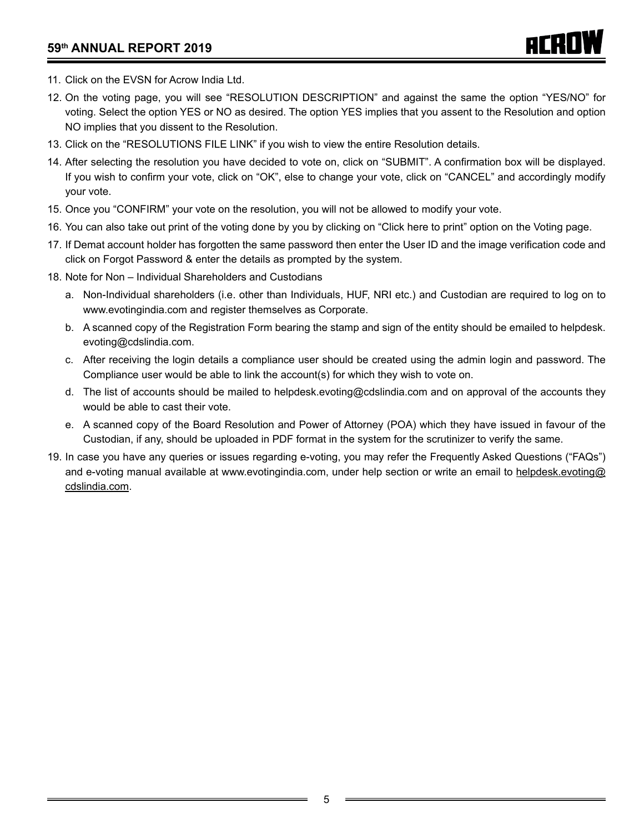- 11. Click on the EVSN for Acrow India Ltd.
- 12. On the voting page, you will see "RESOLUTION DESCRIPTION" and against the same the option "YES/NO" for voting. Select the option YES or NO as desired. The option YES implies that you assent to the Resolution and option NO implies that you dissent to the Resolution.
- 13. Click on the "RESOLUTIONS FILE LINK" if you wish to view the entire Resolution details.
- 14. After selecting the resolution you have decided to vote on, click on "SUBMIT". A confirmation box will be displayed. If you wish to confirm your vote, click on "OK", else to change your vote, click on "CANCEL" and accordingly modify your vote.
- 15. Once you "CONFIRM" your vote on the resolution, you will not be allowed to modify your vote.
- 16. You can also take out print of the voting done by you by clicking on "Click here to print" option on the Voting page.
- 17. If Demat account holder has forgotten the same password then enter the User ID and the image verification code and click on Forgot Password & enter the details as prompted by the system.
- 18. Note for Non Individual Shareholders and Custodians
	- a. Non-Individual shareholders (i.e. other than Individuals, HUF, NRI etc.) and Custodian are required to log on to www.evotingindia.com and register themselves as Corporate.
	- b. A scanned copy of the Registration Form bearing the stamp and sign of the entity should be emailed to helpdesk. evoting@cdslindia.com.
	- c. After receiving the login details a compliance user should be created using the admin login and password. The Compliance user would be able to link the account(s) for which they wish to vote on.
	- d. The list of accounts should be mailed to helpdesk.evoting@cdslindia.com and on approval of the accounts they would be able to cast their vote.
	- e. A scanned copy of the Board Resolution and Power of Attorney (POA) which they have issued in favour of the Custodian, if any, should be uploaded in PDF format in the system for the scrutinizer to verify the same.
- 19. In case you have any queries or issues regarding e-voting, you may refer the Frequently Asked Questions ("FAQs") and e-voting manual available at www.evotingindia.com, under help section or write an email to helpdesk.evoting@ cdslindia.com.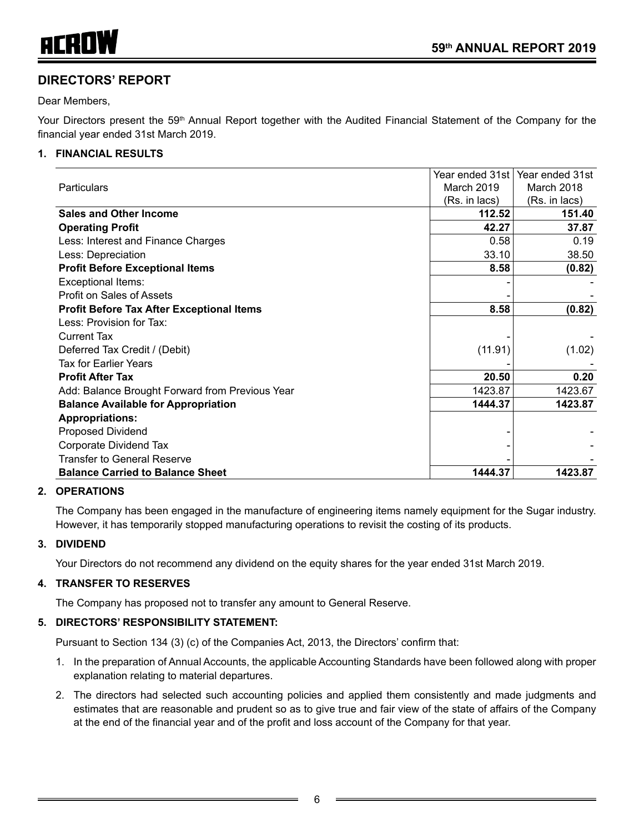

#### **DIRECTORS' REPORT**

Dear Members,

Your Directors present the 59<sup>th</sup> Annual Report together with the Audited Financial Statement of the Company for the financial year ended 31st March 2019.

#### **1. FINANCIAL RESULTS**

|                                                  | Year ended 31st | Year ended 31st |
|--------------------------------------------------|-----------------|-----------------|
| Particulars                                      | March 2019      | March 2018      |
|                                                  | (Rs. in lacs)   | (Rs. in lacs)   |
| <b>Sales and Other Income</b>                    | 112.52          | 151.40          |
| <b>Operating Profit</b>                          | 42.27           | 37.87           |
| Less: Interest and Finance Charges               | 0.58            | 0.19            |
| Less: Depreciation                               | 33.10           | 38.50           |
| <b>Profit Before Exceptional Items</b>           | 8.58            | (0.82)          |
| <b>Exceptional Items:</b>                        |                 |                 |
| Profit on Sales of Assets                        |                 |                 |
| <b>Profit Before Tax After Exceptional Items</b> | 8.58            | (0.82)          |
| Less: Provision for Tax:                         |                 |                 |
| <b>Current Tax</b>                               |                 |                 |
| Deferred Tax Credit / (Debit)                    | (11.91)         | (1.02)          |
| <b>Tax for Earlier Years</b>                     |                 |                 |
| <b>Profit After Tax</b>                          | 20.50           | 0.20            |
| Add: Balance Brought Forward from Previous Year  | 1423.87         | 1423.67         |
| <b>Balance Available for Appropriation</b>       | 1444.37         | 1423.87         |
| <b>Appropriations:</b>                           |                 |                 |
| Proposed Dividend                                |                 |                 |
| Corporate Dividend Tax                           |                 |                 |
| <b>Transfer to General Reserve</b>               |                 |                 |
| <b>Balance Carried to Balance Sheet</b>          | 1444.37         | 1423.87         |

#### **2. OPERATIONS**

The Company has been engaged in the manufacture of engineering items namely equipment for the Sugar industry. However, it has temporarily stopped manufacturing operations to revisit the costing of its products.

#### **3. DIVIDEND**

Your Directors do not recommend any dividend on the equity shares for the year ended 31st March 2019.

#### **4. TRANSFER TO RESERVES**

The Company has proposed not to transfer any amount to General Reserve.

#### **5. DIRECTORS' RESPONSIBILITY STATEMENT:**

Pursuant to Section 134 (3) (c) of the Companies Act, 2013, the Directors' confirm that:

- 1. In the preparation of Annual Accounts, the applicable Accounting Standards have been followed along with proper explanation relating to material departures.
- 2. The directors had selected such accounting policies and applied them consistently and made judgments and estimates that are reasonable and prudent so as to give true and fair view of the state of affairs of the Company at the end of the financial year and of the profit and loss account of the Company for that year.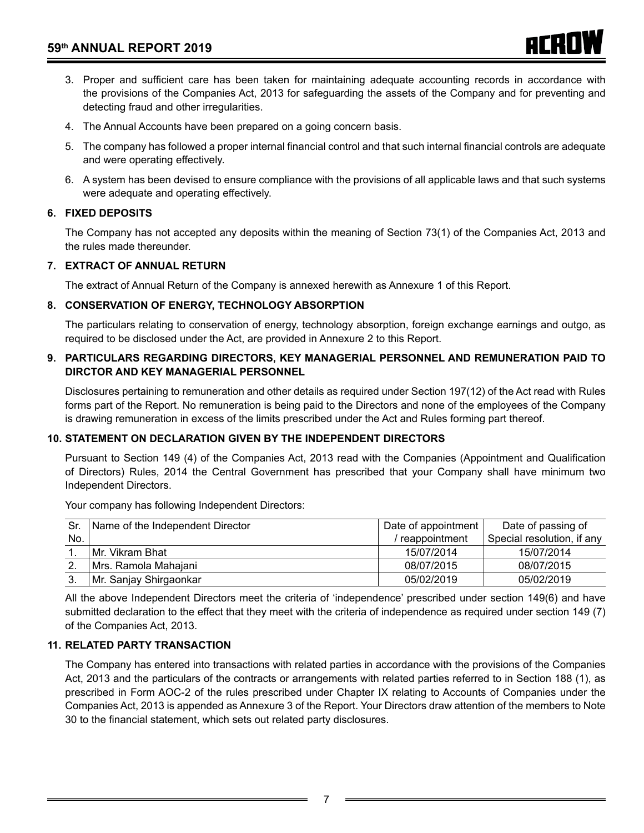- 3. Proper and sufficient care has been taken for maintaining adequate accounting records in accordance with the provisions of the Companies Act, 2013 for safeguarding the assets of the Company and for preventing and detecting fraud and other irregularities.
- 4. The Annual Accounts have been prepared on a going concern basis.
- 5. The company has followed a proper internal financial control and that such internal financial controls are adequate and were operating effectively.
- 6. A system has been devised to ensure compliance with the provisions of all applicable laws and that such systems were adequate and operating effectively.

#### **6. FIXED DEPOSITS**

The Company has not accepted any deposits within the meaning of Section 73(1) of the Companies Act, 2013 and the rules made thereunder.

#### **7. EXTRACT OF ANNUAL RETURN**

The extract of Annual Return of the Company is annexed herewith as Annexure 1 of this Report.

#### **8. CONSERVATION OF ENERGY, TECHNOLOGY ABSORPTION**

The particulars relating to conservation of energy, technology absorption, foreign exchange earnings and outgo, as required to be disclosed under the Act, are provided in Annexure 2 to this Report.

#### **9. PARTICULARS REGARDING DIRECTORS, KEY MANAGERIAL PERSONNEL AND REMUNERATION PAID TO DIRCTOR AND KEY MANAGERIAL PERSONNEL**

Disclosures pertaining to remuneration and other details as required under Section 197(12) of the Act read with Rules forms part of the Report. No remuneration is being paid to the Directors and none of the employees of the Company is drawing remuneration in excess of the limits prescribed under the Act and Rules forming part thereof.

#### **10. STATEMENT ON DECLARATION GIVEN BY THE INDEPENDENT DIRECTORS**

Pursuant to Section 149 (4) of the Companies Act, 2013 read with the Companies (Appointment and Qualification of Directors) Rules, 2014 the Central Government has prescribed that your Company shall have minimum two Independent Directors.

Your company has following Independent Directors:

| Sr. | Name of the Independent Director | Date of appointment | Date of passing of         |
|-----|----------------------------------|---------------------|----------------------------|
| No. |                                  | reappointment       | Special resolution, if any |
|     | l Mr. Vikram Bhat                | 15/07/2014          | 15/07/2014                 |
|     | Mrs. Ramola Mahajani             | 08/07/2015          | 08/07/2015                 |
|     | Mr. Sanjay Shirgaonkar           | 05/02/2019          | 05/02/2019                 |

All the above Independent Directors meet the criteria of 'independence' prescribed under section 149(6) and have submitted declaration to the effect that they meet with the criteria of independence as required under section 149 (7) of the Companies Act, 2013.

#### **11. RELATED PARTY TRANSACTION**

The Company has entered into transactions with related parties in accordance with the provisions of the Companies Act, 2013 and the particulars of the contracts or arrangements with related parties referred to in Section 188 (1), as prescribed in Form AOC-2 of the rules prescribed under Chapter IX relating to Accounts of Companies under the Companies Act, 2013 is appended as Annexure 3 of the Report. Your Directors draw attention of the members to Note 30 to the financial statement, which sets out related party disclosures.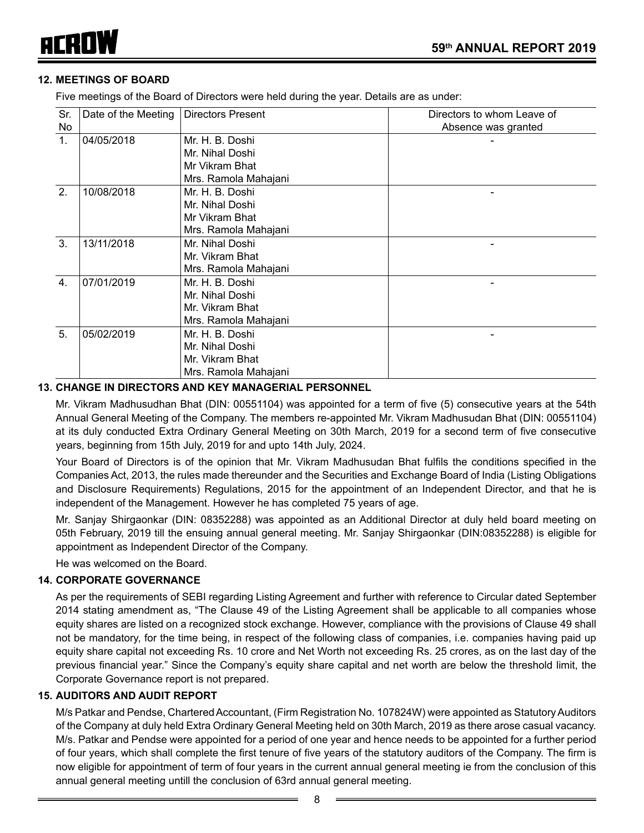#### **12. MEETINGS OF BOARD**

Five meetings of the Board of Directors were held during the year. Details are as under:

| Sr.<br>No      | Date of the Meeting | <b>Directors Present</b> | Directors to whom Leave of<br>Absence was granted |
|----------------|---------------------|--------------------------|---------------------------------------------------|
| 1 <sub>1</sub> | 04/05/2018          | Mr. H. B. Doshi          |                                                   |
|                |                     | Mr. Nihal Doshi          |                                                   |
|                |                     | Mr Vikram Bhat           |                                                   |
|                |                     | Mrs. Ramola Mahajani     |                                                   |
| 2.             | 10/08/2018          | Mr. H. B. Doshi          |                                                   |
|                |                     | Mr. Nihal Doshi          |                                                   |
|                |                     | Mr Vikram Bhat           |                                                   |
|                |                     | Mrs. Ramola Mahajani     |                                                   |
| 3.             | 13/11/2018          | Mr. Nihal Doshi          |                                                   |
|                |                     | Mr. Vikram Bhat          |                                                   |
|                |                     | Mrs. Ramola Mahajani     |                                                   |
| 4.             | 07/01/2019          | Mr. H. B. Doshi          |                                                   |
|                |                     | Mr. Nihal Doshi          |                                                   |
|                |                     | Mr. Vikram Bhat          |                                                   |
|                |                     | Mrs. Ramola Mahajani     |                                                   |
| 5.             | 05/02/2019          | Mr. H. B. Doshi          |                                                   |
|                |                     | Mr. Nihal Doshi          |                                                   |
|                |                     | Mr. Vikram Bhat          |                                                   |
|                |                     | Mrs. Ramola Mahajani     |                                                   |

#### **13. CHANGE IN DIRECTORS AND KEY MANAGERIAL PERSONNEL**

Mr. Vikram Madhusudhan Bhat (DIN: 00551104) was appointed for a term of five (5) consecutive years at the 54th Annual General Meeting of the Company. The members re-appointed Mr. Vikram Madhusudan Bhat (DIN: 00551104) at its duly conducted Extra Ordinary General Meeting on 30th March, 2019 for a second term of five consecutive years, beginning from 15th July, 2019 for and upto 14th July, 2024.

Your Board of Directors is of the opinion that Mr. Vikram Madhusudan Bhat fulfils the conditions specified in the Companies Act, 2013, the rules made thereunder and the Securities and Exchange Board of India (Listing Obligations and Disclosure Requirements) Regulations, 2015 for the appointment of an Independent Director, and that he is independent of the Management. However he has completed 75 years of age.

Mr. Sanjay Shirgaonkar (DIN: 08352288) was appointed as an Additional Director at duly held board meeting on 05th February, 2019 till the ensuing annual general meeting. Mr. Sanjay Shirgaonkar (DIN:08352288) is eligible for appointment as Independent Director of the Company.

He was welcomed on the Board.

#### **14. CORPORATE GOVERNANCE**

As per the requirements of SEBI regarding Listing Agreement and further with reference to Circular dated September 2014 stating amendment as, "The Clause 49 of the Listing Agreement shall be applicable to all companies whose equity shares are listed on a recognized stock exchange. However, compliance with the provisions of Clause 49 shall not be mandatory, for the time being, in respect of the following class of companies, i.e. companies having paid up equity share capital not exceeding Rs. 10 crore and Net Worth not exceeding Rs. 25 crores, as on the last day of the previous financial year." Since the Company's equity share capital and net worth are below the threshold limit, the Corporate Governance report is not prepared.

#### **15. AUDITORS AND AUDIT REPORT**

M/s Patkar and Pendse, Chartered Accountant, (Firm Registration No. 107824W) were appointed as Statutory Auditors of the Company at duly held Extra Ordinary General Meeting held on 30th March, 2019 as there arose casual vacancy. M/s. Patkar and Pendse were appointed for a period of one year and hence needs to be appointed for a further period of four years, which shall complete the first tenure of five years of the statutory auditors of the Company. The firm is now eligible for appointment of term of four years in the current annual general meeting ie from the conclusion of this annual general meeting untill the conclusion of 63rd annual general meeting.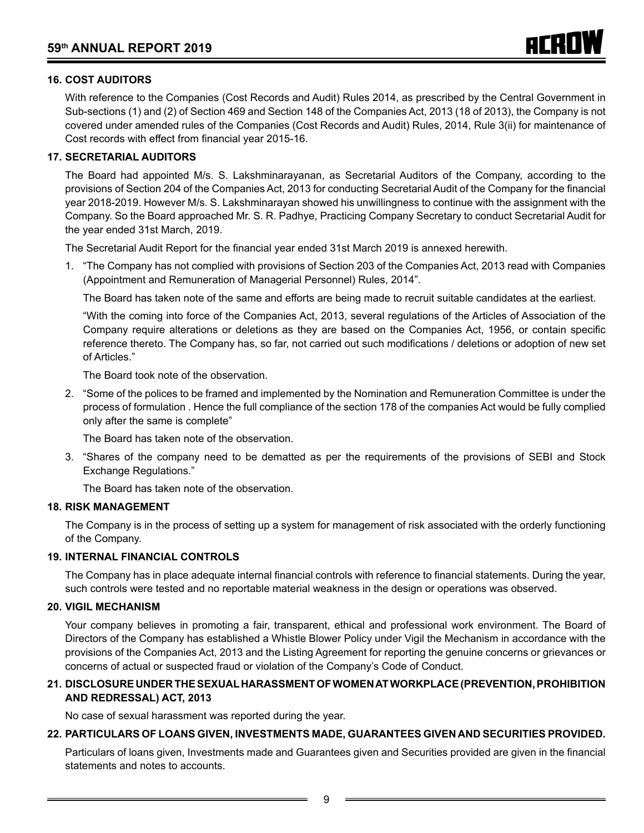#### **16. COST AUDITORS**

With reference to the Companies (Cost Records and Audit) Rules 2014, as prescribed by the Central Government in Sub-sections (1) and (2) of Section 469 and Section 148 of the Companies Act, 2013 (18 of 2013), the Company is not covered under amended rules of the Companies (Cost Records and Audit) Rules, 2014, Rule 3(ii) for maintenance of Cost records with effect from financial year 2015-16.

#### **17. SECRETARIAL AUDITORS**

The Board had appointed M/s. S. Lakshminarayanan, as Secretarial Auditors of the Company, according to the provisions of Section 204 of the Companies Act, 2013 for conducting Secretarial Audit of the Company for the financial year 2018-2019. However M/s. S. Lakshminarayan showed his unwillingness to continue with the assignment with the Company. So the Board approached Mr. S. R. Padhye, Practicing Company Secretary to conduct Secretarial Audit for the year ended 31st March, 2019.

The Secretarial Audit Report for the financial year ended 31st March 2019 is annexed herewith.

1. "The Company has not complied with provisions of Section 203 of the Companies Act, 2013 read with Companies (Appointment and Remuneration of Managerial Personnel) Rules, 2014".

The Board has taken note of the same and efforts are being made to recruit suitable candidates at the earliest.

"With the coming into force of the Companies Act, 2013, several regulations of the Articles of Association of the Company require alterations or deletions as they are based on the Companies Act, 1956, or contain specific reference thereto. The Company has, so far, not carried out such modifications / deletions or adoption of new set of Articles."

The Board took note of the observation.

2. "Some of the polices to be framed and implemented by the Nomination and Remuneration Committee is under the process of formulation . Hence the full compliance of the section 178 of the companies Act would be fully complied only after the same is complete"

The Board has taken note of the observation.

3. "Shares of the company need to be dematted as per the requirements of the provisions of SEBI and Stock Exchange Regulations."

The Board has taken note of the observation.

#### **18. RISK MANAGEMENT**

The Company is in the process of setting up a system for management of risk associated with the orderly functioning of the Company.

#### **19. INTERNAL FINANCIAL CONTROLS**

The Company has in place adequate internal financial controls with reference to financial statements. During the year, such controls were tested and no reportable material weakness in the design or operations was observed.

#### **20. VIGIL MECHANISM**

Your company believes in promoting a fair, transparent, ethical and professional work environment. The Board of Directors of the Company has established a Whistle Blower Policy under Vigil the Mechanism in accordance with the provisions of the Companies Act, 2013 and the Listing Agreement for reporting the genuine concerns or grievances or concerns of actual or suspected fraud or violation of the Company's Code of Conduct.

#### **21. DISCLOSURE UNDER THE SEXUAL HARASSMENT OF WOMEN AT WORKPLACE (PREVENTION, PROHIBITION AND REDRESSAL) ACT, 2013**

No case of sexual harassment was reported during the year.

#### **22. PARTICULARS OF LOANS GIVEN, INVESTMENTS MADE, GUARANTEES GIVEN AND SECURITIES PROVIDED.**

Particulars of loans given, Investments made and Guarantees given and Securities provided are given in the financial statements and notes to accounts.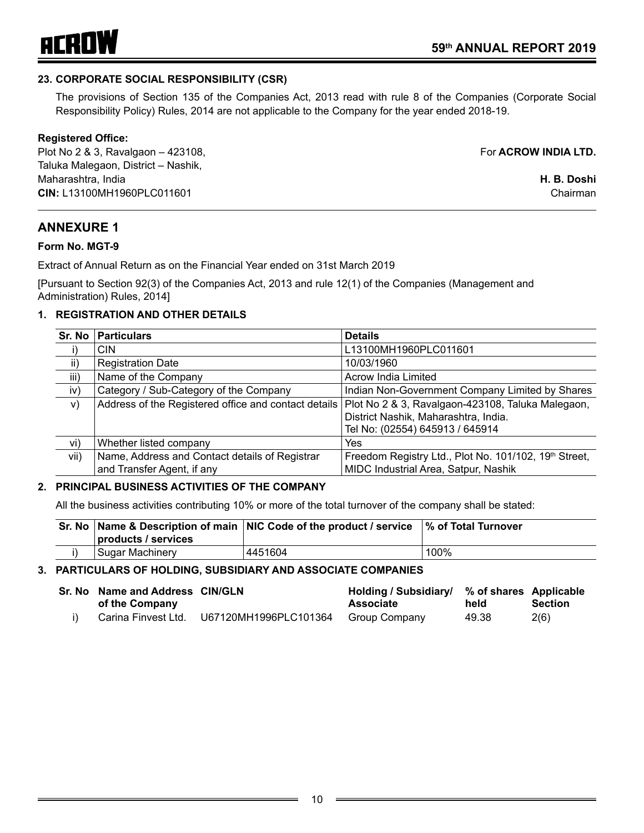

#### **23. CORPORATE SOCIAL RESPONSIBILITY (CSR)**

The provisions of Section 135 of the Companies Act, 2013 read with rule 8 of the Companies (Corporate Social Responsibility Policy) Rules, 2014 are not applicable to the Company for the year ended 2018-19.

#### **Registered Office:**

Plot No 2 & 3, Ravalgaon – 423108, **For ACROW INDIA LTD.** Taluka Malegaon, District – Nashik, Maharashtra, India **H. B. Doshi CIN:** L13100MH1960PLC011601 Chairman

#### **ANNEXURE 1**

#### **Form No. MGT-9**

Extract of Annual Return as on the Financial Year ended on 31st March 2019

[Pursuant to Section 92(3) of the Companies Act, 2013 and rule 12(1) of the Companies (Management and Administration) Rules, 2014]

#### **1. REGISTRATION AND OTHER DETAILS**

| Sr. No | <b>Particulars</b>                                   | <b>Details</b>                                                    |
|--------|------------------------------------------------------|-------------------------------------------------------------------|
| i)     | <b>CIN</b>                                           | L13100MH1960PLC011601                                             |
| ii)    | <b>Registration Date</b>                             | 10/03/1960                                                        |
| iii)   | Name of the Company                                  | Acrow India Limited                                               |
| iv)    | Category / Sub-Category of the Company               | Indian Non-Government Company Limited by Shares                   |
| V)     | Address of the Registered office and contact details | Plot No 2 & 3, Ravalgaon-423108, Taluka Malegaon,                 |
|        |                                                      | District Nashik, Maharashtra, India.                              |
|        |                                                      | Tel No: (02554) 645913 / 645914                                   |
| vi)    | Whether listed company                               | Yes                                                               |
| vii)   | Name, Address and Contact details of Registrar       | Freedom Registry Ltd., Plot No. 101/102, 19 <sup>th</sup> Street, |
|        | and Transfer Agent, if any                           | MIDC Industrial Area, Satpur, Nashik                              |

#### **2. PRINCIPAL BUSINESS ACTIVITIES OF THE COMPANY**

All the business activities contributing 10% or more of the total turnover of the company shall be stated:

| products / services | Sr. No   Name & Description of main   NIC Code of the product / service $\frac{1}{2}$ of Total Turnover |      |
|---------------------|---------------------------------------------------------------------------------------------------------|------|
| Sugar Machinery     | 4451604                                                                                                 | 100% |

#### **3. PARTICULARS OF HOLDING, SUBSIDIARY AND ASSOCIATE COMPANIES**

| Sr. No Name and Address CIN/GLN |                                                         | Holding / Subsidiary/ % of shares Applicable |       |                |
|---------------------------------|---------------------------------------------------------|----------------------------------------------|-------|----------------|
| of the Company                  |                                                         | Associate                                    | held  | <b>Section</b> |
|                                 | Carina Finvest Ltd. U67120MH1996PLC101364 Group Company |                                              | 49.38 | 2(6)           |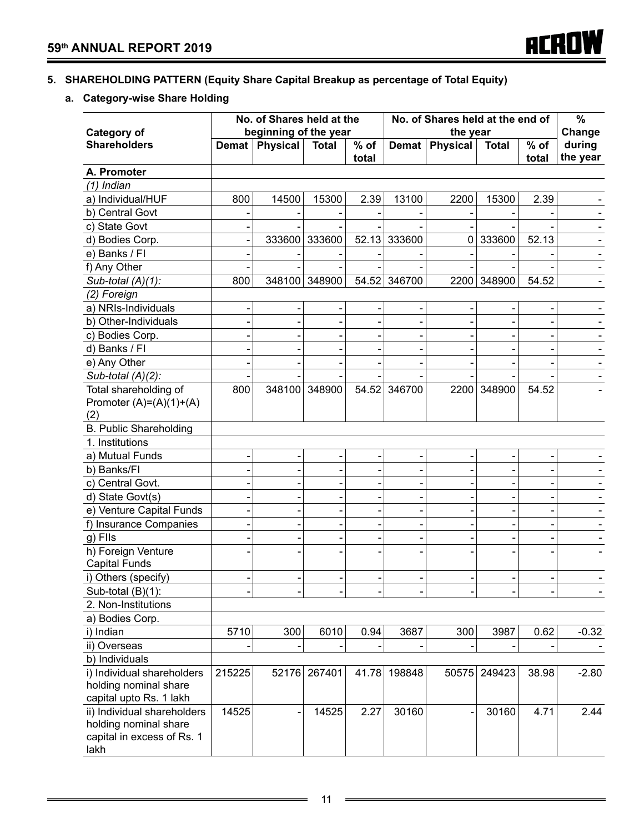#### **5. SHAREHOLDING PATTERN (Equity Share Capital Breakup as percentage of Total Equity)**

#### **a. Category-wise Share Holding**

|                               | No. of Shares held at the |                 |              |                 | No. of Shares held at the end of |                 |              |                 | $\%$               |
|-------------------------------|---------------------------|-----------------|--------------|-----------------|----------------------------------|-----------------|--------------|-----------------|--------------------|
| <b>Category of</b>            | beginning of the year     |                 |              |                 | the year                         |                 |              |                 | Change             |
| <b>Shareholders</b>           | <b>Demat</b>              | <b>Physical</b> | <b>Total</b> | $%$ of<br>total | <b>Demat</b>                     | <b>Physical</b> | <b>Total</b> | $%$ of<br>total | during<br>the year |
| A. Promoter                   |                           |                 |              |                 |                                  |                 |              |                 |                    |
| $(1)$ Indian                  |                           |                 |              |                 |                                  |                 |              |                 |                    |
| a) Individual/HUF             | 800                       | 14500           | 15300        | 2.39            | 13100                            | 2200            | 15300        | 2.39            |                    |
| b) Central Govt               |                           |                 |              |                 |                                  |                 |              |                 |                    |
| c) State Govt                 |                           |                 |              |                 |                                  |                 |              |                 |                    |
| d) Bodies Corp.               |                           | 333600          | 333600       | 52.13           | 333600                           | 0               | 333600       | 52.13           |                    |
| e) Banks / Fl                 |                           |                 |              |                 |                                  |                 |              |                 |                    |
| f) Any Other                  |                           |                 |              |                 |                                  |                 |              |                 |                    |
| Sub-total $(A)(1)$ :          | 800                       | 348100          | 348900       | 54.52           | 346700                           | 2200            | 348900       | 54.52           |                    |
| (2) Foreign                   |                           |                 |              |                 |                                  |                 |              |                 |                    |
| a) NRIs-Individuals           |                           |                 |              |                 |                                  |                 |              |                 |                    |
| b) Other-Individuals          |                           |                 |              | ٠               | $\overline{\phantom{0}}$         |                 |              |                 |                    |
| c) Bodies Corp.               |                           |                 |              |                 |                                  |                 |              |                 |                    |
| d) Banks / FI                 |                           |                 |              |                 |                                  |                 |              |                 |                    |
| e) Any Other                  |                           |                 |              |                 |                                  |                 |              |                 |                    |
| Sub-total $(A)(2)$ :          |                           |                 |              |                 |                                  |                 |              |                 |                    |
| Total shareholding of         | 800                       | 348100          | 348900       | 54.52           | 346700                           | 2200            | 348900       | 54.52           |                    |
| Promoter $(A)=(A)(1)+(A)$     |                           |                 |              |                 |                                  |                 |              |                 |                    |
| (2)                           |                           |                 |              |                 |                                  |                 |              |                 |                    |
| <b>B.</b> Public Shareholding |                           |                 |              |                 |                                  |                 |              |                 |                    |
| 1. Institutions               |                           |                 |              |                 |                                  |                 |              |                 |                    |
| a) Mutual Funds               |                           |                 |              |                 |                                  |                 |              |                 |                    |
| b) Banks/FI                   |                           |                 |              |                 |                                  |                 |              |                 |                    |
| c) Central Govt.              |                           |                 |              |                 |                                  |                 |              |                 |                    |
| d) State Govt(s)              |                           |                 |              |                 |                                  |                 |              |                 |                    |
| e) Venture Capital Funds      |                           |                 |              |                 |                                  |                 |              |                 |                    |
| f) Insurance Companies        |                           |                 |              |                 |                                  |                 |              |                 |                    |
| g) Fils                       |                           |                 |              |                 |                                  |                 |              |                 |                    |
| h) Foreign Venture            |                           |                 |              |                 |                                  |                 |              |                 |                    |
| <b>Capital Funds</b>          |                           |                 |              |                 |                                  |                 |              |                 |                    |
| i) Others (specify)           |                           |                 |              |                 |                                  |                 |              |                 |                    |
| Sub-total $(B)(1)$ :          |                           |                 |              |                 |                                  |                 |              |                 |                    |
| 2. Non-Institutions           |                           |                 |              |                 |                                  |                 |              |                 |                    |
| a) Bodies Corp.               |                           |                 |              |                 |                                  |                 |              |                 |                    |
| i) Indian                     | 5710                      | 300             | 6010         | 0.94            | 3687                             | 300             | 3987         | 0.62            | $-0.32$            |
| ii) Overseas                  |                           |                 |              |                 |                                  |                 |              |                 |                    |
| b) Individuals                |                           |                 |              |                 |                                  |                 |              |                 |                    |
| i) Individual shareholders    | 215225                    | 52176           | 267401       | 41.78           | 198848                           | 50575           | 249423       | 38.98           | $-2.80$            |
| holding nominal share         |                           |                 |              |                 |                                  |                 |              |                 |                    |
| capital upto Rs. 1 lakh       |                           |                 |              |                 |                                  |                 |              |                 |                    |
| ii) Individual shareholders   | 14525                     |                 | 14525        | 2.27            | 30160                            |                 | 30160        | 4.71            | 2.44               |
| holding nominal share         |                           |                 |              |                 |                                  |                 |              |                 |                    |
| capital in excess of Rs. 1    |                           |                 |              |                 |                                  |                 |              |                 |                    |
| lakh                          |                           |                 |              |                 |                                  |                 |              |                 |                    |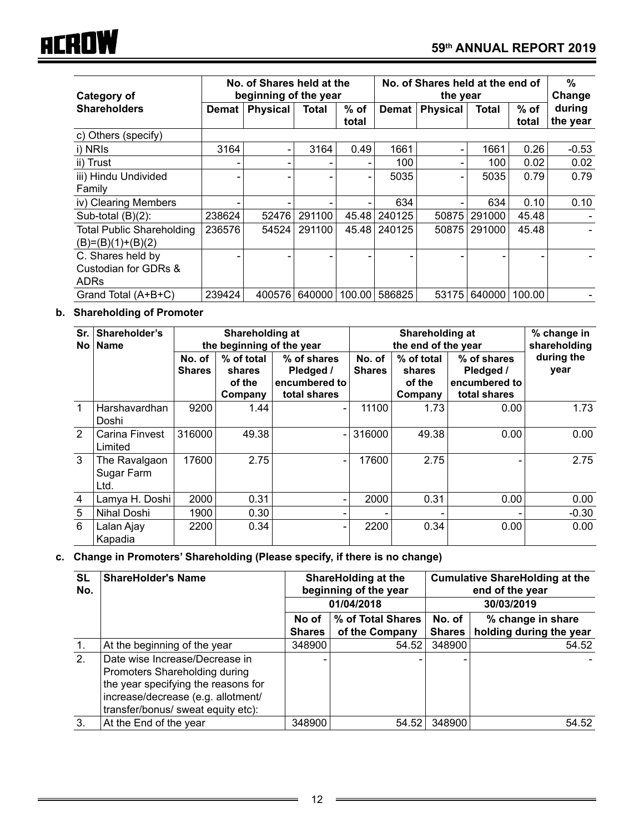

| Category of                                              | No. of Shares held at the<br>beginning of the year |                 |              |                 | No. of Shares held at the end of<br>the year |                          |        |                 | %<br>Change        |
|----------------------------------------------------------|----------------------------------------------------|-----------------|--------------|-----------------|----------------------------------------------|--------------------------|--------|-----------------|--------------------|
| <b>Shareholders</b>                                      | <b>Demat</b>                                       | <b>Physical</b> | <b>Total</b> | $%$ of<br>total | <b>Demat</b>                                 | <b>Physical</b>          | Total  | $%$ of<br>total | during<br>the year |
| c) Others (specify)                                      |                                                    |                 |              |                 |                                              |                          |        |                 |                    |
| i) NRIs                                                  | 3164                                               |                 | 3164         | 0.49            | 1661                                         |                          | 1661   | 0.26            | $-0.53$            |
| ii) Trust                                                |                                                    |                 |              | -               | 100                                          |                          | 100    | 0.02            | 0.02               |
| iii) Hindu Undivided<br>Family                           |                                                    |                 |              |                 | 5035                                         |                          | 5035   | 0.79            | 0.79               |
| iv) Clearing Members                                     |                                                    |                 |              |                 | 634                                          | $\overline{\phantom{0}}$ | 634    | 0.10            | 0.10               |
| Sub-total $(B)(2)$ :                                     | 238624                                             | 52476           | 291100       | 45.48           | 240125                                       | 50875                    | 291000 | 45.48           |                    |
| <b>Total Public Shareholding</b><br>$(B)=(B)(1)+(B)(2)$  | 236576                                             | 54524           | 291100       | 45.48           | 240125                                       | 50875                    | 291000 | 45.48           |                    |
| C. Shares held by<br>Custodian for GDRs &<br><b>ADRs</b> |                                                    |                 |              |                 |                                              |                          |        |                 |                    |
| Grand Total (A+B+C)                                      | 239424                                             | 400576          | 640000       | 100.00          | 586825                                       | 53175                    | 640000 | 100.00          |                    |

#### **b. Shareholding of Promoter**

| Sr.<br>No <sub>1</sub> | Shareholder's<br><b>Name</b>        | the beginning of the year | Shareholding at<br>the end of the year    | % change in<br>shareholding                               |                         |                                           |                                                           |                    |
|------------------------|-------------------------------------|---------------------------|-------------------------------------------|-----------------------------------------------------------|-------------------------|-------------------------------------------|-----------------------------------------------------------|--------------------|
|                        |                                     | No. of<br><b>Shares</b>   | % of total<br>shares<br>of the<br>Company | % of shares<br>Pledged /<br>encumbered to<br>total shares | No. of<br><b>Shares</b> | % of total<br>shares<br>of the<br>Company | % of shares<br>Pledged /<br>encumbered to<br>total shares | during the<br>year |
| $\mathbf{1}$           | Harshavardhan<br>Doshi              | 9200                      | 1.44                                      | $\overline{\phantom{a}}$                                  | 11100                   | 1.73                                      | 0.00                                                      | 1.73               |
| 2                      | Carina Finvest<br>Limited           | 316000                    | 49.38                                     |                                                           | 316000                  | 49.38                                     | 0.00                                                      | 0.00               |
| 3                      | The Ravalgaon<br>Sugar Farm<br>Ltd. | 17600                     | 2.75                                      | $\overline{\phantom{0}}$                                  | 17600                   | 2.75                                      |                                                           | 2.75               |
| $\overline{4}$         | Lamya H. Doshi                      | 2000                      | 0.31                                      |                                                           | 2000                    | 0.31                                      | 0.00                                                      | 0.00               |
| 5                      | <b>Nihal Doshi</b>                  | 1900                      | 0.30                                      |                                                           |                         |                                           |                                                           | $-0.30$            |
| 6                      | Lalan Ajay<br>Kapadia               | 2200                      | 0.34                                      |                                                           | 2200                    | 0.34                                      | 0.00                                                      | 0.00               |

#### **c. Change in Promoters' Shareholding (Please specify, if there is no change)**

| <b>SL</b><br>No. | <b>ShareHolder's Name</b>                                                                                                                                                          |               | <b>ShareHolding at the</b><br>beginning of the year | <b>Cumulative ShareHolding at the</b><br>end of the year |                         |  |
|------------------|------------------------------------------------------------------------------------------------------------------------------------------------------------------------------------|---------------|-----------------------------------------------------|----------------------------------------------------------|-------------------------|--|
|                  |                                                                                                                                                                                    |               | 01/04/2018                                          |                                                          | 30/03/2019              |  |
|                  |                                                                                                                                                                                    | No of         | % of Total Shares                                   | No. of                                                   | % change in share       |  |
|                  |                                                                                                                                                                                    | <b>Shares</b> | of the Company                                      | <b>Shares</b>                                            | holding during the year |  |
|                  | At the beginning of the year                                                                                                                                                       | 348900        | 54.52                                               | 348900                                                   | 54.52                   |  |
| 2.               | Date wise Increase/Decrease in<br>Promoters Shareholding during<br>the year specifying the reasons for<br>increase/decrease (e.g. allotment/<br>transfer/bonus/ sweat equity etc): |               |                                                     |                                                          |                         |  |
| 3.               | At the End of the year                                                                                                                                                             | 348900        | 54.52                                               | 348900                                                   | 54.52                   |  |

 $\overline{\phantom{a}}$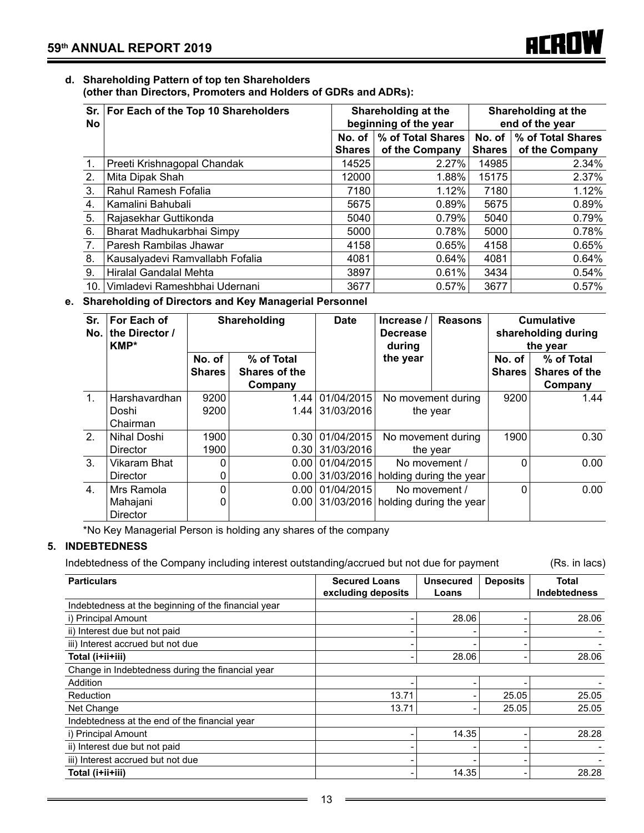#### **d. Shareholding Pattern of top ten Shareholders (other than Directors, Promoters and Holders of GDRs and ADRs):**

| No  | Sr.   For Each of the Top 10 Shareholders |               | Shareholding at the<br>beginning of the year | Shareholding at the<br>end of the year |                   |  |
|-----|-------------------------------------------|---------------|----------------------------------------------|----------------------------------------|-------------------|--|
|     |                                           | No. of        | % of Total Shares                            | No. of                                 | % of Total Shares |  |
|     |                                           | <b>Shares</b> | of the Company                               | <b>Shares</b>                          | of the Company    |  |
| 1.  | Preeti Krishnagopal Chandak               | 14525         | 2.27%                                        | 14985                                  | 2.34%             |  |
| 2.  | Mita Dipak Shah                           | 12000         | 1.88%                                        | 15175                                  | 2.37%             |  |
| 3.  | Rahul Ramesh Fofalia                      | 7180          | 1.12%                                        | 7180                                   | 1.12%             |  |
| 4.  | Kamalini Bahubali                         | 5675          | 0.89%                                        | 5675                                   | 0.89%             |  |
| 5.  | Rajasekhar Guttikonda                     | 5040          | 0.79%                                        | 5040                                   | 0.79%             |  |
| 6.  | Bharat Madhukarbhai Simpy                 | 5000          | 0.78%                                        | 5000                                   | 0.78%             |  |
| 7.  | Paresh Rambilas Jhawar                    | 4158          | 0.65%                                        | 4158                                   | 0.65%             |  |
| 8.  | Kausalyadevi Ramvallabh Fofalia           | 4081          | 0.64%                                        | 4081                                   | 0.64%             |  |
| 9.  | Hiralal Gandalal Mehta                    | 3897          | 0.61%                                        | 3434                                   | 0.54%             |  |
| 10. | Vimladevi Rameshbhai Udernani             | 3677          | 0.57%                                        | 3677                                   | 0.57%             |  |

#### **e. Shareholding of Directors and Key Managerial Personnel**

| Sr.<br>No. | For Each of<br>the Director /<br><b>KMP</b> * |               | Shareholding             | <b>Date</b>       | <b>Reasons</b><br>Increase /<br><b>Decrease</b><br>during |                         |        | <b>Cumulative</b><br>shareholding during<br>the year |
|------------|-----------------------------------------------|---------------|--------------------------|-------------------|-----------------------------------------------------------|-------------------------|--------|------------------------------------------------------|
|            |                                               | No. of        | % of Total               |                   | the year                                                  |                         | No. of | % of Total                                           |
|            |                                               | <b>Shares</b> | Shares of the<br>Company |                   |                                                           |                         | Shares | Shares of the<br>Company                             |
| 1.         | Harshavardhan                                 | 9200          | 1.44                     | 01/04/2015        |                                                           | No movement during      |        | 1.44                                                 |
|            | Doshi                                         | 9200          | 1.44                     | 31/03/2016        | the year                                                  |                         |        |                                                      |
|            | Chairman                                      |               |                          |                   |                                                           |                         |        |                                                      |
| 2.         | Nihal Doshi                                   | 1900          | 0.30                     | 01/04/2015        |                                                           | No movement during      | 1900   | 0.30                                                 |
|            | Director                                      | 1900          | 0.30                     | 31/03/2016        |                                                           | the year                |        |                                                      |
| 3.         | Vikaram Bhat                                  | 0             | 0.00                     | 01/04/2015        | No movement /                                             |                         |        | 0.00                                                 |
|            | Director                                      | 0             | 0.00                     | 31/03/2016        | holding during the year                                   |                         |        |                                                      |
| 4.         | Mrs Ramola                                    | 0             | 0.001                    | 01/04/2015        | No movement /                                             |                         |        | 0.00                                                 |
|            | Mahajani                                      | 0             |                          | $0.00$ 31/03/2016 |                                                           | holding during the year |        |                                                      |
|            | <b>Director</b>                               |               |                          |                   |                                                           |                         |        |                                                      |

\*No Key Managerial Person is holding any shares of the company

#### **5. INDEBTEDNESS**

Indebtedness of the Company including interest outstanding/accrued but not due for payment (Rs. in lacs)

| <b>Particulars</b>                                  | <b>Secured Loans</b> | <b>Unsecured</b> | <b>Deposits</b> | Total               |
|-----------------------------------------------------|----------------------|------------------|-----------------|---------------------|
|                                                     | excluding deposits   | Loans            |                 | <b>Indebtedness</b> |
| Indebtedness at the beginning of the financial year |                      |                  |                 |                     |
| i) Principal Amount                                 |                      | 28.06            |                 | 28.06               |
| ii) Interest due but not paid                       |                      |                  |                 |                     |
| iii) Interest accrued but not due                   |                      |                  |                 |                     |
| Total (i+ii+iii)                                    |                      | 28.06            |                 | 28.06               |
| Change in Indebtedness during the financial year    |                      |                  |                 |                     |
| Addition                                            |                      |                  |                 |                     |
| Reduction                                           | 13.71                |                  | 25.05           | 25.05               |
| Net Change                                          | 13.71                |                  | 25.05           | 25.05               |
| Indebtedness at the end of the financial year       |                      |                  |                 |                     |
| i) Principal Amount                                 |                      | 14.35            |                 | 28.28               |
| ii) Interest due but not paid                       |                      |                  |                 |                     |
| iii) Interest accrued but not due                   |                      |                  |                 |                     |
| Total (i+ii+iii)                                    | -                    | 14.35            | -               | 28.28               |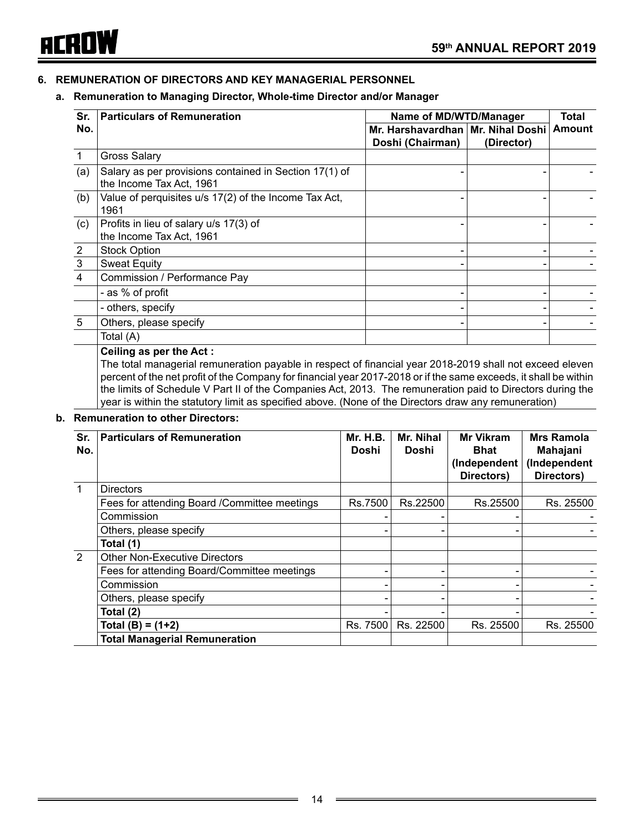

#### **6. REMUNERATION OF DIRECTORS AND KEY MANAGERIAL PERSONNEL**

**a. Remuneration to Managing Director, Whole-time Director and/or Manager**

| Sr.            | <b>Particulars of Remuneration</b>                                                 | Name of MD/WTD/Manager                                    |            | Total         |
|----------------|------------------------------------------------------------------------------------|-----------------------------------------------------------|------------|---------------|
| No.            |                                                                                    | Mr. Harshavardhan   Mr. Nihal Doshi  <br>Doshi (Chairman) | (Director) | <b>Amount</b> |
|                | <b>Gross Salary</b>                                                                |                                                           |            |               |
| (a)            | Salary as per provisions contained in Section 17(1) of<br>the Income Tax Act, 1961 |                                                           |            |               |
| (b)            | Value of perquisites u/s 17(2) of the Income Tax Act,<br>1961                      |                                                           |            |               |
| (c)            | Profits in lieu of salary u/s 17(3) of                                             |                                                           |            |               |
|                | the Income Tax Act, 1961                                                           |                                                           |            |               |
| $\overline{2}$ | <b>Stock Option</b>                                                                |                                                           |            |               |
| $\overline{3}$ | <b>Sweat Equity</b>                                                                |                                                           |            |               |
| $\overline{4}$ | Commission / Performance Pay                                                       |                                                           |            |               |
|                | - as % of profit                                                                   |                                                           |            |               |
|                | - others, specify                                                                  |                                                           |            |               |
| 5              | Others, please specify                                                             |                                                           |            |               |
|                | Total (A)                                                                          |                                                           |            |               |
|                | Cailing as nor the Act .                                                           |                                                           |            |               |

#### **Ceiling as per the Act :**

The total managerial remuneration payable in respect of financial year 2018-2019 shall not exceed eleven percent of the net profit of the Company for financial year 2017-2018 or if the same exceeds, it shall be within the limits of Schedule V Part II of the Companies Act, 2013. The remuneration paid to Directors during the year is within the statutory limit as specified above. (None of the Directors draw any remuneration)

#### **b. Remuneration to other Directors:**

| Sr.<br>No. | <b>Particulars of Remuneration</b>            | Mr. H.B.<br>Doshi | Mr. Nihal<br>Doshi | <b>Mr Vikram</b><br><b>Bhat</b><br>(Independent<br>Directors) | <b>Mrs Ramola</b><br>Mahajani<br>(Independent<br>Directors) |
|------------|-----------------------------------------------|-------------------|--------------------|---------------------------------------------------------------|-------------------------------------------------------------|
| 1          | <b>Directors</b>                              |                   |                    |                                                               |                                                             |
|            | Fees for attending Board / Committee meetings | Rs.7500           | Rs.22500           | Rs.25500                                                      | Rs. 25500                                                   |
|            | Commission                                    |                   |                    |                                                               |                                                             |
|            | Others, please specify                        |                   |                    |                                                               |                                                             |
|            | Total (1)                                     |                   |                    |                                                               |                                                             |
| 2          | <b>Other Non-Executive Directors</b>          |                   |                    |                                                               |                                                             |
|            | Fees for attending Board/Committee meetings   |                   |                    |                                                               |                                                             |
|            | Commission                                    |                   |                    |                                                               |                                                             |
|            | Others, please specify                        |                   |                    |                                                               |                                                             |
|            | Total (2)                                     |                   |                    |                                                               |                                                             |
|            | Total $(B) = (1+2)$                           | Rs. 7500          | Rs. 22500          | Rs. 25500                                                     | Rs. 25500                                                   |
|            | <b>Total Managerial Remuneration</b>          |                   |                    |                                                               |                                                             |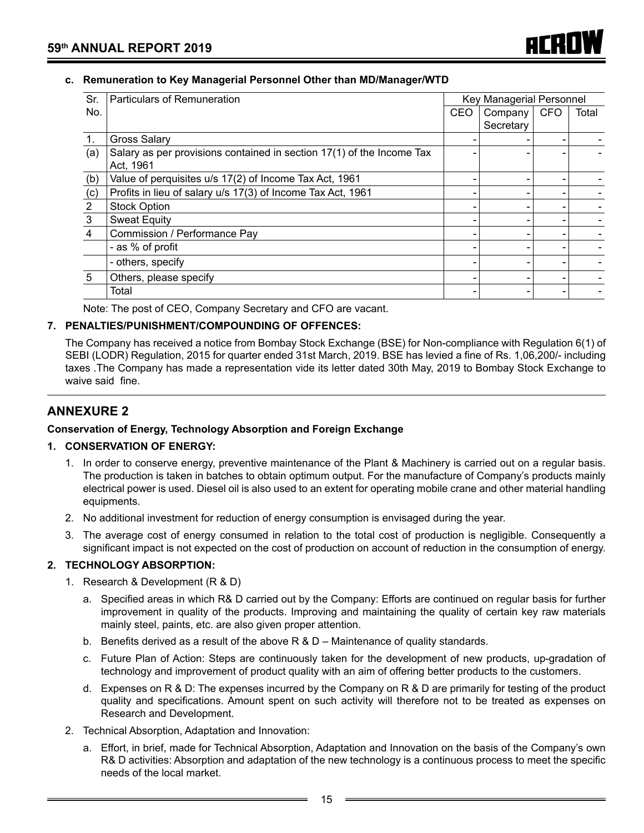#### **c. Remuneration to Key Managerial Personnel Other than MD/Manager/WTD**

| Sr.            | <b>Particulars of Remuneration</b>                                    | Key Managerial Personnel |           |            |       |
|----------------|-----------------------------------------------------------------------|--------------------------|-----------|------------|-------|
| No.            |                                                                       | CEO                      | Company   | <b>CFO</b> | Total |
|                |                                                                       |                          | Secretary |            |       |
|                | <b>Gross Salary</b>                                                   |                          |           |            |       |
| (a)            | Salary as per provisions contained in section 17(1) of the Income Tax |                          |           |            |       |
|                | Act, 1961                                                             |                          |           |            |       |
| (b)            | Value of perquisites u/s 17(2) of Income Tax Act, 1961                |                          |           |            |       |
| (c)            | Profits in lieu of salary u/s 17(3) of Income Tax Act, 1961           |                          |           |            |       |
| $\overline{2}$ | <b>Stock Option</b>                                                   |                          |           |            |       |
| 3              | <b>Sweat Equity</b>                                                   |                          |           |            |       |
| $\overline{4}$ | Commission / Performance Pay                                          |                          |           |            |       |
|                | - as % of profit                                                      |                          |           |            |       |
|                | - others, specify                                                     |                          |           |            |       |
| 5              | Others, please specify                                                |                          |           |            |       |
|                | Total                                                                 |                          |           |            |       |

Note: The post of CEO, Company Secretary and CFO are vacant.

#### **7. PENALTIES/PUNISHMENT/COMPOUNDING OF OFFENCES:**

The Company has received a notice from Bombay Stock Exchange (BSE) for Non-compliance with Regulation 6(1) of SEBI (LODR) Regulation, 2015 for quarter ended 31st March, 2019. BSE has levied a fine of Rs. 1,06,200/- including taxes .The Company has made a representation vide its letter dated 30th May, 2019 to Bombay Stock Exchange to waive said fine.

#### **ANNEXURE 2**

#### **Conservation of Energy, Technology Absorption and Foreign Exchange**

#### **1. CONSERVATION OF ENERGY:**

- 1. In order to conserve energy, preventive maintenance of the Plant & Machinery is carried out on a regular basis. The production is taken in batches to obtain optimum output. For the manufacture of Company's products mainly electrical power is used. Diesel oil is also used to an extent for operating mobile crane and other material handling equipments.
- 2. No additional investment for reduction of energy consumption is envisaged during the year.
- 3. The average cost of energy consumed in relation to the total cost of production is negligible. Consequently a significant impact is not expected on the cost of production on account of reduction in the consumption of energy.

#### **2. TECHNOLOGY ABSORPTION:**

- 1. Research & Development (R & D)
	- a. Specified areas in which R& D carried out by the Company: Efforts are continued on regular basis for further improvement in quality of the products. Improving and maintaining the quality of certain key raw materials mainly steel, paints, etc. are also given proper attention.
	- b. Benefits derived as a result of the above  $R \& D M$ aintenance of quality standards.
	- c. Future Plan of Action: Steps are continuously taken for the development of new products, up-gradation of technology and improvement of product quality with an aim of offering better products to the customers.
	- d. Expenses on R & D: The expenses incurred by the Company on R & D are primarily for testing of the product quality and specifications. Amount spent on such activity will therefore not to be treated as expenses on Research and Development.
- 2. Technical Absorption, Adaptation and Innovation:
	- a. Effort, in brief, made for Technical Absorption, Adaptation and Innovation on the basis of the Company's own R& D activities: Absorption and adaptation of the new technology is a continuous process to meet the specific needs of the local market.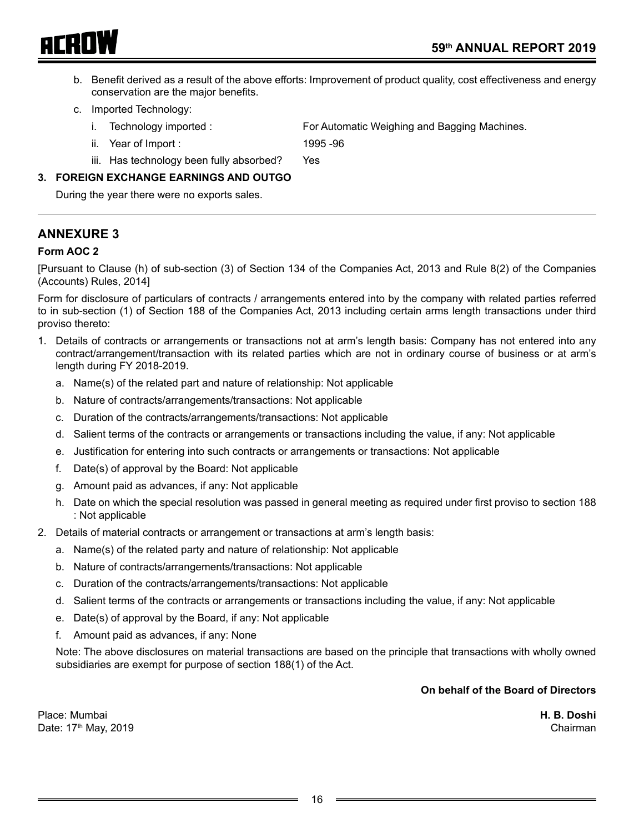

- b. Benefit derived as a result of the above efforts: Improvement of product quality, cost effectiveness and energy conservation are the major benefits.
- c. Imported Technology:
	- i. Technology imported : For Automatic Weighing and Bagging Machines.
	- ii. Year of Import : 1995 -96
	- iii. Has technology been fully absorbed? Yes

#### **3. FOREIGN EXCHANGE EARNINGS AND OUTGO**

During the year there were no exports sales.

#### **ANNEXURE 3**

#### **Form AOC 2**

[Pursuant to Clause (h) of sub-section (3) of Section 134 of the Companies Act, 2013 and Rule 8(2) of the Companies (Accounts) Rules, 2014]

Form for disclosure of particulars of contracts / arrangements entered into by the company with related parties referred to in sub-section (1) of Section 188 of the Companies Act, 2013 including certain arms length transactions under third proviso thereto:

- 1. Details of contracts or arrangements or transactions not at arm's length basis: Company has not entered into any contract/arrangement/transaction with its related parties which are not in ordinary course of business or at arm's length during FY 2018-2019.
	- a. Name(s) of the related part and nature of relationship: Not applicable
	- b. Nature of contracts/arrangements/transactions: Not applicable
	- c. Duration of the contracts/arrangements/transactions: Not applicable
	- d. Salient terms of the contracts or arrangements or transactions including the value, if any: Not applicable
	- e. Justification for entering into such contracts or arrangements or transactions: Not applicable
	- f. Date(s) of approval by the Board: Not applicable
	- g. Amount paid as advances, if any: Not applicable
	- h. Date on which the special resolution was passed in general meeting as required under first proviso to section 188 : Not applicable
- 2. Details of material contracts or arrangement or transactions at arm's length basis:
	- a. Name(s) of the related party and nature of relationship: Not applicable
	- b. Nature of contracts/arrangements/transactions: Not applicable
	- c. Duration of the contracts/arrangements/transactions: Not applicable
	- d. Salient terms of the contracts or arrangements or transactions including the value, if any: Not applicable
	- e. Date(s) of approval by the Board, if any: Not applicable
	- f. Amount paid as advances, if any: None

Note: The above disclosures on material transactions are based on the principle that transactions with wholly owned subsidiaries are exempt for purpose of section 188(1) of the Act.

#### **On behalf of the Board of Directors**

Place: Mumbai **H. B. Doshi** Date: 17<sup>th</sup> May, 2019 **Chairman**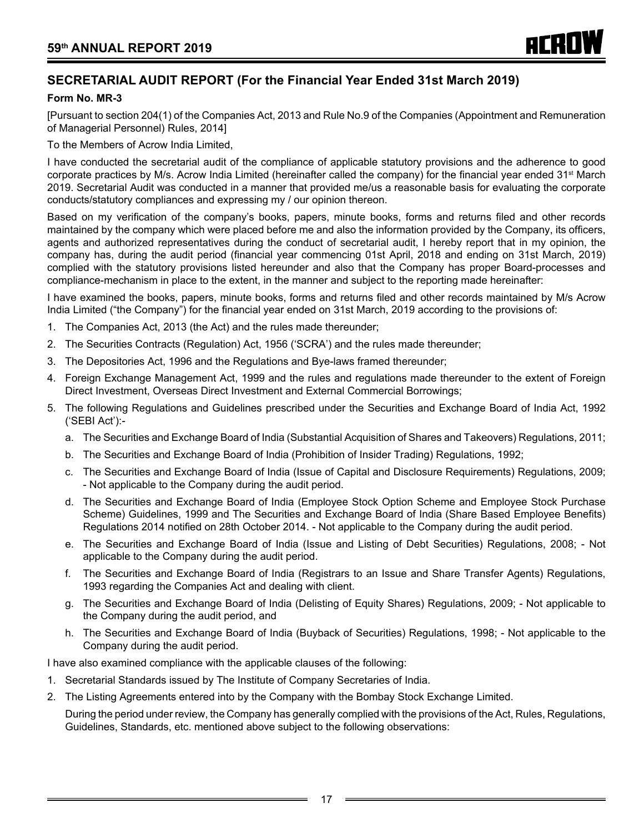#### **SECRETARIAL AUDIT REPORT (For the Financial Year Ended 31st March 2019)**

#### **Form No. MR-3**

[Pursuant to section 204(1) of the Companies Act, 2013 and Rule No.9 of the Companies (Appointment and Remuneration of Managerial Personnel) Rules, 2014]

To the Members of Acrow India Limited,

I have conducted the secretarial audit of the compliance of applicable statutory provisions and the adherence to good corporate practices by M/s. Acrow India Limited (hereinafter called the company) for the financial year ended 31<sup>st</sup> March 2019. Secretarial Audit was conducted in a manner that provided me/us a reasonable basis for evaluating the corporate conducts/statutory compliances and expressing my / our opinion thereon.

Based on my verification of the company's books, papers, minute books, forms and returns filed and other records maintained by the company which were placed before me and also the information provided by the Company, its officers, agents and authorized representatives during the conduct of secretarial audit, I hereby report that in my opinion, the company has, during the audit period (financial year commencing 01st April, 2018 and ending on 31st March, 2019) complied with the statutory provisions listed hereunder and also that the Company has proper Board-processes and compliance-mechanism in place to the extent, in the manner and subject to the reporting made hereinafter:

I have examined the books, papers, minute books, forms and returns filed and other records maintained by M/s Acrow India Limited ("the Company") for the financial year ended on 31st March, 2019 according to the provisions of:

- 1. The Companies Act, 2013 (the Act) and the rules made thereunder;
- 2. The Securities Contracts (Regulation) Act, 1956 ('SCRA') and the rules made thereunder;
- 3. The Depositories Act, 1996 and the Regulations and Bye-laws framed thereunder;
- 4. Foreign Exchange Management Act, 1999 and the rules and regulations made thereunder to the extent of Foreign Direct Investment, Overseas Direct Investment and External Commercial Borrowings;
- 5. The following Regulations and Guidelines prescribed under the Securities and Exchange Board of India Act, 1992 ('SEBI Act'):
	- a. The Securities and Exchange Board of India (Substantial Acquisition of Shares and Takeovers) Regulations, 2011;
	- b. The Securities and Exchange Board of India (Prohibition of Insider Trading) Regulations, 1992;
	- c. The Securities and Exchange Board of India (Issue of Capital and Disclosure Requirements) Regulations, 2009; - Not applicable to the Company during the audit period.
	- d. The Securities and Exchange Board of India (Employee Stock Option Scheme and Employee Stock Purchase Scheme) Guidelines, 1999 and The Securities and Exchange Board of India (Share Based Employee Benefits) Regulations 2014 notified on 28th October 2014. - Not applicable to the Company during the audit period.
	- e. The Securities and Exchange Board of India (Issue and Listing of Debt Securities) Regulations, 2008; Not applicable to the Company during the audit period.
	- f. The Securities and Exchange Board of India (Registrars to an Issue and Share Transfer Agents) Regulations, 1993 regarding the Companies Act and dealing with client.
	- g. The Securities and Exchange Board of India (Delisting of Equity Shares) Regulations, 2009; Not applicable to the Company during the audit period, and
	- h. The Securities and Exchange Board of India (Buyback of Securities) Regulations, 1998; Not applicable to the Company during the audit period.

I have also examined compliance with the applicable clauses of the following:

- 1. Secretarial Standards issued by The Institute of Company Secretaries of India.
- 2. The Listing Agreements entered into by the Company with the Bombay Stock Exchange Limited.

During the period under review, the Company has generally complied with the provisions of the Act, Rules, Regulations, Guidelines, Standards, etc. mentioned above subject to the following observations: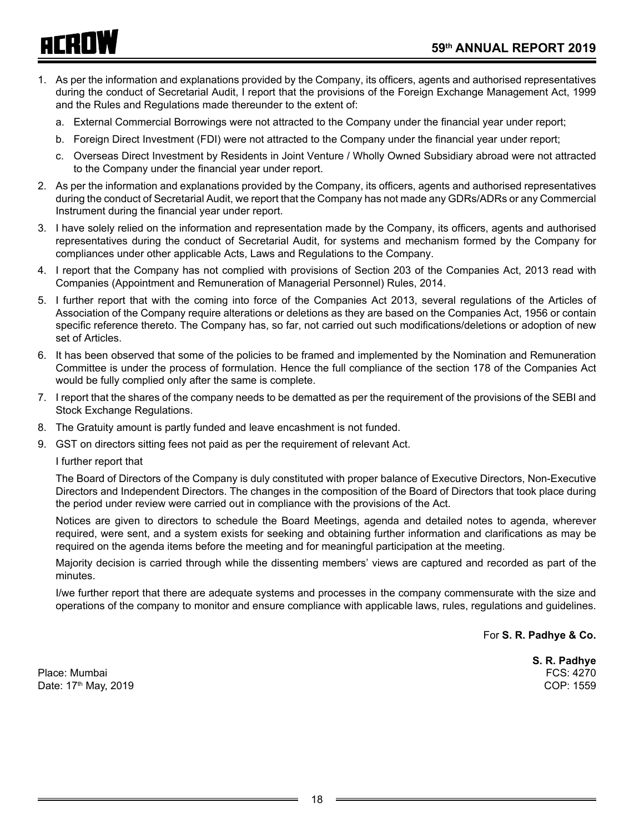## ACROW

- 1. As per the information and explanations provided by the Company, its officers, agents and authorised representatives during the conduct of Secretarial Audit, I report that the provisions of the Foreign Exchange Management Act, 1999 and the Rules and Regulations made thereunder to the extent of:
	- a. External Commercial Borrowings were not attracted to the Company under the financial year under report;
	- b. Foreign Direct Investment (FDI) were not attracted to the Company under the financial year under report;
	- c. Overseas Direct Investment by Residents in Joint Venture / Wholly Owned Subsidiary abroad were not attracted to the Company under the financial year under report.
- 2. As per the information and explanations provided by the Company, its officers, agents and authorised representatives during the conduct of Secretarial Audit, we report that the Company has not made any GDRs/ADRs or any Commercial Instrument during the financial year under report.
- 3. I have solely relied on the information and representation made by the Company, its officers, agents and authorised representatives during the conduct of Secretarial Audit, for systems and mechanism formed by the Company for compliances under other applicable Acts, Laws and Regulations to the Company.
- 4. I report that the Company has not complied with provisions of Section 203 of the Companies Act, 2013 read with Companies (Appointment and Remuneration of Managerial Personnel) Rules, 2014.
- 5. I further report that with the coming into force of the Companies Act 2013, several regulations of the Articles of Association of the Company require alterations or deletions as they are based on the Companies Act, 1956 or contain specific reference thereto. The Company has, so far, not carried out such modifications/deletions or adoption of new set of Articles.
- 6. It has been observed that some of the policies to be framed and implemented by the Nomination and Remuneration Committee is under the process of formulation. Hence the full compliance of the section 178 of the Companies Act would be fully complied only after the same is complete.
- 7. I report that the shares of the company needs to be dematted as per the requirement of the provisions of the SEBI and Stock Exchange Regulations.
- 8. The Gratuity amount is partly funded and leave encashment is not funded.
- 9. GST on directors sitting fees not paid as per the requirement of relevant Act.

I further report that

The Board of Directors of the Company is duly constituted with proper balance of Executive Directors, Non-Executive Directors and Independent Directors. The changes in the composition of the Board of Directors that took place during the period under review were carried out in compliance with the provisions of the Act.

Notices are given to directors to schedule the Board Meetings, agenda and detailed notes to agenda, wherever required, were sent, and a system exists for seeking and obtaining further information and clarifications as may be required on the agenda items before the meeting and for meaningful participation at the meeting.

Majority decision is carried through while the dissenting members' views are captured and recorded as part of the minutes.

I/we further report that there are adequate systems and processes in the company commensurate with the size and operations of the company to monitor and ensure compliance with applicable laws, rules, regulations and guidelines.

For **S. R. Padhye & Co.**

Place: Mumbai FCS: 4270 Date: 17th May, 2019 COP: 1559

**S. R. Padhye**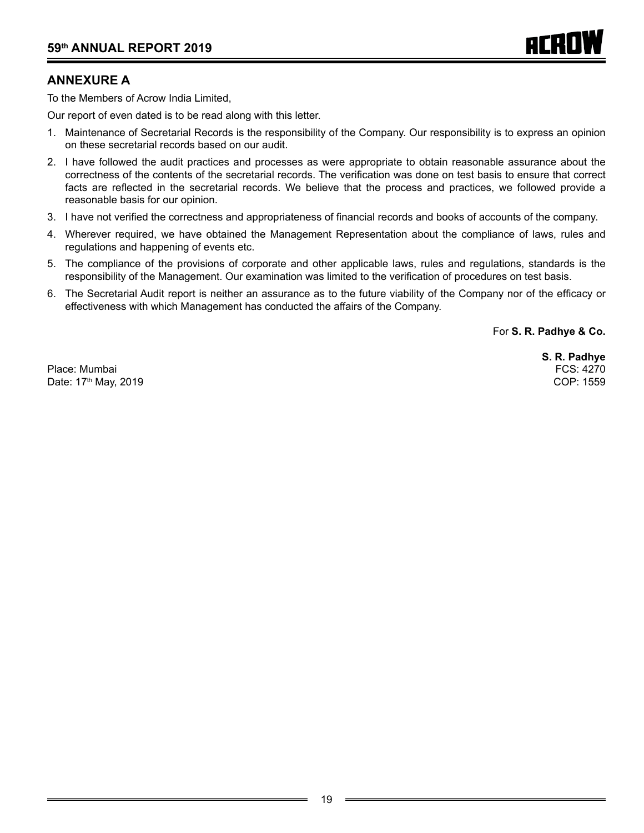

#### **ANNEXURE A**

To the Members of Acrow India Limited,

Our report of even dated is to be read along with this letter.

- 1. Maintenance of Secretarial Records is the responsibility of the Company. Our responsibility is to express an opinion on these secretarial records based on our audit.
- 2. I have followed the audit practices and processes as were appropriate to obtain reasonable assurance about the correctness of the contents of the secretarial records. The verification was done on test basis to ensure that correct facts are reflected in the secretarial records. We believe that the process and practices, we followed provide a reasonable basis for our opinion.
- 3. I have not verified the correctness and appropriateness of financial records and books of accounts of the company.
- 4. Wherever required, we have obtained the Management Representation about the compliance of laws, rules and regulations and happening of events etc.
- 5. The compliance of the provisions of corporate and other applicable laws, rules and regulations, standards is the responsibility of the Management. Our examination was limited to the verification of procedures on test basis.
- 6. The Secretarial Audit report is neither an assurance as to the future viability of the Company nor of the efficacy or effectiveness with which Management has conducted the affairs of the Company.

For **S. R. Padhye & Co.**

Place: Mumbai FCS: 4270 Date: 17<sup>th</sup> May, 2019 **COP: 1559** 

**S. R. Padhye**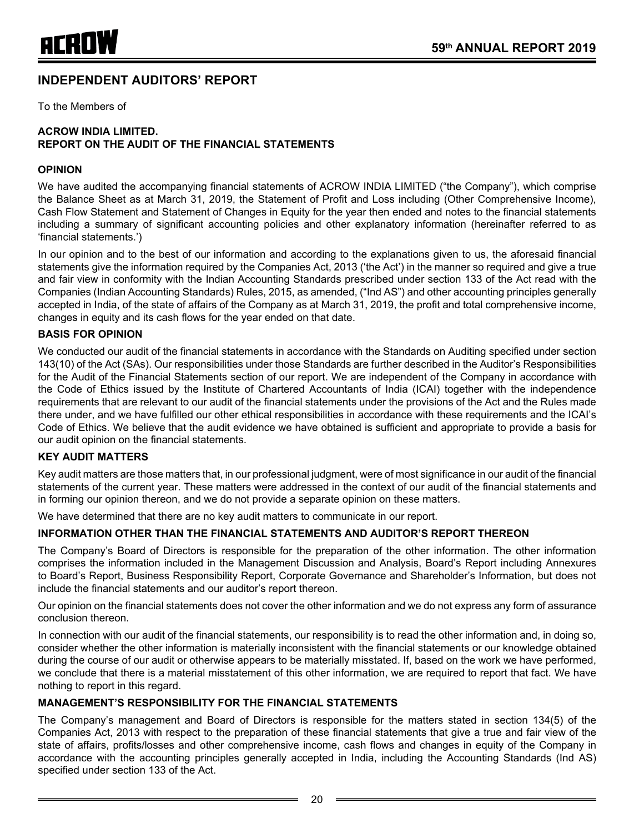#### **INDEPENDENT AUDITORS' REPORT**

To the Members of

#### **ACROW INDIA LIMITED. REPORT ON THE AUDIT OF THE FINANCIAL STATEMENTS**

#### **OPINION**

We have audited the accompanying financial statements of ACROW INDIA LIMITED ("the Company"), which comprise the Balance Sheet as at March 31, 2019, the Statement of Profit and Loss including (Other Comprehensive Income), Cash Flow Statement and Statement of Changes in Equity for the year then ended and notes to the financial statements including a summary of significant accounting policies and other explanatory information (hereinafter referred to as 'financial statements.')

In our opinion and to the best of our information and according to the explanations given to us, the aforesaid financial statements give the information required by the Companies Act, 2013 ('the Act') in the manner so required and give a true and fair view in conformity with the Indian Accounting Standards prescribed under section 133 of the Act read with the Companies (Indian Accounting Standards) Rules, 2015, as amended, ("Ind AS") and other accounting principles generally accepted in India, of the state of affairs of the Company as at March 31, 2019, the profit and total comprehensive income, changes in equity and its cash flows for the year ended on that date.

#### **BASIS FOR OPINION**

We conducted our audit of the financial statements in accordance with the Standards on Auditing specified under section 143(10) of the Act (SAs). Our responsibilities under those Standards are further described in the Auditor's Responsibilities for the Audit of the Financial Statements section of our report. We are independent of the Company in accordance with the Code of Ethics issued by the Institute of Chartered Accountants of India (ICAI) together with the independence requirements that are relevant to our audit of the financial statements under the provisions of the Act and the Rules made there under, and we have fulfilled our other ethical responsibilities in accordance with these requirements and the ICAI's Code of Ethics. We believe that the audit evidence we have obtained is sufficient and appropriate to provide a basis for our audit opinion on the financial statements.

#### **KEY AUDIT MATTERS**

Key audit matters are those matters that, in our professional judgment, were of most significance in our audit of the financial statements of the current year. These matters were addressed in the context of our audit of the financial statements and in forming our opinion thereon, and we do not provide a separate opinion on these matters.

We have determined that there are no key audit matters to communicate in our report.

#### **INFORMATION OTHER THAN THE FINANCIAL STATEMENTS AND AUDITOR'S REPORT THEREON**

The Company's Board of Directors is responsible for the preparation of the other information. The other information comprises the information included in the Management Discussion and Analysis, Board's Report including Annexures to Board's Report, Business Responsibility Report, Corporate Governance and Shareholder's Information, but does not include the financial statements and our auditor's report thereon.

Our opinion on the financial statements does not cover the other information and we do not express any form of assurance conclusion thereon.

In connection with our audit of the financial statements, our responsibility is to read the other information and, in doing so, consider whether the other information is materially inconsistent with the financial statements or our knowledge obtained during the course of our audit or otherwise appears to be materially misstated. If, based on the work we have performed, we conclude that there is a material misstatement of this other information, we are required to report that fact. We have nothing to report in this regard.

#### **MANAGEMENT'S RESPONSIBILITY FOR THE FINANCIAL STATEMENTS**

The Company's management and Board of Directors is responsible for the matters stated in section 134(5) of the Companies Act, 2013 with respect to the preparation of these financial statements that give a true and fair view of the state of affairs, profits/losses and other comprehensive income, cash flows and changes in equity of the Company in accordance with the accounting principles generally accepted in India, including the Accounting Standards (Ind AS) specified under section 133 of the Act.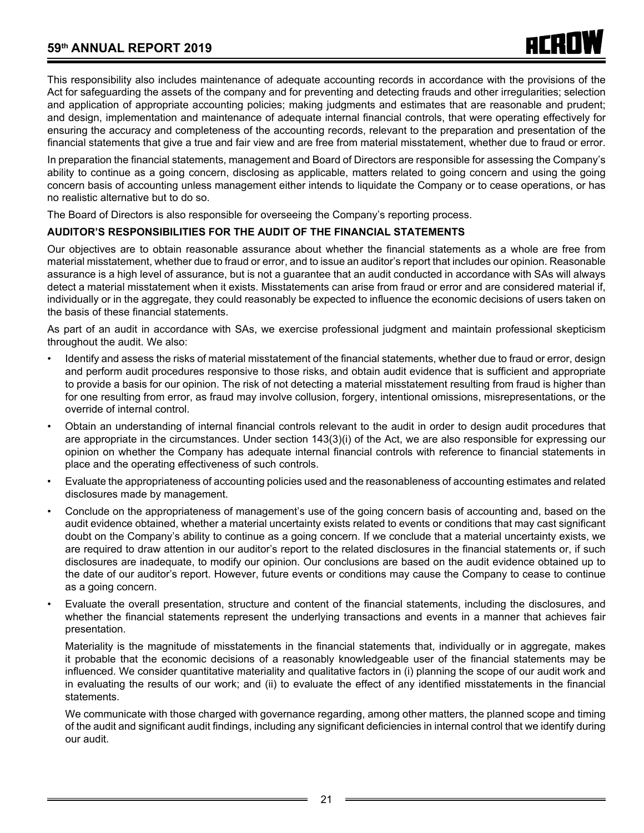This responsibility also includes maintenance of adequate accounting records in accordance with the provisions of the Act for safeguarding the assets of the company and for preventing and detecting frauds and other irregularities; selection and application of appropriate accounting policies; making judgments and estimates that are reasonable and prudent; and design, implementation and maintenance of adequate internal financial controls, that were operating effectively for ensuring the accuracy and completeness of the accounting records, relevant to the preparation and presentation of the financial statements that give a true and fair view and are free from material misstatement, whether due to fraud or error.

In preparation the financial statements, management and Board of Directors are responsible for assessing the Company's ability to continue as a going concern, disclosing as applicable, matters related to going concern and using the going concern basis of accounting unless management either intends to liquidate the Company or to cease operations, or has no realistic alternative but to do so.

The Board of Directors is also responsible for overseeing the Company's reporting process.

#### **AUDITOR'S RESPONSIBILITIES FOR THE AUDIT OF THE FINANCIAL STATEMENTS**

Our objectives are to obtain reasonable assurance about whether the financial statements as a whole are free from material misstatement, whether due to fraud or error, and to issue an auditor's report that includes our opinion. Reasonable assurance is a high level of assurance, but is not a guarantee that an audit conducted in accordance with SAs will always detect a material misstatement when it exists. Misstatements can arise from fraud or error and are considered material if, individually or in the aggregate, they could reasonably be expected to influence the economic decisions of users taken on the basis of these financial statements.

As part of an audit in accordance with SAs, we exercise professional judgment and maintain professional skepticism throughout the audit. We also:

- • Identify and assess the risks of material misstatement of the financial statements, whether due to fraud or error, design and perform audit procedures responsive to those risks, and obtain audit evidence that is sufficient and appropriate to provide a basis for our opinion. The risk of not detecting a material misstatement resulting from fraud is higher than for one resulting from error, as fraud may involve collusion, forgery, intentional omissions, misrepresentations, or the override of internal control.
- • Obtain an understanding of internal financial controls relevant to the audit in order to design audit procedures that are appropriate in the circumstances. Under section 143(3)(i) of the Act, we are also responsible for expressing our opinion on whether the Company has adequate internal financial controls with reference to financial statements in place and the operating effectiveness of such controls.
- • Evaluate the appropriateness of accounting policies used and the reasonableness of accounting estimates and related disclosures made by management.
- Conclude on the appropriateness of management's use of the going concern basis of accounting and, based on the audit evidence obtained, whether a material uncertainty exists related to events or conditions that may cast significant doubt on the Company's ability to continue as a going concern. If we conclude that a material uncertainty exists, we are required to draw attention in our auditor's report to the related disclosures in the financial statements or, if such disclosures are inadequate, to modify our opinion. Our conclusions are based on the audit evidence obtained up to the date of our auditor's report. However, future events or conditions may cause the Company to cease to continue as a going concern.
- Evaluate the overall presentation, structure and content of the financial statements, including the disclosures, and whether the financial statements represent the underlying transactions and events in a manner that achieves fair presentation.

Materiality is the magnitude of misstatements in the financial statements that, individually or in aggregate, makes it probable that the economic decisions of a reasonably knowledgeable user of the financial statements may be influenced. We consider quantitative materiality and qualitative factors in (i) planning the scope of our audit work and in evaluating the results of our work; and (ii) to evaluate the effect of any identified misstatements in the financial statements.

We communicate with those charged with governance regarding, among other matters, the planned scope and timing of the audit and significant audit findings, including any significant deficiencies in internal control that we identify during our audit.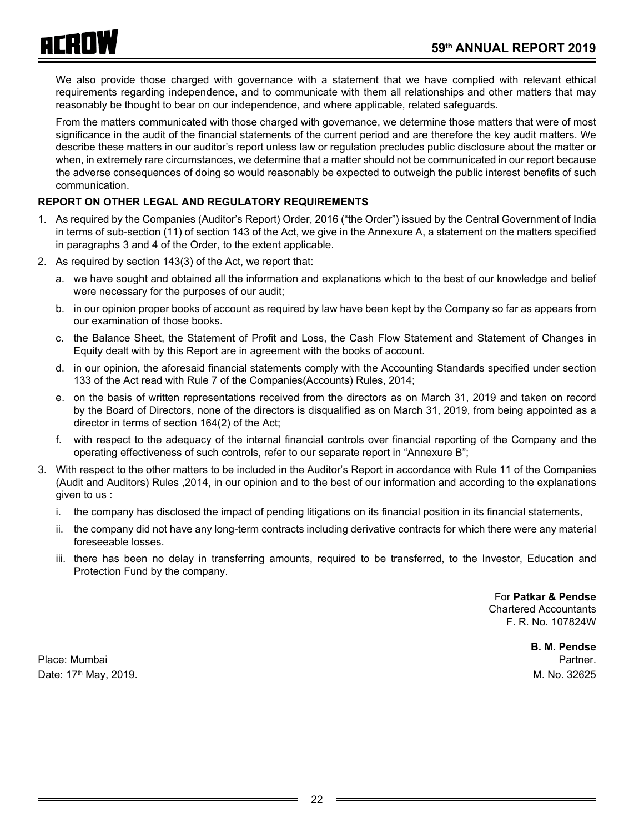

We also provide those charged with governance with a statement that we have complied with relevant ethical requirements regarding independence, and to communicate with them all relationships and other matters that may reasonably be thought to bear on our independence, and where applicable, related safeguards.

From the matters communicated with those charged with governance, we determine those matters that were of most significance in the audit of the financial statements of the current period and are therefore the key audit matters. We describe these matters in our auditor's report unless law or regulation precludes public disclosure about the matter or when, in extremely rare circumstances, we determine that a matter should not be communicated in our report because the adverse consequences of doing so would reasonably be expected to outweigh the public interest benefits of such communication.

#### **REPORT ON OTHER LEGAL AND REGULATORY REQUIREMENTS**

- 1. As required by the Companies (Auditor's Report) Order, 2016 ("the Order") issued by the Central Government of India in terms of sub-section (11) of section 143 of the Act, we give in the Annexure A, a statement on the matters specified in paragraphs 3 and 4 of the Order, to the extent applicable.
- 2. As required by section 143(3) of the Act, we report that:
	- a. we have sought and obtained all the information and explanations which to the best of our knowledge and belief were necessary for the purposes of our audit;
	- b. in our opinion proper books of account as required by law have been kept by the Company so far as appears from our examination of those books.
	- c. the Balance Sheet, the Statement of Profit and Loss, the Cash Flow Statement and Statement of Changes in Equity dealt with by this Report are in agreement with the books of account.
	- d. in our opinion, the aforesaid financial statements comply with the Accounting Standards specified under section 133 of the Act read with Rule 7 of the Companies(Accounts) Rules, 2014;
	- e. on the basis of written representations received from the directors as on March 31, 2019 and taken on record by the Board of Directors, none of the directors is disqualified as on March 31, 2019, from being appointed as a director in terms of section 164(2) of the Act;
	- f. with respect to the adequacy of the internal financial controls over financial reporting of the Company and the operating effectiveness of such controls, refer to our separate report in "Annexure B";
- 3. With respect to the other matters to be included in the Auditor's Report in accordance with Rule 11 of the Companies (Audit and Auditors) Rules ,2014, in our opinion and to the best of our information and according to the explanations given to us :
	- i. the company has disclosed the impact of pending litigations on its financial position in its financial statements,
	- ii. the company did not have any long-term contracts including derivative contracts for which there were any material foreseeable losses.
	- iii. there has been no delay in transferring amounts, required to be transferred, to the Investor, Education and Protection Fund by the company.

For **Patkar & Pendse** Chartered Accountants F. R. No. 107824W

Place: Mumbai Partner. Date: 17th May, 2019. M. No. 32625

**B. M. Pendse**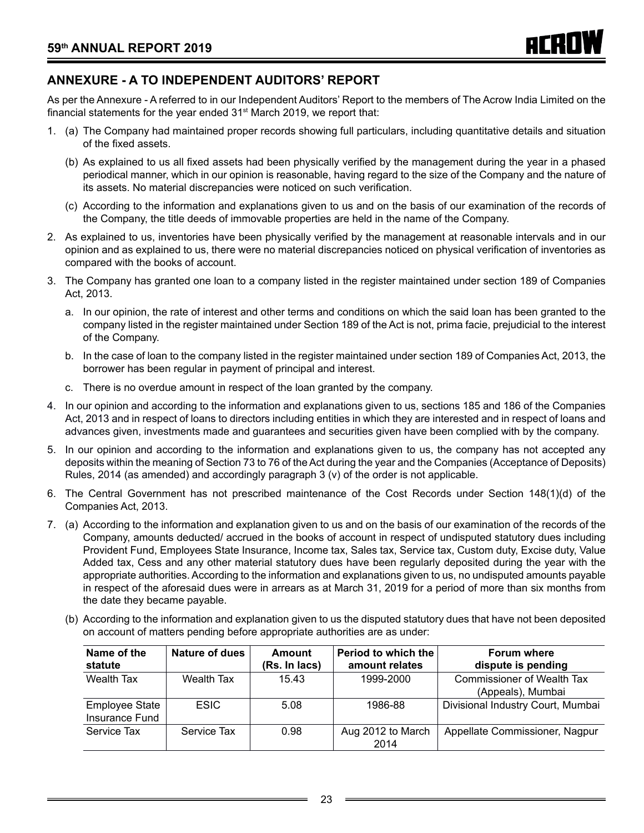#### **ANNEXURE - A TO INDEPENDENT AUDITORS' REPORT**

As per the Annexure - A referred to in our Independent Auditors' Report to the members of The Acrow India Limited on the financial statements for the year ended 31st March 2019, we report that:

- 1. (a) The Company had maintained proper records showing full particulars, including quantitative details and situation of the fixed assets.
	- (b) As explained to us all fixed assets had been physically verified by the management during the year in a phased periodical manner, which in our opinion is reasonable, having regard to the size of the Company and the nature of its assets. No material discrepancies were noticed on such verification.
	- (c) According to the information and explanations given to us and on the basis of our examination of the records of the Company, the title deeds of immovable properties are held in the name of the Company.
- 2. As explained to us, inventories have been physically verified by the management at reasonable intervals and in our opinion and as explained to us, there were no material discrepancies noticed on physical verification of inventories as compared with the books of account.
- 3. The Company has granted one loan to a company listed in the register maintained under section 189 of Companies Act, 2013.
	- a. In our opinion, the rate of interest and other terms and conditions on which the said loan has been granted to the company listed in the register maintained under Section 189 of the Act is not, prima facie, prejudicial to the interest of the Company.
	- b. In the case of loan to the company listed in the register maintained under section 189 of Companies Act, 2013, the borrower has been regular in payment of principal and interest.
	- c. There is no overdue amount in respect of the loan granted by the company.
- 4. In our opinion and according to the information and explanations given to us, sections 185 and 186 of the Companies Act, 2013 and in respect of loans to directors including entities in which they are interested and in respect of loans and advances given, investments made and guarantees and securities given have been complied with by the company.
- 5. In our opinion and according to the information and explanations given to us, the company has not accepted any deposits within the meaning of Section 73 to 76 of the Act during the year and the Companies (Acceptance of Deposits) Rules, 2014 (as amended) and accordingly paragraph 3 (v) of the order is not applicable.
- 6. The Central Government has not prescribed maintenance of the Cost Records under Section 148(1)(d) of the Companies Act, 2013.
- 7. (a) According to the information and explanation given to us and on the basis of our examination of the records of the Company, amounts deducted/ accrued in the books of account in respect of undisputed statutory dues including Provident Fund, Employees State Insurance, Income tax, Sales tax, Service tax, Custom duty, Excise duty, Value Added tax, Cess and any other material statutory dues have been regularly deposited during the year with the appropriate authorities. According to the information and explanations given to us, no undisputed amounts payable in respect of the aforesaid dues were in arrears as at March 31, 2019 for a period of more than six months from the date they became payable.
	- (b) According to the information and explanation given to us the disputed statutory dues that have not been deposited on account of matters pending before appropriate authorities are as under:

| Name of the<br>statute                  | Nature of dues | Amount<br>(Rs. In lacs) | Period to which the<br>amount relates | <b>Forum where</b><br>dispute is pending               |
|-----------------------------------------|----------------|-------------------------|---------------------------------------|--------------------------------------------------------|
| Wealth Tax                              | Wealth Tax     | 15.43                   | 1999-2000                             | <b>Commissioner of Wealth Tax</b><br>(Appeals), Mumbai |
| <b>Employee State</b><br>Insurance Fund | <b>ESIC</b>    | 5.08                    | 1986-88                               | Divisional Industry Court, Mumbai                      |
| Service Tax                             | Service Tax    | 0.98                    | Aug 2012 to March<br>2014             | Appellate Commissioner, Nagpur                         |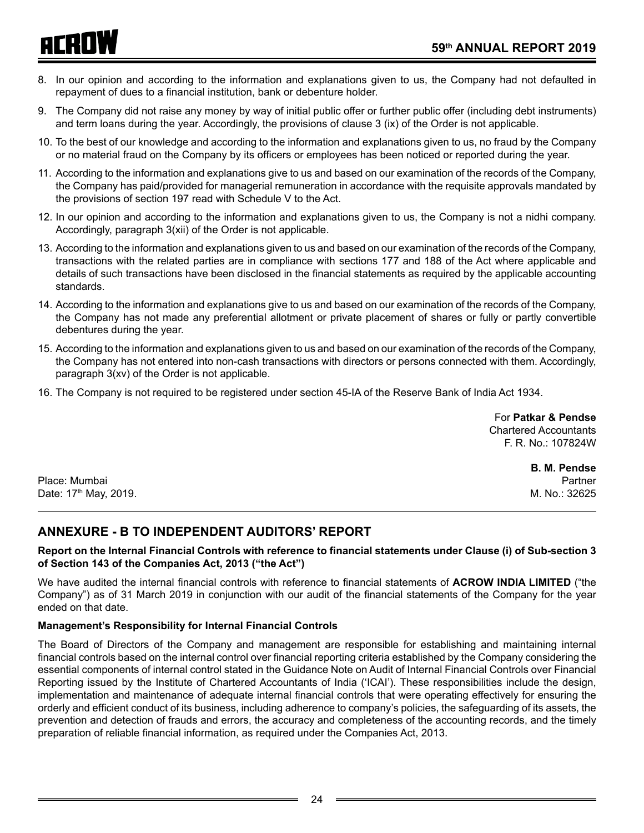#### **59th ANNUAL REPORT 2019**

## ACROW

- 8. In our opinion and according to the information and explanations given to us, the Company had not defaulted in repayment of dues to a financial institution, bank or debenture holder.
- 9. The Company did not raise any money by way of initial public offer or further public offer (including debt instruments) and term loans during the year. Accordingly, the provisions of clause 3 (ix) of the Order is not applicable.
- 10. To the best of our knowledge and according to the information and explanations given to us, no fraud by the Company or no material fraud on the Company by its officers or employees has been noticed or reported during the year.
- 11. According to the information and explanations give to us and based on our examination of the records of the Company, the Company has paid/provided for managerial remuneration in accordance with the requisite approvals mandated by the provisions of section 197 read with Schedule V to the Act.
- 12. In our opinion and according to the information and explanations given to us, the Company is not a nidhi company. Accordingly, paragraph 3(xii) of the Order is not applicable.
- 13. According to the information and explanations given to us and based on our examination of the records of the Company, transactions with the related parties are in compliance with sections 177 and 188 of the Act where applicable and details of such transactions have been disclosed in the financial statements as required by the applicable accounting standards.
- 14. According to the information and explanations give to us and based on our examination of the records of the Company, the Company has not made any preferential allotment or private placement of shares or fully or partly convertible debentures during the year.
- 15. According to the information and explanations given to us and based on our examination of the records of the Company, the Company has not entered into non-cash transactions with directors or persons connected with them. Accordingly, paragraph 3(xv) of the Order is not applicable.
- 16. The Company is not required to be registered under section 45-IA of the Reserve Bank of India Act 1934.

For **Patkar & Pendse** Chartered Accountants F. R. No.: 107824W

Place: Mumbai Partner Date: 17th May, 2019. M. No.: 32625

**B. M. Pendse**

### **ANNEXURE - B TO INDEPENDENT AUDITORS' REPORT**

**Report on the Internal Financial Controls with reference to financial statements under Clause (i) of Sub-section 3 of Section 143 of the Companies Act, 2013 ("the Act")** 

We have audited the internal financial controls with reference to financial statements of **ACROW INDIA LIMITED** ("the Company") as of 31 March 2019 in conjunction with our audit of the financial statements of the Company for the year ended on that date.

#### **Management's Responsibility for Internal Financial Controls**

The Board of Directors of the Company and management are responsible for establishing and maintaining internal financial controls based on the internal control over financial reporting criteria established by the Company considering the essential components of internal control stated in the Guidance Note on Audit of Internal Financial Controls over Financial Reporting issued by the Institute of Chartered Accountants of India ('ICAI'). These responsibilities include the design, implementation and maintenance of adequate internal financial controls that were operating effectively for ensuring the orderly and efficient conduct of its business, including adherence to company's policies, the safeguarding of its assets, the prevention and detection of frauds and errors, the accuracy and completeness of the accounting records, and the timely preparation of reliable financial information, as required under the Companies Act, 2013.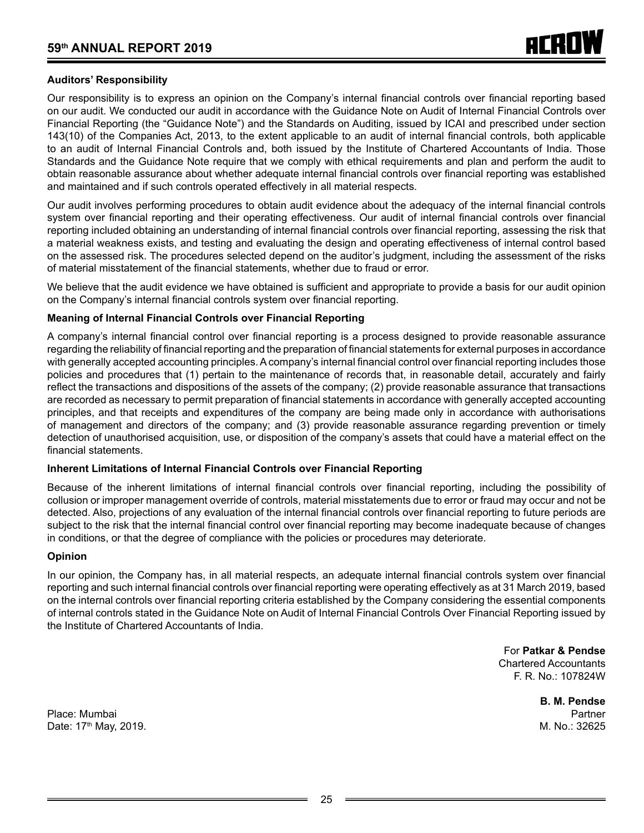#### **Auditors' Responsibility**

Our responsibility is to express an opinion on the Company's internal financial controls over financial reporting based on our audit. We conducted our audit in accordance with the Guidance Note on Audit of Internal Financial Controls over Financial Reporting (the "Guidance Note") and the Standards on Auditing, issued by ICAI and prescribed under section 143(10) of the Companies Act, 2013, to the extent applicable to an audit of internal financial controls, both applicable to an audit of Internal Financial Controls and, both issued by the Institute of Chartered Accountants of India. Those Standards and the Guidance Note require that we comply with ethical requirements and plan and perform the audit to obtain reasonable assurance about whether adequate internal financial controls over financial reporting was established and maintained and if such controls operated effectively in all material respects.

Our audit involves performing procedures to obtain audit evidence about the adequacy of the internal financial controls system over financial reporting and their operating effectiveness. Our audit of internal financial controls over financial reporting included obtaining an understanding of internal financial controls over financial reporting, assessing the risk that a material weakness exists, and testing and evaluating the design and operating effectiveness of internal control based on the assessed risk. The procedures selected depend on the auditor's judgment, including the assessment of the risks of material misstatement of the financial statements, whether due to fraud or error.

We believe that the audit evidence we have obtained is sufficient and appropriate to provide a basis for our audit opinion on the Company's internal financial controls system over financial reporting.

#### **Meaning of Internal Financial Controls over Financial Reporting**

A company's internal financial control over financial reporting is a process designed to provide reasonable assurance regarding the reliability of financial reporting and the preparation of financial statements for external purposes in accordance with generally accepted accounting principles. A company's internal financial control over financial reporting includes those policies and procedures that (1) pertain to the maintenance of records that, in reasonable detail, accurately and fairly reflect the transactions and dispositions of the assets of the company; (2) provide reasonable assurance that transactions are recorded as necessary to permit preparation of financial statements in accordance with generally accepted accounting principles, and that receipts and expenditures of the company are being made only in accordance with authorisations of management and directors of the company; and (3) provide reasonable assurance regarding prevention or timely detection of unauthorised acquisition, use, or disposition of the company's assets that could have a material effect on the financial statements.

#### **Inherent Limitations of Internal Financial Controls over Financial Reporting**

Because of the inherent limitations of internal financial controls over financial reporting, including the possibility of collusion or improper management override of controls, material misstatements due to error or fraud may occur and not be detected. Also, projections of any evaluation of the internal financial controls over financial reporting to future periods are subject to the risk that the internal financial control over financial reporting may become inadequate because of changes in conditions, or that the degree of compliance with the policies or procedures may deteriorate.

#### **Opinion**

In our opinion, the Company has, in all material respects, an adequate internal financial controls system over financial reporting and such internal financial controls over financial reporting were operating effectively as at 31 March 2019, based on the internal controls over financial reporting criteria established by the Company considering the essential components of internal controls stated in the Guidance Note on Audit of Internal Financial Controls Over Financial Reporting issued by the Institute of Chartered Accountants of India.

> For **Patkar & Pendse** Chartered Accountants F. R. No.: 107824W

> > **B. M. Pendse**

Place: Mumbai Partner Date: 17th May, 2019. M. No.: 32625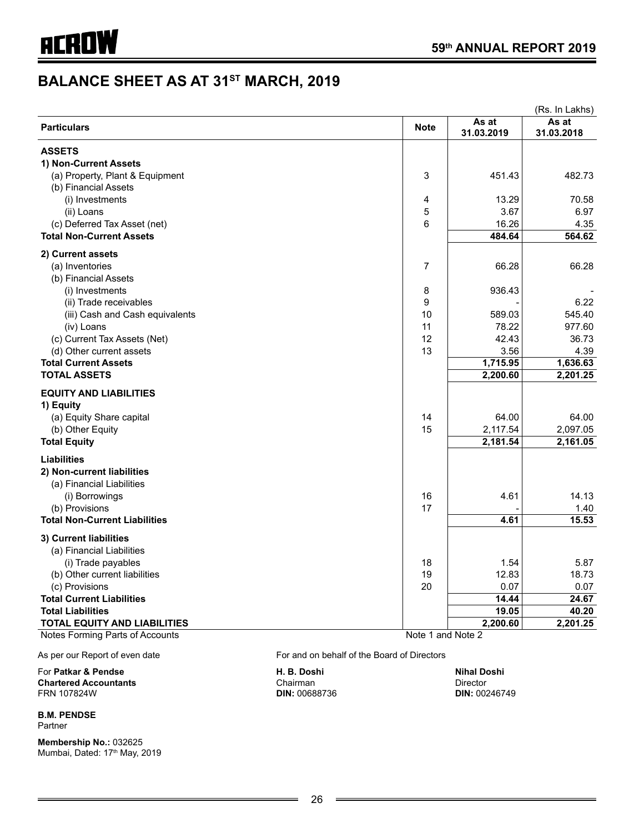

## **BALANCE SHEET AS AT 31ST MARCH, 2019**

| As at<br>As at<br><b>Particulars</b><br><b>Note</b><br>31.03.2019<br>31.03.2018<br><b>ASSETS</b><br>1) Non-Current Assets<br>3<br>451.43<br>482.73<br>(a) Property, Plant & Equipment<br>(b) Financial Assets<br>(i) Investments<br>4<br>13.29<br>70.58<br>5<br>3.67<br>(ii) Loans<br>6.97<br>16.26<br>(c) Deferred Tax Asset (net)<br>6<br>4.35<br><b>Total Non-Current Assets</b><br>484.64<br>564.62<br>2) Current assets<br>7<br>(a) Inventories<br>66.28<br>66.28<br>(b) Financial Assets<br>8<br>936.43<br>(i) Investments<br>9<br>6.22<br>(ii) Trade receivables<br>545.40<br>10<br>589.03<br>(iii) Cash and Cash equivalents<br>11<br>977.60<br>(iv) Loans<br>78.22<br>12<br>42.43<br>36.73<br>(c) Current Tax Assets (Net)<br>13<br>3.56<br>4.39<br>(d) Other current assets<br>1,715.95<br><b>Total Current Assets</b><br>1,636.63<br><b>TOTAL ASSETS</b><br>2,200.60<br>2,201.25<br><b>EQUITY AND LIABILITIES</b><br>1) Equity<br>64.00<br>64.00<br>(a) Equity Share capital<br>14<br>15<br>2,117.54<br>2,097.05<br>(b) Other Equity<br>2,181.54<br><b>Total Equity</b><br>2,161.05<br><b>Liabilities</b><br>2) Non-current liabilities<br>(a) Financial Liabilities<br>16<br>4.61<br>14.13<br>(i) Borrowings<br>17<br>(b) Provisions<br>1.40<br><b>Total Non-Current Liabilities</b><br>4.61<br>15.53<br>3) Current liabilities<br>(a) Financial Liabilities<br>(i) Trade payables<br>18<br>1.54<br>5.87<br>(b) Other current liabilities<br>19<br>12.83<br>18.73<br>20<br>0.07<br>0.07<br>(c) Provisions<br>14.44<br>24.67<br><b>Total Current Liabilities</b><br>19.05<br>40.20<br><b>Total Liabilities</b><br><b>TOTAL EQUITY AND LIABILITIES</b><br>2,200.60<br>2,201.25<br>Note 1 and Note 2<br>Notes Forming Parts of Accounts |  | (Rs. In Lakhs) |
|--------------------------------------------------------------------------------------------------------------------------------------------------------------------------------------------------------------------------------------------------------------------------------------------------------------------------------------------------------------------------------------------------------------------------------------------------------------------------------------------------------------------------------------------------------------------------------------------------------------------------------------------------------------------------------------------------------------------------------------------------------------------------------------------------------------------------------------------------------------------------------------------------------------------------------------------------------------------------------------------------------------------------------------------------------------------------------------------------------------------------------------------------------------------------------------------------------------------------------------------------------------------------------------------------------------------------------------------------------------------------------------------------------------------------------------------------------------------------------------------------------------------------------------------------------------------------------------------------------------------------------------------------------------------------------------------------------------------------------------------------|--|----------------|
|                                                                                                                                                                                                                                                                                                                                                                                                                                                                                                                                                                                                                                                                                                                                                                                                                                                                                                                                                                                                                                                                                                                                                                                                                                                                                                                                                                                                                                                                                                                                                                                                                                                                                                                                                  |  |                |
|                                                                                                                                                                                                                                                                                                                                                                                                                                                                                                                                                                                                                                                                                                                                                                                                                                                                                                                                                                                                                                                                                                                                                                                                                                                                                                                                                                                                                                                                                                                                                                                                                                                                                                                                                  |  |                |
|                                                                                                                                                                                                                                                                                                                                                                                                                                                                                                                                                                                                                                                                                                                                                                                                                                                                                                                                                                                                                                                                                                                                                                                                                                                                                                                                                                                                                                                                                                                                                                                                                                                                                                                                                  |  |                |
|                                                                                                                                                                                                                                                                                                                                                                                                                                                                                                                                                                                                                                                                                                                                                                                                                                                                                                                                                                                                                                                                                                                                                                                                                                                                                                                                                                                                                                                                                                                                                                                                                                                                                                                                                  |  |                |
|                                                                                                                                                                                                                                                                                                                                                                                                                                                                                                                                                                                                                                                                                                                                                                                                                                                                                                                                                                                                                                                                                                                                                                                                                                                                                                                                                                                                                                                                                                                                                                                                                                                                                                                                                  |  |                |
|                                                                                                                                                                                                                                                                                                                                                                                                                                                                                                                                                                                                                                                                                                                                                                                                                                                                                                                                                                                                                                                                                                                                                                                                                                                                                                                                                                                                                                                                                                                                                                                                                                                                                                                                                  |  |                |
|                                                                                                                                                                                                                                                                                                                                                                                                                                                                                                                                                                                                                                                                                                                                                                                                                                                                                                                                                                                                                                                                                                                                                                                                                                                                                                                                                                                                                                                                                                                                                                                                                                                                                                                                                  |  |                |
|                                                                                                                                                                                                                                                                                                                                                                                                                                                                                                                                                                                                                                                                                                                                                                                                                                                                                                                                                                                                                                                                                                                                                                                                                                                                                                                                                                                                                                                                                                                                                                                                                                                                                                                                                  |  |                |
|                                                                                                                                                                                                                                                                                                                                                                                                                                                                                                                                                                                                                                                                                                                                                                                                                                                                                                                                                                                                                                                                                                                                                                                                                                                                                                                                                                                                                                                                                                                                                                                                                                                                                                                                                  |  |                |
|                                                                                                                                                                                                                                                                                                                                                                                                                                                                                                                                                                                                                                                                                                                                                                                                                                                                                                                                                                                                                                                                                                                                                                                                                                                                                                                                                                                                                                                                                                                                                                                                                                                                                                                                                  |  |                |
|                                                                                                                                                                                                                                                                                                                                                                                                                                                                                                                                                                                                                                                                                                                                                                                                                                                                                                                                                                                                                                                                                                                                                                                                                                                                                                                                                                                                                                                                                                                                                                                                                                                                                                                                                  |  |                |
|                                                                                                                                                                                                                                                                                                                                                                                                                                                                                                                                                                                                                                                                                                                                                                                                                                                                                                                                                                                                                                                                                                                                                                                                                                                                                                                                                                                                                                                                                                                                                                                                                                                                                                                                                  |  |                |
|                                                                                                                                                                                                                                                                                                                                                                                                                                                                                                                                                                                                                                                                                                                                                                                                                                                                                                                                                                                                                                                                                                                                                                                                                                                                                                                                                                                                                                                                                                                                                                                                                                                                                                                                                  |  |                |
|                                                                                                                                                                                                                                                                                                                                                                                                                                                                                                                                                                                                                                                                                                                                                                                                                                                                                                                                                                                                                                                                                                                                                                                                                                                                                                                                                                                                                                                                                                                                                                                                                                                                                                                                                  |  |                |
|                                                                                                                                                                                                                                                                                                                                                                                                                                                                                                                                                                                                                                                                                                                                                                                                                                                                                                                                                                                                                                                                                                                                                                                                                                                                                                                                                                                                                                                                                                                                                                                                                                                                                                                                                  |  |                |
|                                                                                                                                                                                                                                                                                                                                                                                                                                                                                                                                                                                                                                                                                                                                                                                                                                                                                                                                                                                                                                                                                                                                                                                                                                                                                                                                                                                                                                                                                                                                                                                                                                                                                                                                                  |  |                |
|                                                                                                                                                                                                                                                                                                                                                                                                                                                                                                                                                                                                                                                                                                                                                                                                                                                                                                                                                                                                                                                                                                                                                                                                                                                                                                                                                                                                                                                                                                                                                                                                                                                                                                                                                  |  |                |
|                                                                                                                                                                                                                                                                                                                                                                                                                                                                                                                                                                                                                                                                                                                                                                                                                                                                                                                                                                                                                                                                                                                                                                                                                                                                                                                                                                                                                                                                                                                                                                                                                                                                                                                                                  |  |                |
|                                                                                                                                                                                                                                                                                                                                                                                                                                                                                                                                                                                                                                                                                                                                                                                                                                                                                                                                                                                                                                                                                                                                                                                                                                                                                                                                                                                                                                                                                                                                                                                                                                                                                                                                                  |  |                |
|                                                                                                                                                                                                                                                                                                                                                                                                                                                                                                                                                                                                                                                                                                                                                                                                                                                                                                                                                                                                                                                                                                                                                                                                                                                                                                                                                                                                                                                                                                                                                                                                                                                                                                                                                  |  |                |
|                                                                                                                                                                                                                                                                                                                                                                                                                                                                                                                                                                                                                                                                                                                                                                                                                                                                                                                                                                                                                                                                                                                                                                                                                                                                                                                                                                                                                                                                                                                                                                                                                                                                                                                                                  |  |                |
|                                                                                                                                                                                                                                                                                                                                                                                                                                                                                                                                                                                                                                                                                                                                                                                                                                                                                                                                                                                                                                                                                                                                                                                                                                                                                                                                                                                                                                                                                                                                                                                                                                                                                                                                                  |  |                |
|                                                                                                                                                                                                                                                                                                                                                                                                                                                                                                                                                                                                                                                                                                                                                                                                                                                                                                                                                                                                                                                                                                                                                                                                                                                                                                                                                                                                                                                                                                                                                                                                                                                                                                                                                  |  |                |
|                                                                                                                                                                                                                                                                                                                                                                                                                                                                                                                                                                                                                                                                                                                                                                                                                                                                                                                                                                                                                                                                                                                                                                                                                                                                                                                                                                                                                                                                                                                                                                                                                                                                                                                                                  |  |                |
|                                                                                                                                                                                                                                                                                                                                                                                                                                                                                                                                                                                                                                                                                                                                                                                                                                                                                                                                                                                                                                                                                                                                                                                                                                                                                                                                                                                                                                                                                                                                                                                                                                                                                                                                                  |  |                |
|                                                                                                                                                                                                                                                                                                                                                                                                                                                                                                                                                                                                                                                                                                                                                                                                                                                                                                                                                                                                                                                                                                                                                                                                                                                                                                                                                                                                                                                                                                                                                                                                                                                                                                                                                  |  |                |
|                                                                                                                                                                                                                                                                                                                                                                                                                                                                                                                                                                                                                                                                                                                                                                                                                                                                                                                                                                                                                                                                                                                                                                                                                                                                                                                                                                                                                                                                                                                                                                                                                                                                                                                                                  |  |                |
|                                                                                                                                                                                                                                                                                                                                                                                                                                                                                                                                                                                                                                                                                                                                                                                                                                                                                                                                                                                                                                                                                                                                                                                                                                                                                                                                                                                                                                                                                                                                                                                                                                                                                                                                                  |  |                |
|                                                                                                                                                                                                                                                                                                                                                                                                                                                                                                                                                                                                                                                                                                                                                                                                                                                                                                                                                                                                                                                                                                                                                                                                                                                                                                                                                                                                                                                                                                                                                                                                                                                                                                                                                  |  |                |
|                                                                                                                                                                                                                                                                                                                                                                                                                                                                                                                                                                                                                                                                                                                                                                                                                                                                                                                                                                                                                                                                                                                                                                                                                                                                                                                                                                                                                                                                                                                                                                                                                                                                                                                                                  |  |                |
|                                                                                                                                                                                                                                                                                                                                                                                                                                                                                                                                                                                                                                                                                                                                                                                                                                                                                                                                                                                                                                                                                                                                                                                                                                                                                                                                                                                                                                                                                                                                                                                                                                                                                                                                                  |  |                |
|                                                                                                                                                                                                                                                                                                                                                                                                                                                                                                                                                                                                                                                                                                                                                                                                                                                                                                                                                                                                                                                                                                                                                                                                                                                                                                                                                                                                                                                                                                                                                                                                                                                                                                                                                  |  |                |
|                                                                                                                                                                                                                                                                                                                                                                                                                                                                                                                                                                                                                                                                                                                                                                                                                                                                                                                                                                                                                                                                                                                                                                                                                                                                                                                                                                                                                                                                                                                                                                                                                                                                                                                                                  |  |                |
|                                                                                                                                                                                                                                                                                                                                                                                                                                                                                                                                                                                                                                                                                                                                                                                                                                                                                                                                                                                                                                                                                                                                                                                                                                                                                                                                                                                                                                                                                                                                                                                                                                                                                                                                                  |  |                |
|                                                                                                                                                                                                                                                                                                                                                                                                                                                                                                                                                                                                                                                                                                                                                                                                                                                                                                                                                                                                                                                                                                                                                                                                                                                                                                                                                                                                                                                                                                                                                                                                                                                                                                                                                  |  |                |
|                                                                                                                                                                                                                                                                                                                                                                                                                                                                                                                                                                                                                                                                                                                                                                                                                                                                                                                                                                                                                                                                                                                                                                                                                                                                                                                                                                                                                                                                                                                                                                                                                                                                                                                                                  |  |                |
|                                                                                                                                                                                                                                                                                                                                                                                                                                                                                                                                                                                                                                                                                                                                                                                                                                                                                                                                                                                                                                                                                                                                                                                                                                                                                                                                                                                                                                                                                                                                                                                                                                                                                                                                                  |  |                |
|                                                                                                                                                                                                                                                                                                                                                                                                                                                                                                                                                                                                                                                                                                                                                                                                                                                                                                                                                                                                                                                                                                                                                                                                                                                                                                                                                                                                                                                                                                                                                                                                                                                                                                                                                  |  |                |
|                                                                                                                                                                                                                                                                                                                                                                                                                                                                                                                                                                                                                                                                                                                                                                                                                                                                                                                                                                                                                                                                                                                                                                                                                                                                                                                                                                                                                                                                                                                                                                                                                                                                                                                                                  |  |                |
|                                                                                                                                                                                                                                                                                                                                                                                                                                                                                                                                                                                                                                                                                                                                                                                                                                                                                                                                                                                                                                                                                                                                                                                                                                                                                                                                                                                                                                                                                                                                                                                                                                                                                                                                                  |  |                |
|                                                                                                                                                                                                                                                                                                                                                                                                                                                                                                                                                                                                                                                                                                                                                                                                                                                                                                                                                                                                                                                                                                                                                                                                                                                                                                                                                                                                                                                                                                                                                                                                                                                                                                                                                  |  |                |
|                                                                                                                                                                                                                                                                                                                                                                                                                                                                                                                                                                                                                                                                                                                                                                                                                                                                                                                                                                                                                                                                                                                                                                                                                                                                                                                                                                                                                                                                                                                                                                                                                                                                                                                                                  |  |                |
|                                                                                                                                                                                                                                                                                                                                                                                                                                                                                                                                                                                                                                                                                                                                                                                                                                                                                                                                                                                                                                                                                                                                                                                                                                                                                                                                                                                                                                                                                                                                                                                                                                                                                                                                                  |  |                |

For **Patkar & Pendse H. B. Doshi Nihal Doshi Chartered Accountants**<br> **Chairman Chairman** Director<br> **Chairman** Director<br>
DIN: 00688736 **DIN: 00246749** 

**B.M. PENDSE**  Partner

**Membership No.:** 032625 Mumbai, Dated: 17<sup>th</sup> May, 2019

As per our Report of even date For and on behalf of the Board of Directors

FRN 107824W **DIN:** 00688736 **DIN:** 00246749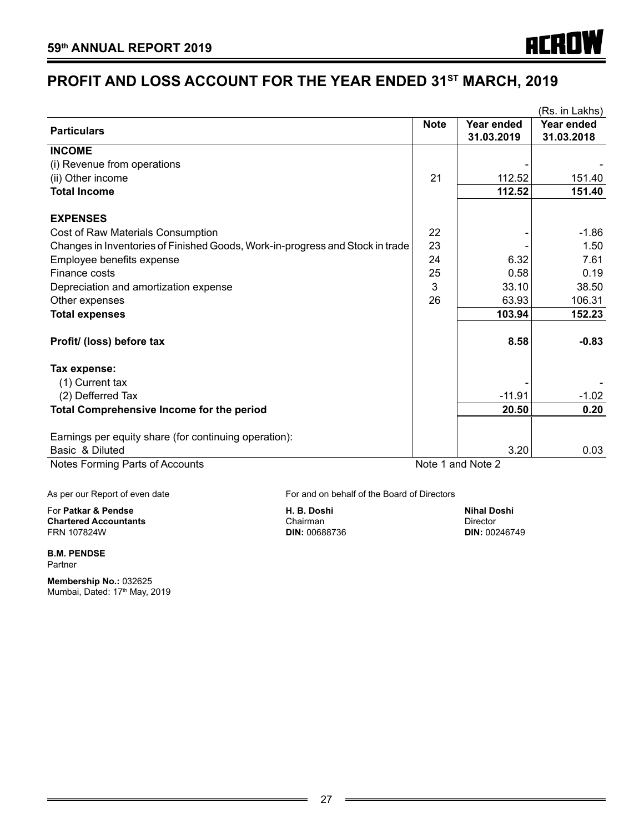## PROFIT AND LOSS ACCOUNT FOR THE YEAR ENDED 31<sup>ST</sup> MARCH, 2019

|                                                                               |             |                          | (Rs. in Lakhs)           |
|-------------------------------------------------------------------------------|-------------|--------------------------|--------------------------|
| <b>Particulars</b>                                                            | <b>Note</b> | Year ended<br>31.03.2019 | Year ended<br>31.03.2018 |
| <b>INCOME</b>                                                                 |             |                          |                          |
| (i) Revenue from operations                                                   |             |                          |                          |
| (ii) Other income                                                             | 21          | 112.52                   | 151.40                   |
| <b>Total Income</b>                                                           |             | 112.52                   | 151.40                   |
| <b>EXPENSES</b>                                                               |             |                          |                          |
| Cost of Raw Materials Consumption                                             | 22          |                          | $-1.86$                  |
| Changes in Inventories of Finished Goods, Work-in-progress and Stock in trade | 23          |                          | 1.50                     |
| Employee benefits expense                                                     | 24          | 6.32                     | 7.61                     |
| Finance costs                                                                 | 25          | 0.58                     | 0.19                     |
| Depreciation and amortization expense                                         | 3           | 33.10                    | 38.50                    |
| Other expenses                                                                | 26          | 63.93                    | 106.31                   |
| <b>Total expenses</b>                                                         |             | 103.94                   | 152.23                   |
| Profit/ (loss) before tax                                                     |             | 8.58                     | $-0.83$                  |
| Tax expense:                                                                  |             |                          |                          |
| (1) Current tax                                                               |             |                          |                          |
| (2) Defferred Tax                                                             |             | $-11.91$                 | $-1.02$                  |
| Total Comprehensive Income for the period                                     |             | 20.50                    | 0.20                     |
| Earnings per equity share (for continuing operation):                         |             |                          |                          |
| Basic & Diluted                                                               |             | 3.20                     | 0.03                     |
| Notes Forming Parts of Accounts                                               |             | Note 1 and Note 2        |                          |

**For Patkar & Pendse Chartered Accountants**  $FRN 107824W$ 

**B.M. PENDSE**  Partner

**Membership No.:** 032625 Mumbai, Dated: 17<sup>th</sup> May, 2019

As per our Report of even date For and on behalf of the Board of Directors

| H. B. Doshi          | Nihal Doshi          |
|----------------------|----------------------|
| Chairman             | Director             |
| <b>DIN: 00688736</b> | <b>DIN: 00246749</b> |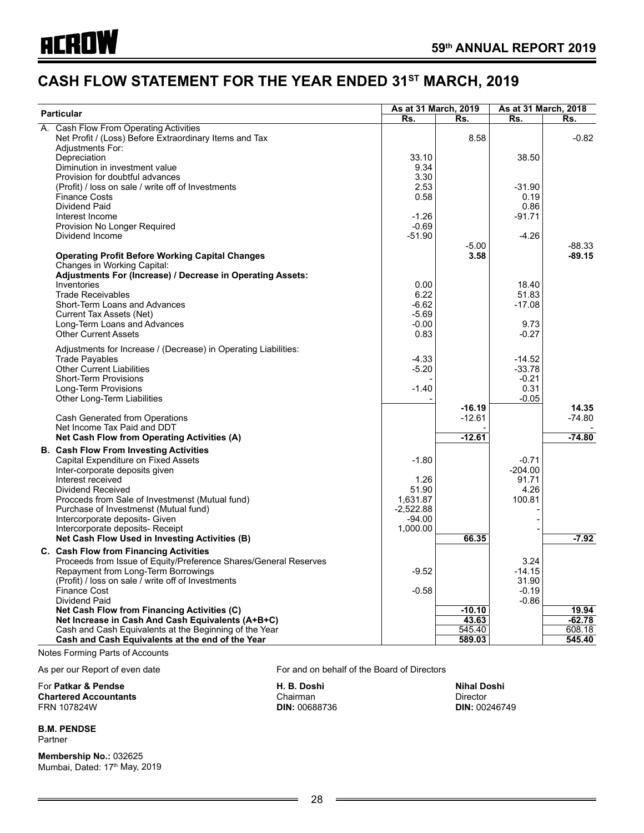## **CASH FLOW STATEMENT FOR THE YEAR ENDED 31ST MARCH, 2019**

| <b>Particular</b>                                                                                | As at 31 March, 2019 |          |           | As at 31 March, 2018 |  |
|--------------------------------------------------------------------------------------------------|----------------------|----------|-----------|----------------------|--|
|                                                                                                  | Rs.                  | Rs.      | Rs.       | Rs.                  |  |
| A. Cash Flow From Operating Activities<br>Net Profit / (Loss) Before Extraordinary Items and Tax |                      | 8.58     |           | $-0.82$              |  |
| <b>Adjustments For:</b>                                                                          |                      |          |           |                      |  |
| Depreciation                                                                                     | 33.10                |          | 38.50     |                      |  |
| Diminution in investment value                                                                   | 9.34                 |          |           |                      |  |
| Provision for doubtful advances                                                                  | 3.30                 |          |           |                      |  |
| (Profit) / loss on sale / write off of Investments                                               | 2.53                 |          | $-31.90$  |                      |  |
| <b>Finance Costs</b>                                                                             | 0.58                 |          | 0.19      |                      |  |
| Dividend Paid                                                                                    |                      |          | 0.86      |                      |  |
| Interest Income<br>Provision No Longer Required                                                  | $-1.26$<br>$-0.69$   |          | $-91.71$  |                      |  |
| Dividend Income                                                                                  | $-51.90$             |          | $-4.26$   |                      |  |
|                                                                                                  |                      | $-5.00$  |           | $-88.33$             |  |
| <b>Operating Profit Before Working Capital Changes</b><br>Changes in Working Capital:            |                      | 3.58     |           | $-89.15$             |  |
| Adjustments For (Increase) / Decrease in Operating Assets:                                       |                      |          |           |                      |  |
| Inventories                                                                                      | 0.00                 |          | 18.40     |                      |  |
| <b>Trade Receivables</b>                                                                         | 6.22                 |          | 51.83     |                      |  |
| Short-Term Loans and Advances                                                                    | $-6.62$              |          | $-17.08$  |                      |  |
| <b>Current Tax Assets (Net)</b>                                                                  | $-5.69$              |          |           |                      |  |
| Long-Term Loans and Advances                                                                     | $-0.00$              |          | 9.73      |                      |  |
| <b>Other Current Assets</b>                                                                      | 0.83                 |          | $-0.27$   |                      |  |
|                                                                                                  |                      |          |           |                      |  |
| Adjustments for Increase / (Decrease) in Operating Liabilities:<br><b>Trade Pavables</b>         | $-4.33$              |          | $-14.52$  |                      |  |
| <b>Other Current Liabilities</b>                                                                 | $-5.20$              |          | $-33.78$  |                      |  |
| <b>Short-Term Provisions</b>                                                                     |                      |          | $-0.21$   |                      |  |
| Long-Term Provisions                                                                             | $-1.40$              |          | 0.31      |                      |  |
| Other Long-Term Liabilities                                                                      |                      |          | $-0.05$   |                      |  |
|                                                                                                  |                      | $-16.19$ |           | 14.35                |  |
| Cash Generated from Operations                                                                   |                      | $-12.61$ |           | $-74.80$             |  |
| Net Income Tax Paid and DDT                                                                      |                      |          |           |                      |  |
| Net Cash Flow from Operating Activities (A)                                                      |                      | $-12.61$ |           | $-74.80$             |  |
| <b>B. Cash Flow From Investing Activities</b>                                                    |                      |          |           |                      |  |
| Capital Expenditure on Fixed Assets                                                              | $-1.80$              |          | $-0.71$   |                      |  |
| Inter-corporate deposits given                                                                   |                      |          | $-204.00$ |                      |  |
| Interest received                                                                                | 1.26                 |          | 91.71     |                      |  |
| Dividend Received                                                                                | 51.90                |          | 4.26      |                      |  |
| Procceds from Sale of Investmenst (Mutual fund)                                                  | 1.631.87             |          | 100.81    |                      |  |
| Purchase of Investmenst (Mutual fund)                                                            | $-2,522.88$          |          |           |                      |  |
| Intercorporate deposits- Given                                                                   | $-94.00$             |          |           |                      |  |
| Intercorporate deposits- Receipt                                                                 | 1,000.00             |          |           |                      |  |
| Net Cash Flow Used in Investing Activities (B)                                                   |                      | 66.35    |           | $-7.92$              |  |
| C. Cash Flow from Financing Activities                                                           |                      |          |           |                      |  |
| Proceeds from Issue of Equity/Preference Shares/General Reserves                                 |                      |          | 3.24      |                      |  |
| Repayment from Long-Term Borrowings                                                              | $-9.52$              |          | $-14.15$  |                      |  |
| (Profit) / loss on sale / write off of Investments                                               |                      |          | 31.90     |                      |  |
| <b>Finance Cost</b>                                                                              | $-0.58$              |          | $-0.19$   |                      |  |
| Dividend Paid                                                                                    |                      |          | $-0.86$   |                      |  |
| Net Cash Flow from Financing Activities (C)                                                      |                      | $-10.10$ |           | 19.94                |  |
| Net Increase in Cash And Cash Equivalents (A+B+C)                                                |                      | 43.63    |           | $-62.78$             |  |
| Cash and Cash Equivalents at the Beginning of the Year                                           |                      | 545.40   |           | 608.18               |  |
| Cash and Cash Equivalents at the end of the Year                                                 |                      | 589.03   |           | 545.40               |  |

Notes Forming Parts of Accounts

For **Patkar & Pendse H. B. Doshi Nihal Doshi Chartered Accountants**<br> **Chairman Chairman** Director<br> **Chairman** Director<br>
DIN: 00688736 DIN: 00246749

**B.M. PENDSE** 

Partner

**Membership No.:** 032625 Mumbai, Dated: 17<sup>th</sup> May, 2019

As per our Report of even date For and on behalf of the Board of Directors

FRN 107824W **DIN:** 00688736 **DIN:** 00246749

 $\overline{a}$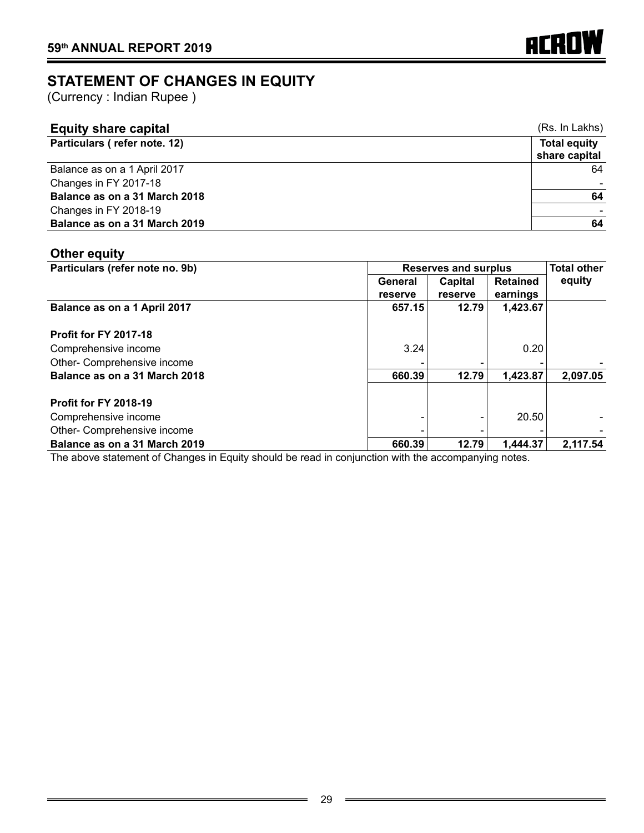

## **Statement of changes in equity**

(Currency : Indian Rupee )

| <b>Equity share capital</b>   | (Rs. In Lakhs)      |
|-------------------------------|---------------------|
| Particulars (refer note. 12)  | <b>Total equity</b> |
|                               | share capital       |
| Balance as on a 1 April 2017  | 64                  |
| Changes in FY 2017-18         |                     |
| Balance as on a 31 March 2018 | 64                  |
| Changes in FY 2018-19         |                     |
| Balance as on a 31 March 2019 | 64                  |

#### **Other equity**

| Particulars (refer note no. 9b) | <b>Reserves and surplus</b> |                |                 | <b>Total other</b> |
|---------------------------------|-----------------------------|----------------|-----------------|--------------------|
|                                 | General                     | Capital        | <b>Retained</b> | equity             |
|                                 | reserve                     | <b>reserve</b> | earnings        |                    |
| Balance as on a 1 April 2017    | 657.15                      | 12.79          | 1,423.67        |                    |
| <b>Profit for FY 2017-18</b>    |                             |                |                 |                    |
| Comprehensive income            | 3.24                        |                | 0.20            |                    |
| Other- Comprehensive income     |                             |                |                 |                    |
| Balance as on a 31 March 2018   | 660.39                      | 12.79          | 1,423.87        | 2,097.05           |
| <b>Profit for FY 2018-19</b>    |                             |                |                 |                    |
| Comprehensive income            |                             |                | 20.50           |                    |
| Other- Comprehensive income     |                             |                |                 |                    |
| Balance as on a 31 March 2019   | 660.39                      | 12.79          | 1,444.37        | 2,117.54           |

The above statement of Changes in Equity should be read in conjunction with the accompanying notes.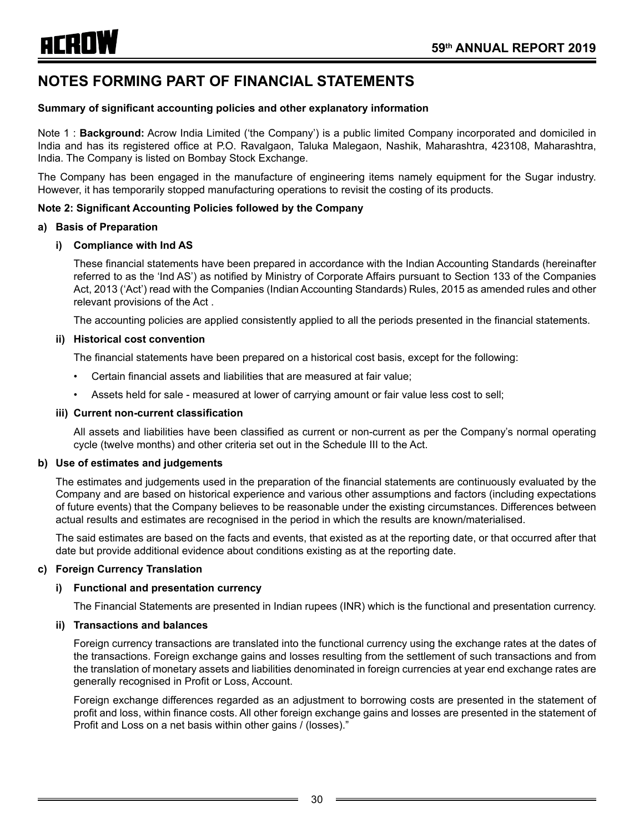#### **Summary of significant accounting policies and other explanatory information**

Note 1 : **Background:** Acrow India Limited ('the Company') is a public limited Company incorporated and domiciled in India and has its registered office at P.O. Ravalgaon, Taluka Malegaon, Nashik, Maharashtra, 423108, Maharashtra, India. The Company is listed on Bombay Stock Exchange.

The Company has been engaged in the manufacture of engineering items namely equipment for the Sugar industry. However, it has temporarily stopped manufacturing operations to revisit the costing of its products.

#### **Note 2: Significant Accounting Policies followed by the Company**

#### **a) Basis of Preparation**

#### **i) Compliance with Ind AS**

These financial statements have been prepared in accordance with the Indian Accounting Standards (hereinafter referred to as the 'Ind AS') as notified by Ministry of Corporate Affairs pursuant to Section 133 of the Companies Act, 2013 ('Act') read with the Companies (Indian Accounting Standards) Rules, 2015 as amended rules and other relevant provisions of the Act .

The accounting policies are applied consistently applied to all the periods presented in the financial statements.

#### **ii) Historical cost convention**

The financial statements have been prepared on a historical cost basis, except for the following:

- Certain financial assets and liabilities that are measured at fair value;
- Assets held for sale measured at lower of carrying amount or fair value less cost to sell;

#### **iii) Current non-current classification**

All assets and liabilities have been classified as current or non-current as per the Company's normal operating cycle (twelve months) and other criteria set out in the Schedule III to the Act.

#### **b) Use of estimates and judgements**

The estimates and judgements used in the preparation of the financial statements are continuously evaluated by the Company and are based on historical experience and various other assumptions and factors (including expectations of future events) that the Company believes to be reasonable under the existing circumstances. Differences between actual results and estimates are recognised in the period in which the results are known/materialised.

The said estimates are based on the facts and events, that existed as at the reporting date, or that occurred after that date but provide additional evidence about conditions existing as at the reporting date.

#### **c) Foreign Currency Translation**

#### **i) Functional and presentation currency**

The Financial Statements are presented in Indian rupees (INR) which is the functional and presentation currency.

#### **ii) Transactions and balances**

Foreign currency transactions are translated into the functional currency using the exchange rates at the dates of the transactions. Foreign exchange gains and losses resulting from the settlement of such transactions and from the translation of monetary assets and liabilities denominated in foreign currencies at year end exchange rates are generally recognised in Profit or Loss, Account.

Foreign exchange differences regarded as an adjustment to borrowing costs are presented in the statement of profit and loss, within finance costs. All other foreign exchange gains and losses are presented in the statement of Profit and Loss on a net basis within other gains / (losses)."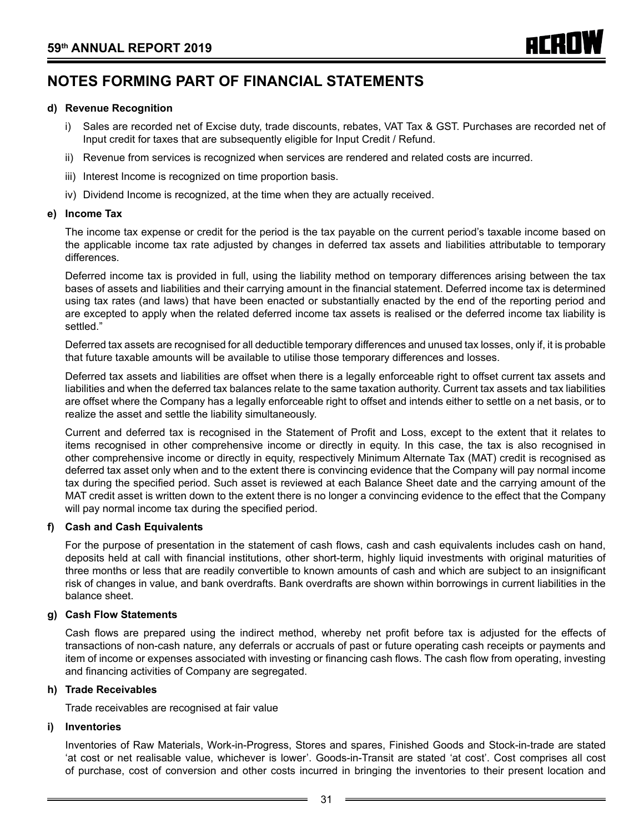#### **d) Revenue Recognition**

- i) Sales are recorded net of Excise duty, trade discounts, rebates, VAT Tax & GST. Purchases are recorded net of Input credit for taxes that are subsequently eligible for Input Credit / Refund.
- ii) Revenue from services is recognized when services are rendered and related costs are incurred.
- iii) Interest Income is recognized on time proportion basis.
- iv) Dividend Income is recognized, at the time when they are actually received.

#### **e) Income Tax**

The income tax expense or credit for the period is the tax payable on the current period's taxable income based on the applicable income tax rate adjusted by changes in deferred tax assets and liabilities attributable to temporary differences.

Deferred income tax is provided in full, using the liability method on temporary differences arising between the tax bases of assets and liabilities and their carrying amount in the financial statement. Deferred income tax is determined using tax rates (and laws) that have been enacted or substantially enacted by the end of the reporting period and are excepted to apply when the related deferred income tax assets is realised or the deferred income tax liability is settled."

Deferred tax assets are recognised for all deductible temporary differences and unused tax losses, only if, it is probable that future taxable amounts will be available to utilise those temporary differences and losses.

Deferred tax assets and liabilities are offset when there is a legally enforceable right to offset current tax assets and liabilities and when the deferred tax balances relate to the same taxation authority. Current tax assets and tax liabilities are offset where the Company has a legally enforceable right to offset and intends either to settle on a net basis, or to realize the asset and settle the liability simultaneously.

Current and deferred tax is recognised in the Statement of Profit and Loss, except to the extent that it relates to items recognised in other comprehensive income or directly in equity. In this case, the tax is also recognised in other comprehensive income or directly in equity, respectively Minimum Alternate Tax (MAT) credit is recognised as deferred tax asset only when and to the extent there is convincing evidence that the Company will pay normal income tax during the specified period. Such asset is reviewed at each Balance Sheet date and the carrying amount of the MAT credit asset is written down to the extent there is no longer a convincing evidence to the effect that the Company will pay normal income tax during the specified period.

#### **f) Cash and Cash Equivalents**

For the purpose of presentation in the statement of cash flows, cash and cash equivalents includes cash on hand, deposits held at call with financial institutions, other short-term, highly liquid investments with original maturities of three months or less that are readily convertible to known amounts of cash and which are subject to an insignificant risk of changes in value, and bank overdrafts. Bank overdrafts are shown within borrowings in current liabilities in the balance sheet.

#### **g) Cash Flow Statements**

Cash flows are prepared using the indirect method, whereby net profit before tax is adjusted for the effects of transactions of non-cash nature, any deferrals or accruals of past or future operating cash receipts or payments and item of income or expenses associated with investing or financing cash flows. The cash flow from operating, investing and financing activities of Company are segregated.

#### **h) Trade Receivables**

Trade receivables are recognised at fair value

#### **i) Inventories**

Inventories of Raw Materials, Work-in-Progress, Stores and spares, Finished Goods and Stock-in-trade are stated 'at cost or net realisable value, whichever is lower'. Goods-in-Transit are stated 'at cost'. Cost comprises all cost of purchase, cost of conversion and other costs incurred in bringing the inventories to their present location and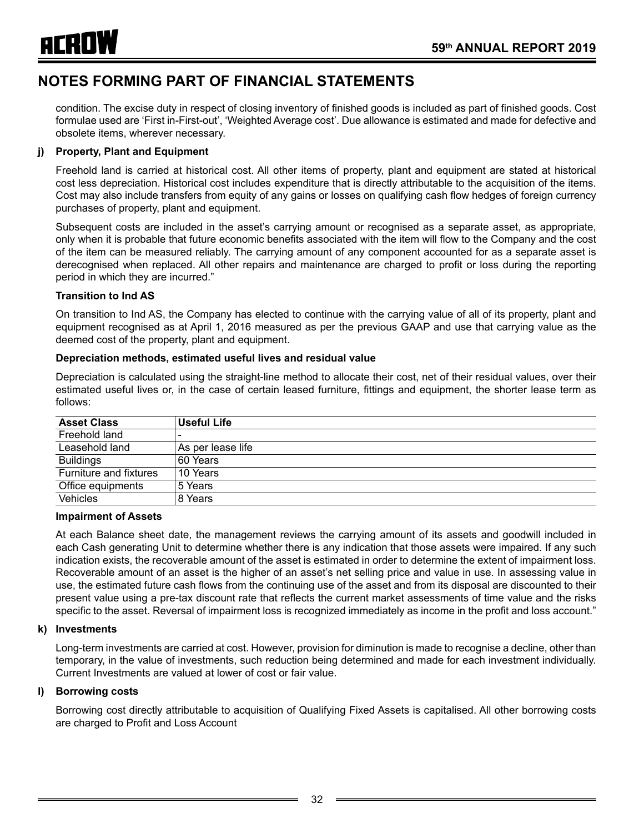

condition. The excise duty in respect of closing inventory of finished goods is included as part of finished goods. Cost formulae used are 'First in-First-out', 'Weighted Average cost'. Due allowance is estimated and made for defective and obsolete items, wherever necessary.

#### **j) Property, Plant and Equipment**

Freehold land is carried at historical cost. All other items of property, plant and equipment are stated at historical cost less depreciation. Historical cost includes expenditure that is directly attributable to the acquisition of the items. Cost may also include transfers from equity of any gains or losses on qualifying cash flow hedges of foreign currency purchases of property, plant and equipment.

Subsequent costs are included in the asset's carrying amount or recognised as a separate asset, as appropriate, only when it is probable that future economic benefits associated with the item will flow to the Company and the cost of the item can be measured reliably. The carrying amount of any component accounted for as a separate asset is derecognised when replaced. All other repairs and maintenance are charged to profit or loss during the reporting period in which they are incurred."

#### **Transition to Ind AS**

On transition to Ind AS, the Company has elected to continue with the carrying value of all of its property, plant and equipment recognised as at April 1, 2016 measured as per the previous GAAP and use that carrying value as the deemed cost of the property, plant and equipment.

#### **Depreciation methods, estimated useful lives and residual value**

Depreciation is calculated using the straight-line method to allocate their cost, net of their residual values, over their estimated useful lives or, in the case of certain leased furniture, fittings and equipment, the shorter lease term as follows:

| <b>Asset Class</b>     | <b>Useful Life</b> |
|------------------------|--------------------|
| Freehold land          | -                  |
| Leasehold land         | As per lease life  |
| <b>Buildings</b>       | 60 Years           |
| Furniture and fixtures | 10 Years           |
| Office equipments      | 15 Years           |
| <b>Vehicles</b>        | 8 Years            |

#### **Impairment of Assets**

At each Balance sheet date, the management reviews the carrying amount of its assets and goodwill included in each Cash generating Unit to determine whether there is any indication that those assets were impaired. If any such indication exists, the recoverable amount of the asset is estimated in order to determine the extent of impairment loss. Recoverable amount of an asset is the higher of an asset's net selling price and value in use. In assessing value in use, the estimated future cash flows from the continuing use of the asset and from its disposal are discounted to their present value using a pre-tax discount rate that reflects the current market assessments of time value and the risks specific to the asset. Reversal of impairment loss is recognized immediately as income in the profit and loss account."

#### **k) Investments**

Long-term investments are carried at cost. However, provision for diminution is made to recognise a decline, other than temporary, in the value of investments, such reduction being determined and made for each investment individually. Current Investments are valued at lower of cost or fair value.

#### **l) Borrowing costs**

Borrowing cost directly attributable to acquisition of Qualifying Fixed Assets is capitalised. All other borrowing costs are charged to Profit and Loss Account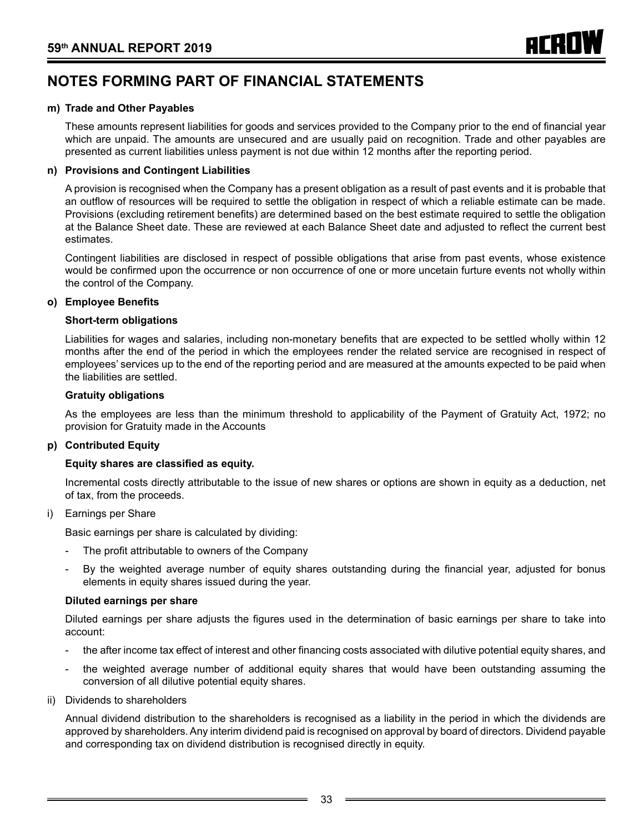#### **m) Trade and Other Payables**

These amounts represent liabilities for goods and services provided to the Company prior to the end of financial year which are unpaid. The amounts are unsecured and are usually paid on recognition. Trade and other payables are presented as current liabilities unless payment is not due within 12 months after the reporting period.

#### **n) Provisions and Contingent Liabilities**

A provision is recognised when the Company has a present obligation as a result of past events and it is probable that an outflow of resources will be required to settle the obligation in respect of which a reliable estimate can be made. Provisions (excluding retirement benefits) are determined based on the best estimate required to settle the obligation at the Balance Sheet date. These are reviewed at each Balance Sheet date and adjusted to reflect the current best estimates.

Contingent liabilities are disclosed in respect of possible obligations that arise from past events, whose existence would be confirmed upon the occurrence or non occurrence of one or more uncetain furture events not wholly within the control of the Company.

#### **o) Employee Benefits**

#### **Short-term obligations**

Liabilities for wages and salaries, including non-monetary benefits that are expected to be settled wholly within 12 months after the end of the period in which the employees render the related service are recognised in respect of employees' services up to the end of the reporting period and are measured at the amounts expected to be paid when the liabilities are settled.

#### **Gratuity obligations**

As the employees are less than the minimum threshold to applicability of the Payment of Gratuity Act, 1972; no provision for Gratuity made in the Accounts

#### **p) Contributed Equity**

#### **Equity shares are classified as equity.**

Incremental costs directly attributable to the issue of new shares or options are shown in equity as a deduction, net of tax, from the proceeds.

#### i) Earnings per Share

Basic earnings per share is calculated by dividing:

- The profit attributable to owners of the Company
- By the weighted average number of equity shares outstanding during the financial year, adjusted for bonus elements in equity shares issued during the year.

#### **Diluted earnings per share**

Diluted earnings per share adjusts the figures used in the determination of basic earnings per share to take into account:

- the after income tax effect of interest and other financing costs associated with dilutive potential equity shares, and
- the weighted average number of additional equity shares that would have been outstanding assuming the conversion of all dilutive potential equity shares.
- ii) Dividends to shareholders

Annual dividend distribution to the shareholders is recognised as a liability in the period in which the dividends are approved by shareholders. Any interim dividend paid is recognised on approval by board of directors. Dividend payable and corresponding tax on dividend distribution is recognised directly in equity.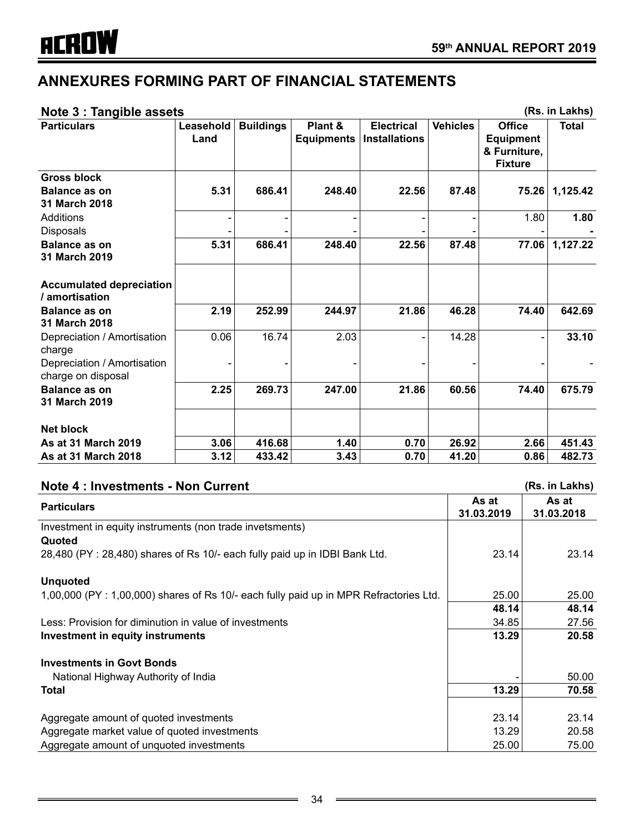#### **Note 3 : Tangible assets (Rs. in Lakhs)**

| now o . Tangibio assolis                          |                   |                  |                              |                                           |                 |                                                                     | , , , , , , , , , , , , , , , , , , , |
|---------------------------------------------------|-------------------|------------------|------------------------------|-------------------------------------------|-----------------|---------------------------------------------------------------------|---------------------------------------|
| <b>Particulars</b>                                | Leasehold<br>Land | <b>Buildings</b> | Plant &<br><b>Equipments</b> | <b>Electrical</b><br><b>Installations</b> | <b>Vehicles</b> | <b>Office</b><br><b>Equipment</b><br>& Furniture,<br><b>Fixture</b> | <b>Total</b>                          |
| <b>Gross block</b>                                |                   |                  |                              |                                           |                 |                                                                     |                                       |
| <b>Balance as on</b><br>31 March 2018             | 5.31              | 686.41           | 248.40                       | 22.56                                     | 87.48           | 75.26                                                               | 1,125.42                              |
| Additions                                         |                   |                  |                              |                                           |                 | 1.80                                                                | 1.80                                  |
| <b>Disposals</b>                                  |                   |                  |                              |                                           |                 |                                                                     |                                       |
| <b>Balance as on</b><br>31 March 2019             | 5.31              | 686.41           | 248.40                       | 22.56                                     | 87.48           | 77.06                                                               | 1,127.22                              |
| <b>Accumulated depreciation</b><br>/ amortisation |                   |                  |                              |                                           |                 |                                                                     |                                       |
| <b>Balance as on</b><br>31 March 2018             | 2.19              | 252.99           | 244.97                       | 21.86                                     | 46.28           | 74.40                                                               | 642.69                                |
| Depreciation / Amortisation<br>charge             | 0.06              | 16.74            | 2.03                         |                                           | 14.28           |                                                                     | 33.10                                 |
| Depreciation / Amortisation<br>charge on disposal |                   |                  |                              |                                           |                 |                                                                     |                                       |
| <b>Balance as on</b><br>31 March 2019             | 2.25              | 269.73           | 247.00                       | 21.86                                     | 60.56           | 74.40                                                               | 675.79                                |
| Net block                                         |                   |                  |                              |                                           |                 |                                                                     |                                       |
| As at 31 March 2019                               | 3.06              | 416.68           | 1.40                         | 0.70                                      | 26.92           | 2.66                                                                | 451.43                                |
| <b>As at 31 March 2018</b>                        | 3.12              | 433.42           | 3.43                         | 0.70                                      | 41.20           | 0.86                                                                | 482.73                                |

| <b>Note 4: Investments - Non Current</b>                                               |                     | (Rs. in Lakhs)      |
|----------------------------------------------------------------------------------------|---------------------|---------------------|
| <b>Particulars</b>                                                                     | As at<br>31.03.2019 | As at<br>31.03.2018 |
| Investment in equity instruments (non trade invetsments)                               |                     |                     |
| Quoted                                                                                 |                     |                     |
| 28,480 (PY : 28,480) shares of Rs 10/- each fully paid up in IDBI Bank Ltd.            | 23.14               | 23.14               |
| <b>Unquoted</b>                                                                        |                     |                     |
| 1,00,000 (PY : 1,00,000) shares of Rs 10/- each fully paid up in MPR Refractories Ltd. | 25.00               | 25.00               |
|                                                                                        | 48.14               | 48.14               |
| Less: Provision for diminution in value of investments                                 | 34.85               | 27.56               |
| Investment in equity instruments                                                       | 13.29               | 20.58               |
| <b>Investments in Govt Bonds</b>                                                       |                     |                     |
| National Highway Authority of India                                                    |                     | 50.00               |
| Total                                                                                  | 13.29               | 70.58               |
| Aggregate amount of quoted investments                                                 | 23.14               | 23.14               |
| Aggregate market value of quoted investments                                           | 13.29               | 20.58               |
| Aggregate amount of unquoted investments                                               | 25.00               | 75.00               |

− a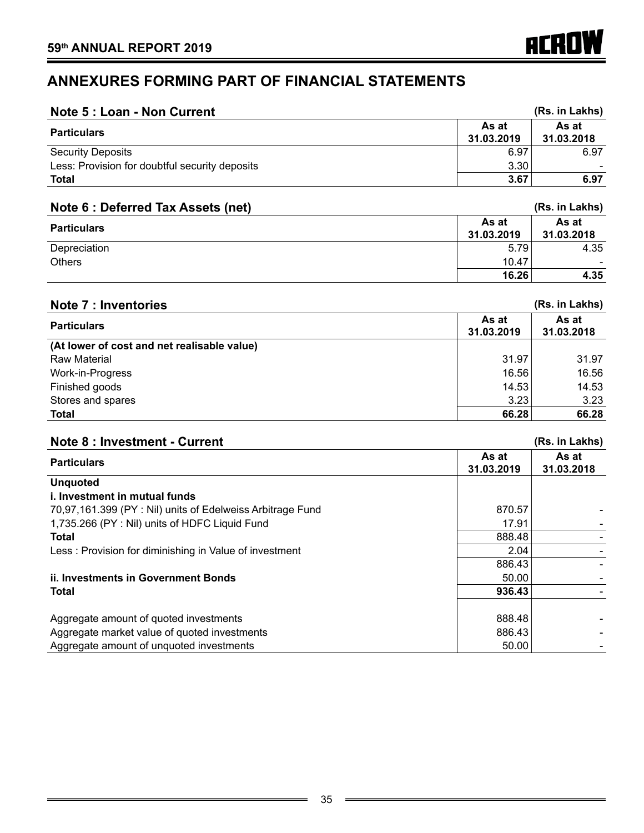| Note 5 : Loan - Non Current                    |            | (Rs. in Lakhs) |
|------------------------------------------------|------------|----------------|
| <b>Particulars</b>                             | As at      | As at          |
|                                                | 31.03.2019 | 31.03.2018     |
| <b>Security Deposits</b>                       | 6.97       | 6.97           |
| Less: Provision for doubtful security deposits | 3.30       |                |
| <b>Total</b>                                   | 3.67       | 6.97           |
|                                                |            |                |

| Note 6 : Deferred Tax Assets (net) |            | (Rs. in Lakhs) |
|------------------------------------|------------|----------------|
| <b>Particulars</b>                 | As at      | As at          |
|                                    | 31.03.2019 | 31.03.2018     |
| Depreciation                       | 5.79       | 4.35           |
| Others                             | 10.47      |                |
|                                    | 16.26      | 4.35           |

## **Note 7 : Inventories (Rs. in Lakhs)**

| <b>Particulars</b>                          | As at<br>31.03.2019 | As at<br>31.03.2018 |
|---------------------------------------------|---------------------|---------------------|
| (At lower of cost and net realisable value) |                     |                     |
| <b>Raw Material</b>                         | 31.97               | 31.97               |
| Work-in-Progress                            | 16.56               | 16.56               |
| Finished goods                              | 14.53               | 14.53               |
| Stores and spares                           | 3.23                | 3.23                |
| <b>Total</b>                                | 66.28               | 66.28               |

| <b>Note 8: Investment - Current</b>                       |                     | (Rs. in Lakhs)      |
|-----------------------------------------------------------|---------------------|---------------------|
| <b>Particulars</b>                                        | As at<br>31.03.2019 | As at<br>31.03.2018 |
| <b>Unquoted</b>                                           |                     |                     |
| i. Investment in mutual funds                             |                     |                     |
| 70,97,161.399 (PY: Nil) units of Edelweiss Arbitrage Fund | 870.57              |                     |
| 1,735.266 (PY: Nil) units of HDFC Liquid Fund             | 17.91               |                     |
| <b>Total</b>                                              | 888.48              |                     |
| Less: Provision for diminishing in Value of investment    | 2.04                |                     |
|                                                           | 886.43              |                     |
| ii. Investments in Government Bonds                       | 50.00               |                     |
| Total                                                     | 936.43              |                     |
|                                                           |                     |                     |
| Aggregate amount of quoted investments                    | 888.48              |                     |
| Aggregate market value of quoted investments              | 886.43              |                     |
| Aggregate amount of unquoted investments                  | 50.00               |                     |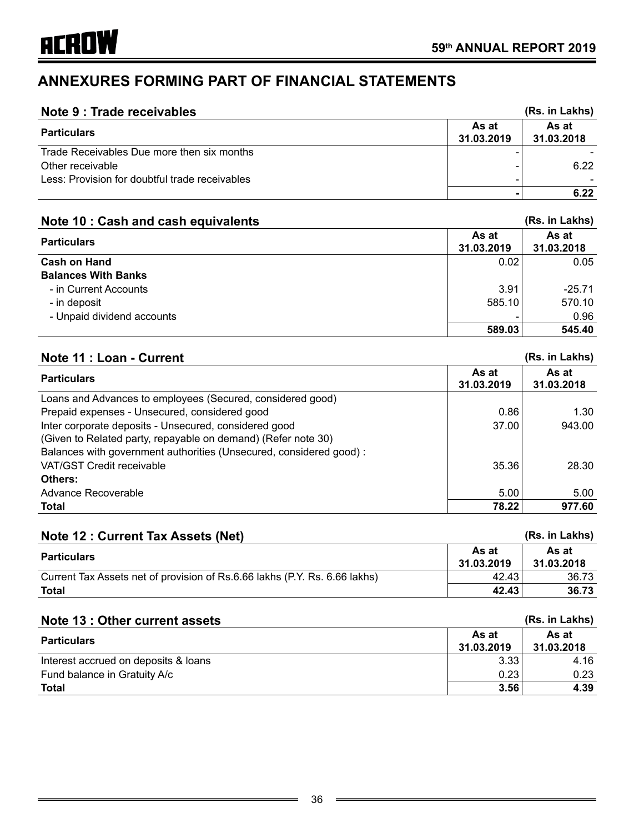| Note 9 : Trade receivables                                                                                       |                     | (Rs. in Lakhs)      |
|------------------------------------------------------------------------------------------------------------------|---------------------|---------------------|
| <b>Particulars</b>                                                                                               | As at<br>31.03.2019 | As at<br>31.03.2018 |
| Trade Receivables Due more then six months<br>Other receivable<br>Less: Provision for doubtful trade receivables |                     | 6.22                |
|                                                                                                                  |                     | 6.22                |

| Note 10 : Cash and cash equivalents |                     | (Rs. in Lakhs)      |
|-------------------------------------|---------------------|---------------------|
| <b>Particulars</b>                  | As at<br>31.03.2019 | As at<br>31.03.2018 |
| <b>Cash on Hand</b>                 | 0.02                | 0.05                |
| <b>Balances With Banks</b>          |                     |                     |
| - in Current Accounts               | 3.91                | $-25.71$            |
| - in deposit                        | 585.10              | 570.10              |
| - Unpaid dividend accounts          |                     | 0.96                |
|                                     | 589.03              | 545.40              |

| Note 11 : Loan - Current                                            |            | (Rs. in Lakhs) |
|---------------------------------------------------------------------|------------|----------------|
| <b>Particulars</b>                                                  |            | As at          |
|                                                                     | 31.03.2019 | 31.03.2018     |
| Loans and Advances to employees (Secured, considered good)          |            |                |
| Prepaid expenses - Unsecured, considered good                       | 0.86       | 1.30           |
| Inter corporate deposits - Unsecured, considered good               | 37.00      | 943.00         |
| (Given to Related party, repayable on demand) (Refer note 30)       |            |                |
| Balances with government authorities (Unsecured, considered good) : |            |                |
| VAT/GST Credit receivable                                           | 35.36      | 28.30          |
| Others:                                                             |            |                |
| Advance Recoverable                                                 | 5.00       | 5.00           |
| <b>Total</b>                                                        | 78.22      | 977.60         |

| Note 12 : Current Tax Assets (Net)                                         |                     | (Rs. in Lakhs)      |
|----------------------------------------------------------------------------|---------------------|---------------------|
| <b>Particulars</b>                                                         | As at<br>31.03.2019 | As at<br>31.03.2018 |
| Current Tax Assets net of provision of Rs.6.66 lakhs (P.Y. Rs. 6.66 lakhs) | 42.43               | 36.73               |
| Total                                                                      | 42.43               | 36.73               |

| Note 13 : Other current assets       |                     | (Rs. in Lakhs)      |
|--------------------------------------|---------------------|---------------------|
| <b>Particulars</b>                   | As at<br>31.03.2019 | As at<br>31.03.2018 |
| Interest accrued on deposits & loans | 3.33                | 4.16                |
| Fund balance in Gratuity A/c         | 0.23                | 0.23                |
| <b>Total</b>                         | 3.56                | 4.39                |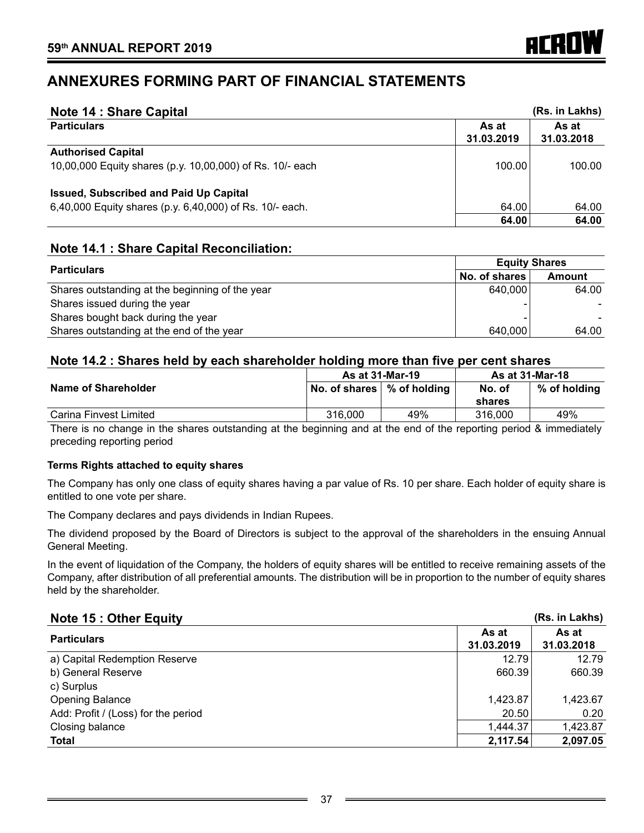| <b>Note 14: Share Capital</b>                             |                     | (Rs. in Lakhs)      |
|-----------------------------------------------------------|---------------------|---------------------|
| <b>Particulars</b>                                        | As at<br>31.03.2019 | As at<br>31.03.2018 |
| <b>Authorised Capital</b>                                 |                     |                     |
| 10,00,000 Equity shares (p.y. 10,00,000) of Rs. 10/- each | 100.00              | 100.00              |
| <b>Issued, Subscribed and Paid Up Capital</b>             |                     |                     |
| 6,40,000 Equity shares (p.y. 6,40,000) of Rs. 10/- each.  | 64.00               | 64.00               |
|                                                           | 64.00               | 64.00               |

#### **Note 14.1 : Share Capital Reconciliation:**

| <b>Particulars</b>                              | <b>Equity Shares</b> |        |
|-------------------------------------------------|----------------------|--------|
|                                                 | No. of shares        | Amount |
| Shares outstanding at the beginning of the year | 640,000              | 64.00  |
| Shares issued during the year                   |                      |        |
| Shares bought back during the year              |                      |        |
| Shares outstanding at the end of the year       | 640,000              | 64.00  |

#### **Note 14.2 : Shares held by each shareholder holding more than five per cent shares**

|                        | As at 31-Mar-19              |     |                  |              | As at 31-Mar-18 |  |
|------------------------|------------------------------|-----|------------------|--------------|-----------------|--|
| Name of Shareholder    | No. of shares   % of holding |     | No. of<br>shares | % of holding |                 |  |
| Carina Finvest Limited | 316,000                      | 49% | 316,000          | 49%          |                 |  |

There is no change in the shares outstanding at the beginning and at the end of the reporting period & immediately preceding reporting period

#### **Terms Rights attached to equity shares**

The Company has only one class of equity shares having a par value of Rs. 10 per share. Each holder of equity share is entitled to one vote per share.

The Company declares and pays dividends in Indian Rupees.

The dividend proposed by the Board of Directors is subject to the approval of the shareholders in the ensuing Annual General Meeting.

In the event of liquidation of the Company, the holders of equity shares will be entitled to receive remaining assets of the Company, after distribution of all preferential amounts. The distribution will be in proportion to the number of equity shares held by the shareholder.

| <b>Note 15: Other Equity</b>        |                     | (Rs. in Lakhs)      |
|-------------------------------------|---------------------|---------------------|
| <b>Particulars</b>                  | As at<br>31.03.2019 | As at<br>31.03.2018 |
| a) Capital Redemption Reserve       | 12.79               | 12.79               |
| b) General Reserve                  | 660.39              | 660.39              |
| c) Surplus                          |                     |                     |
| <b>Opening Balance</b>              | 1,423.87            | 1,423.67            |
| Add: Profit / (Loss) for the period | 20.50               | 0.20                |
| Closing balance                     | 1,444.37            | 1,423.87            |
| <b>Total</b>                        | 2,117.54            | 2,097.05            |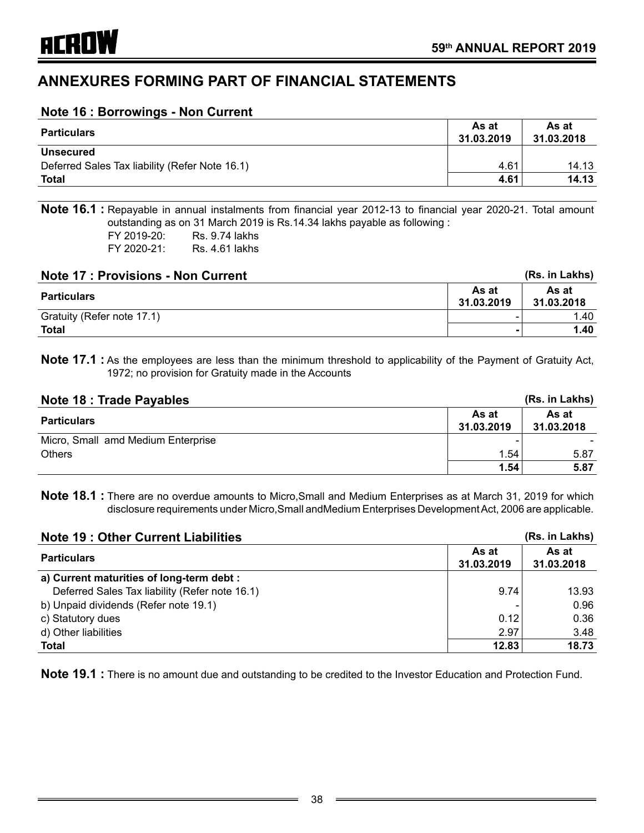#### **Note 16 : Borrowings - Non Current**

| <b>Particulars</b>                             | As at<br>31.03.2019 | As at<br>31.03.2018 |
|------------------------------------------------|---------------------|---------------------|
| <b>Unsecured</b>                               |                     |                     |
| Deferred Sales Tax liability (Refer Note 16.1) | 4.61                | 14.13               |
| <b>Total</b>                                   | 4.61                | 14.13               |

**Note 16.1 :** Repayable in annual instalments from financial year 2012-13 to financial year 2020-21. Total amount outstanding as on 31 March 2019 is Rs.14.34 lakhs payable as following :

FY 2019-20: Rs. 9.74 lakhs Rs. 4.61 lakhs

| <b>Note 17: Provisions - Non Current</b> |                     | (Rs. in Lakhs)      |  |
|------------------------------------------|---------------------|---------------------|--|
| <b>Particulars</b>                       | As at<br>31.03.2019 | As at<br>31.03.2018 |  |
| Gratuity (Refer note 17.1)               |                     | 1.40                |  |
| <b>Total</b>                             |                     | 1.40                |  |

**Note 17.1 :** As the employees are less than the minimum threshold to applicability of the Payment of Gratuity Act, 1972; no provision for Gratuity made in the Accounts

| Note 18 : Trade Payables           |                     | (Rs. in Lakhs)      |
|------------------------------------|---------------------|---------------------|
| <b>Particulars</b>                 | As at<br>31.03.2019 | As at<br>31.03.2018 |
| Micro, Small amd Medium Enterprise |                     |                     |
| <b>Others</b>                      | 1.54                | 5.87                |
|                                    | 1.54                | 5.87                |

**Note 18.1 :** There are no overdue amounts to Micro,Small and Medium Enterprises as at March 31, 2019 for which disclosure requirements under Micro,Small andMedium Enterprises Development Act, 2006 are applicable.

| <b>Note 19: Other Current Liabilities</b>      |                     | (Rs. in Lakhs)      |
|------------------------------------------------|---------------------|---------------------|
| <b>Particulars</b>                             | As at<br>31.03.2019 | As at<br>31.03.2018 |
| a) Current maturities of long-term debt :      |                     |                     |
| Deferred Sales Tax liability (Refer note 16.1) | 9.74                | 13.93               |
| b) Unpaid dividends (Refer note 19.1)          |                     | 0.96                |
| c) Statutory dues                              | 0.12                | 0.36                |
| d) Other liabilities                           | 2.97                | 3.48                |
| <b>Total</b>                                   | 12.83               | 18.73               |

**Note 19.1 :** There is no amount due and outstanding to be credited to the Investor Education and Protection Fund.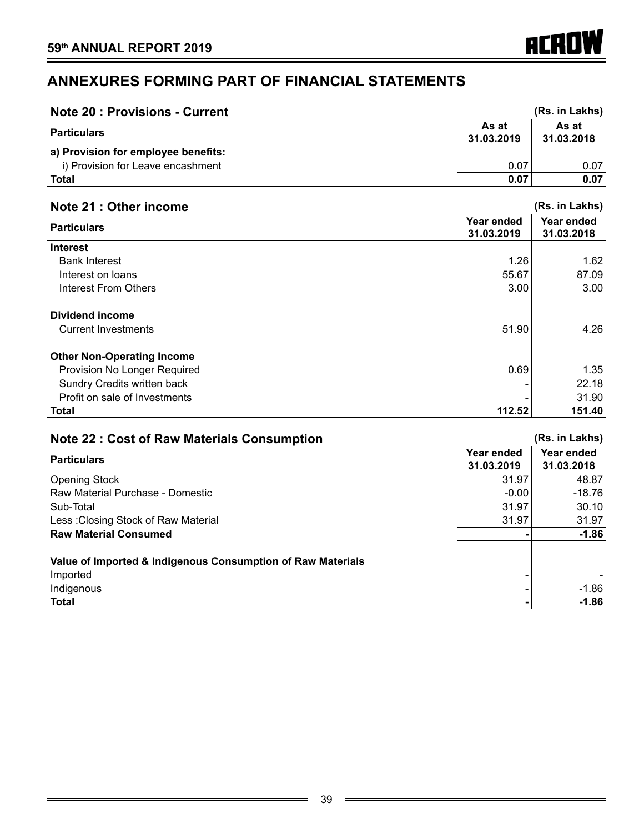| <b>Note 20: Provisions - Current</b> |                     | (Rs. in Lakhs)      |
|--------------------------------------|---------------------|---------------------|
| <b>Particulars</b>                   | As at<br>31.03.2019 | As at<br>31.03.2018 |
| a) Provision for employee benefits:  |                     |                     |
| i) Provision for Leave encashment    | 0.07                | 0.07                |
| <b>Total</b>                         | 0.07                | 0.07                |

#### **Note 21 : Other income (Rs. in Lakhs)**

| <b>Particulars</b>                | Year ended<br>31.03.2019 | Year ended<br>31.03.2018 |
|-----------------------------------|--------------------------|--------------------------|
| <b>Interest</b>                   |                          |                          |
| <b>Bank Interest</b>              | 1.26                     | 1.62                     |
| Interest on loans                 | 55.67                    | 87.09                    |
| Interest From Others              | 3.00                     | 3.00                     |
| <b>Dividend income</b>            |                          |                          |
| <b>Current Investments</b>        | 51.90                    | 4.26                     |
| <b>Other Non-Operating Income</b> |                          |                          |
| Provision No Longer Required      | 0.69                     | 1.35                     |
| Sundry Credits written back       |                          | 22.18                    |
| Profit on sale of Investments     |                          | 31.90                    |
| <b>Total</b>                      | 112.52                   | 151.40                   |

| <b>Note 22: Cost of Raw Materials Consumption</b>           | (Rs. in Lakhs)           |                          |  |
|-------------------------------------------------------------|--------------------------|--------------------------|--|
| <b>Particulars</b>                                          | Year ended<br>31.03.2019 | Year ended<br>31.03.2018 |  |
| <b>Opening Stock</b>                                        | 31.97                    | 48.87                    |  |
| Raw Material Purchase - Domestic                            | $-0.00$                  | $-18.76$                 |  |
| Sub-Total                                                   | 31.97                    | 30.10                    |  |
| Less: Closing Stock of Raw Material                         | 31.97                    | 31.97                    |  |
| <b>Raw Material Consumed</b>                                | ۰                        | $-1.86$                  |  |
| Value of Imported & Indigenous Consumption of Raw Materials |                          |                          |  |
| Imported                                                    | -                        |                          |  |
| Indigenous                                                  |                          | $-1.86$                  |  |
| <b>Total</b>                                                | $\blacksquare$           | $-1.86$                  |  |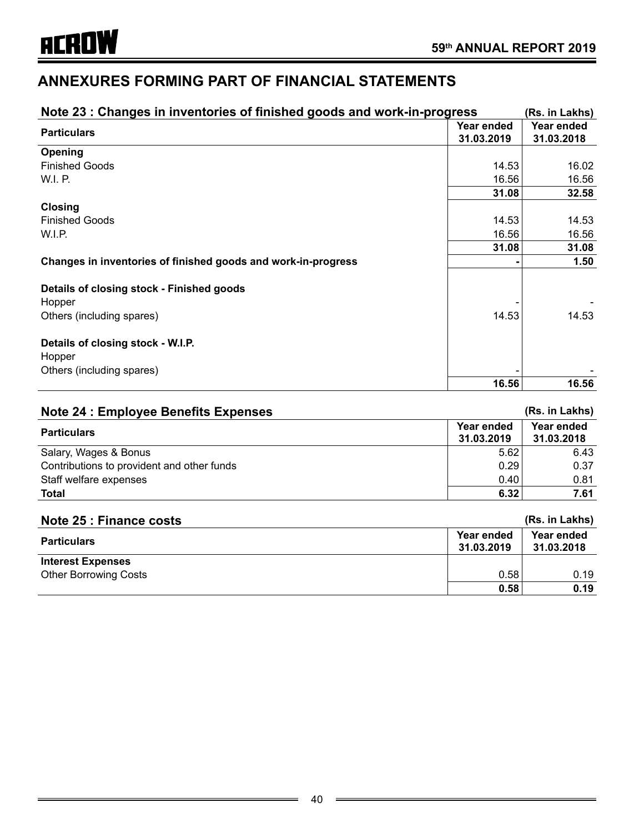

| Note 23 : Changes in inventories of finished goods and work-in-progress |                          | (Rs. in Lakhs)           |
|-------------------------------------------------------------------------|--------------------------|--------------------------|
| <b>Particulars</b>                                                      | Year ended<br>31.03.2019 | Year ended<br>31.03.2018 |
| Opening                                                                 |                          |                          |
| <b>Finished Goods</b>                                                   | 14.53                    | 16.02                    |
| W.I. P.                                                                 | 16.56                    | 16.56                    |
|                                                                         | 31.08                    | 32.58                    |
| <b>Closing</b>                                                          |                          |                          |
| <b>Finished Goods</b>                                                   | 14.53                    | 14.53                    |
| <b>W.I.P.</b>                                                           | 16.56                    | 16.56                    |
|                                                                         | 31.08                    | 31.08                    |
| Changes in inventories of finished goods and work-in-progress           |                          | 1.50                     |
| Details of closing stock - Finished goods<br>Hopper                     |                          |                          |
| Others (including spares)                                               | 14.53                    | 14.53                    |
| Details of closing stock - W.I.P.                                       |                          |                          |
| Hopper                                                                  |                          |                          |
| Others (including spares)                                               |                          |                          |
|                                                                         | 16.56                    | 16.56                    |

| <b>Note 24: Employee Benefits Expenses</b> |                          | (Rs. in Lakhs)           |
|--------------------------------------------|--------------------------|--------------------------|
| <b>Particulars</b>                         | Year ended<br>31.03.2019 | Year ended<br>31.03.2018 |
| Salary, Wages & Bonus                      | 5.62                     | 6.43                     |
| Contributions to provident and other funds | 0.29                     | 0.37                     |
| Staff welfare expenses                     | 0.40                     | 0.81                     |
| <b>Total</b>                               | 6.32                     | 7.61                     |

| Note 25 : Finance costs      |            | (Rs. in Lakhs) |
|------------------------------|------------|----------------|
| <b>Year ended</b>            |            | Year ended     |
| <b>Particulars</b>           | 31.03.2019 | 31.03.2018     |
| <b>Interest Expenses</b>     |            |                |
| <b>Other Borrowing Costs</b> | 0.58       | 0.19           |
|                              | 0.58       | 0.19           |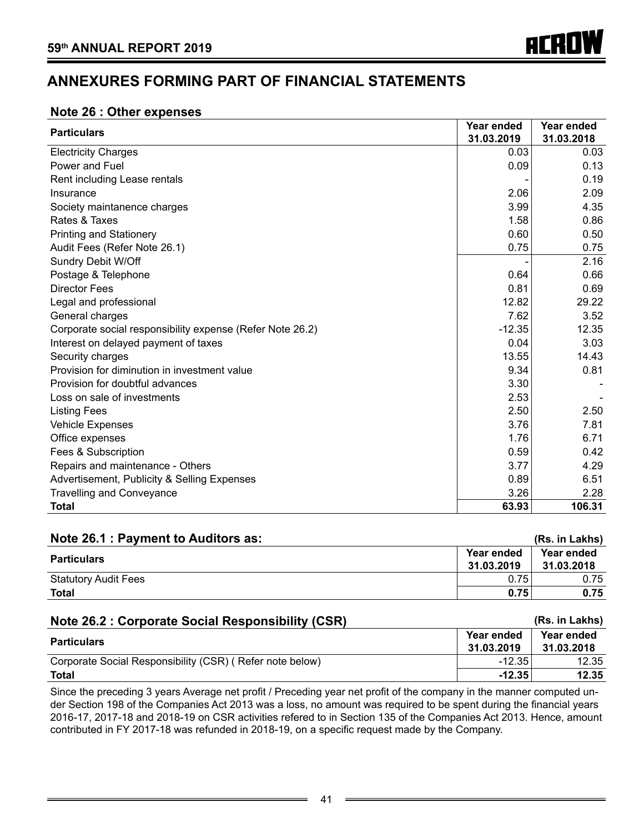ACROW

#### **Note 26 : Other expenses**

| <b>Particulars</b>                                        | Year ended<br>31.03.2019 | Year ended<br>31.03.2018 |
|-----------------------------------------------------------|--------------------------|--------------------------|
| <b>Electricity Charges</b>                                | 0.03                     | 0.03                     |
| Power and Fuel                                            | 0.09                     | 0.13                     |
| Rent including Lease rentals                              |                          | 0.19                     |
| Insurance                                                 | 2.06                     | 2.09                     |
| Society maintanence charges                               | 3.99                     | 4.35                     |
| Rates & Taxes                                             | 1.58                     | 0.86                     |
| <b>Printing and Stationery</b>                            | 0.60                     | 0.50                     |
| Audit Fees (Refer Note 26.1)                              | 0.75                     | 0.75                     |
| Sundry Debit W/Off                                        |                          | 2.16                     |
| Postage & Telephone                                       | 0.64                     | 0.66                     |
| <b>Director Fees</b>                                      | 0.81                     | 0.69                     |
| Legal and professional                                    | 12.82                    | 29.22                    |
| General charges                                           | 7.62                     | 3.52                     |
| Corporate social responsibility expense (Refer Note 26.2) | $-12.35$                 | 12.35                    |
| Interest on delayed payment of taxes                      | 0.04                     | 3.03                     |
| Security charges                                          | 13.55                    | 14.43                    |
| Provision for diminution in investment value              | 9.34                     | 0.81                     |
| Provision for doubtful advances                           | 3.30                     |                          |
| Loss on sale of investments                               | 2.53                     |                          |
| <b>Listing Fees</b>                                       | 2.50                     | 2.50                     |
| Vehicle Expenses                                          | 3.76                     | 7.81                     |
| Office expenses                                           | 1.76                     | 6.71                     |
| Fees & Subscription                                       | 0.59                     | 0.42                     |
| Repairs and maintenance - Others                          | 3.77                     | 4.29                     |
| Advertisement, Publicity & Selling Expenses               | 0.89                     | 6.51                     |
| <b>Travelling and Conveyance</b>                          | 3.26                     | 2.28                     |
| <b>Total</b>                                              | 63.93                    | 106.31                   |

| Note 26.1 : Payment to Auditors as: |                          | (Rs. in Lakhs)           |
|-------------------------------------|--------------------------|--------------------------|
| <b>Particulars</b>                  | Year ended<br>31.03.2019 | Year ended<br>31.03.2018 |
| <b>Statutory Audit Fees</b>         | 0.75                     | 0.75                     |
| <b>Total</b>                        | 0.75                     | 0.75                     |

| Note 26.2 : Corporate Social Responsibility (CSR)        |                          | (Rs. in Lakhs)           |
|----------------------------------------------------------|--------------------------|--------------------------|
| <b>Particulars</b>                                       | Year ended<br>31.03.2019 | Year ended<br>31.03.2018 |
| Corporate Social Responsibility (CSR) (Refer note below) | $-12.35$                 | 12.35                    |
| <b>Total</b>                                             | $-12.35$                 | 12.35                    |

Since the preceding 3 years Average net profit / Preceding year net profit of the company in the manner computed under Section 198 of the Companies Act 2013 was a loss, no amount was required to be spent during the financial years 2016-17, 2017-18 and 2018-19 on CSR activities refered to in Section 135 of the Companies Act 2013. Hence, amount contributed in FY 2017-18 was refunded in 2018-19, on a specific request made by the Company.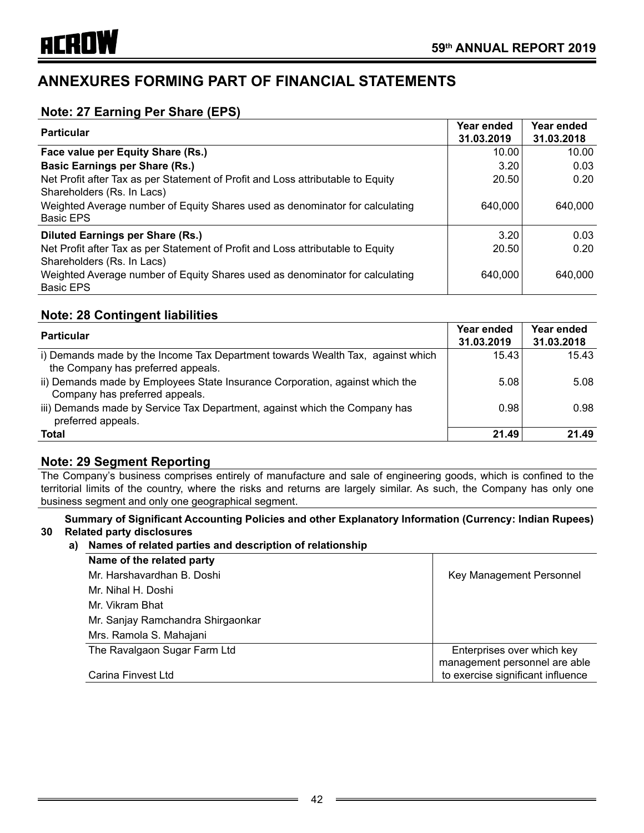#### **Note: 27 Earning Per Share (EPS)**

| <b>Particular</b>                                                                                             | Year ended<br>31.03.2019 | Year ended<br>31.03.2018 |
|---------------------------------------------------------------------------------------------------------------|--------------------------|--------------------------|
| Face value per Equity Share (Rs.)                                                                             | 10.00                    | 10.00                    |
| <b>Basic Earnings per Share (Rs.)</b>                                                                         | 3.20                     | 0.03                     |
| Net Profit after Tax as per Statement of Profit and Loss attributable to Equity<br>Shareholders (Rs. In Lacs) | 20.50                    | 0.20                     |
| Weighted Average number of Equity Shares used as denominator for calculating<br><b>Basic EPS</b>              | 640,000                  | 640,000                  |
| <b>Diluted Earnings per Share (Rs.)</b>                                                                       | 3.20                     | 0.03                     |
| Net Profit after Tax as per Statement of Profit and Loss attributable to Equity<br>Shareholders (Rs. In Lacs) | 20.50                    | 0.20                     |
| Weighted Average number of Equity Shares used as denominator for calculating<br><b>Basic EPS</b>              | 640,000                  | 640,000                  |

#### **Note: 28 Contingent liabilities**

| <b>Particular</b>                                                                                                    | Year ended<br>31.03.2019 | Year ended<br>31.03.2018 |
|----------------------------------------------------------------------------------------------------------------------|--------------------------|--------------------------|
| i) Demands made by the Income Tax Department towards Wealth Tax, against which<br>the Company has preferred appeals. | 15.43                    | 15.43                    |
| ii) Demands made by Employees State Insurance Corporation, against which the<br>Company has preferred appeals.       | 5.08                     | 5.08                     |
| iii) Demands made by Service Tax Department, against which the Company has<br>preferred appeals.                     | 0.98                     | 0.98                     |
| <b>Total</b>                                                                                                         | 21.49                    | 21.49                    |

#### **Note: 29 Segment Reporting**

The Company's business comprises entirely of manufacture and sale of engineering goods, which is confined to the territorial limits of the country, where the risks and returns are largely similar. As such, the Company has only one business segment and only one geographical segment.

#### **30 Related party disclosures Summary of Significant Accounting Policies and other Explanatory Information (Currency: Indian Rupees)**

**a) Names of related parties and description of relationship**

| Name of the related party         |                                   |
|-----------------------------------|-----------------------------------|
| Mr. Harshavardhan B. Doshi        | Key Management Personnel          |
| Mr. Nihal H. Doshi                |                                   |
| Mr. Vikram Bhat                   |                                   |
| Mr. Sanjay Ramchandra Shirgaonkar |                                   |
| Mrs. Ramola S. Mahajani           |                                   |
| The Ravalgaon Sugar Farm Ltd      | Enterprises over which key        |
|                                   | management personnel are able     |
| Carina Finvest Ltd                | to exercise significant influence |
|                                   |                                   |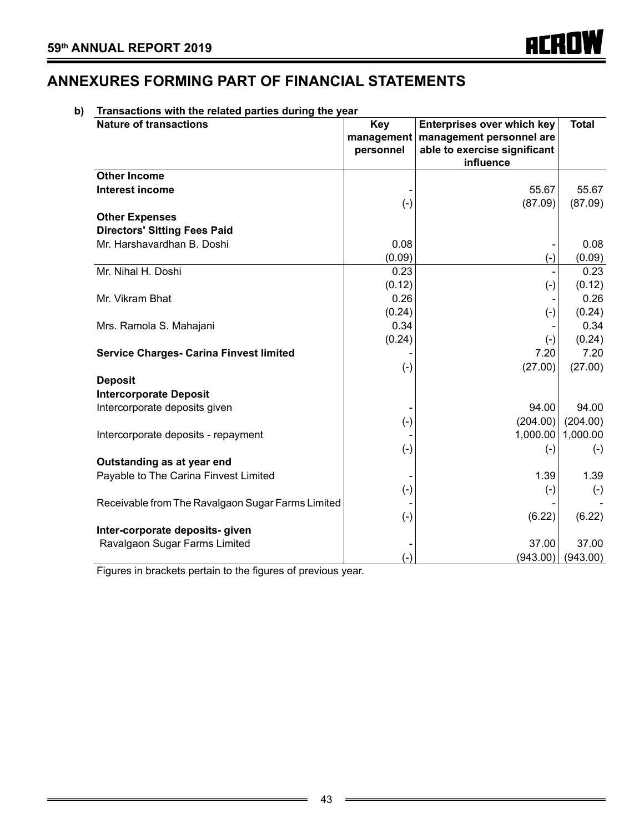| b) | Transactions with the related parties during the year |  |  |  |  |  |  |
|----|-------------------------------------------------------|--|--|--|--|--|--|
|----|-------------------------------------------------------|--|--|--|--|--|--|

| <b>Nature of transactions</b>                     | <b>Key</b><br>management<br>personnel | <b>Enterprises over which key</b><br>management personnel are<br>able to exercise significant<br>influence | <b>Total</b> |
|---------------------------------------------------|---------------------------------------|------------------------------------------------------------------------------------------------------------|--------------|
| <b>Other Income</b>                               |                                       |                                                                                                            |              |
| <b>Interest income</b>                            |                                       | 55.67                                                                                                      | 55.67        |
|                                                   | $(-)$                                 | (87.09)                                                                                                    | (87.09)      |
| <b>Other Expenses</b>                             |                                       |                                                                                                            |              |
| <b>Directors' Sitting Fees Paid</b>               |                                       |                                                                                                            |              |
| Mr. Harshavardhan B. Doshi                        | 0.08                                  |                                                                                                            | 0.08         |
|                                                   | (0.09)                                | $(\textnormal{-})$                                                                                         | (0.09)       |
| Mr. Nihal H. Doshi                                | 0.23                                  |                                                                                                            | 0.23         |
|                                                   | (0.12)                                | $(-)$                                                                                                      | (0.12)       |
| Mr. Vikram Bhat                                   | 0.26                                  |                                                                                                            | 0.26         |
|                                                   | (0.24)                                | $(\textnormal{-})$                                                                                         | (0.24)       |
| Mrs. Ramola S. Mahajani                           | 0.34                                  |                                                                                                            | 0.34         |
|                                                   | (0.24)                                | $(-)$                                                                                                      | (0.24)       |
| <b>Service Charges- Carina Finvest limited</b>    |                                       | 7.20                                                                                                       | 7.20         |
|                                                   | $(-)$                                 | (27.00)                                                                                                    | (27.00)      |
| <b>Deposit</b>                                    |                                       |                                                                                                            |              |
| <b>Intercorporate Deposit</b>                     |                                       |                                                                                                            |              |
| Intercorporate deposits given                     |                                       | 94.00                                                                                                      | 94.00        |
|                                                   | $(\text{-})$                          | (204.00)                                                                                                   | (204.00)     |
| Intercorporate deposits - repayment               |                                       | 1,000.00                                                                                                   | 1,000.00     |
|                                                   | $(-)$                                 | $(\cdot)$                                                                                                  | $(-)$        |
| Outstanding as at year end                        |                                       |                                                                                                            |              |
| Payable to The Carina Finvest Limited             |                                       | 1.39                                                                                                       | 1.39         |
|                                                   | $(\text{-})$                          | $(\textnormal{-})$                                                                                         | $(\text{-})$ |
| Receivable from The Ravalgaon Sugar Farms Limited |                                       |                                                                                                            |              |
|                                                   | $(-)$                                 | (6.22)                                                                                                     | (6.22)       |
| Inter-corporate deposits- given                   |                                       |                                                                                                            |              |
| Ravalgaon Sugar Farms Limited                     |                                       | 37.00                                                                                                      | 37.00        |
|                                                   | $(-)$                                 | (943.00)                                                                                                   | (943.00)     |

Figures in brackets pertain to the figures of previous year.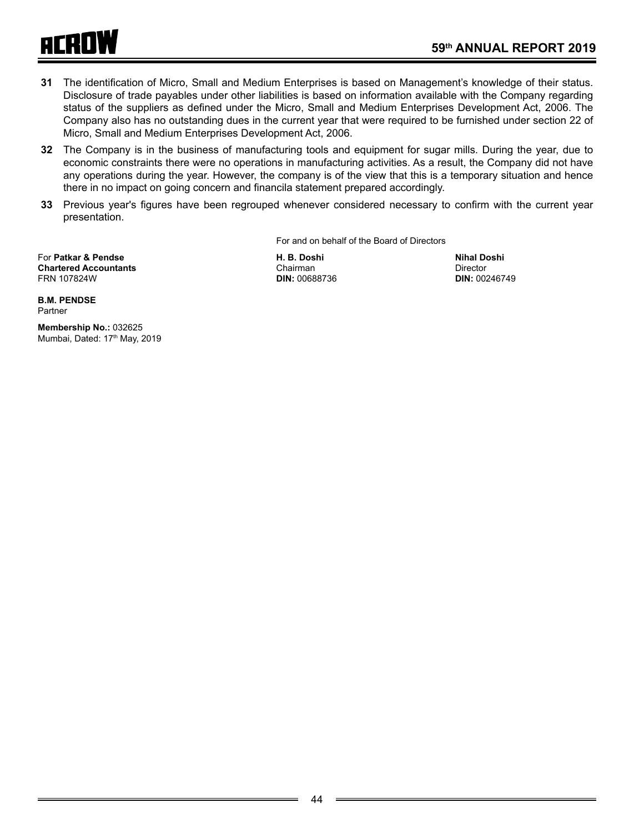

- **31** The identification of Micro, Small and Medium Enterprises is based on Management's knowledge of their status. Disclosure of trade payables under other liabilities is based on information available with the Company regarding status of the suppliers as defined under the Micro, Small and Medium Enterprises Development Act, 2006. The Company also has no outstanding dues in the current year that were required to be furnished under section 22 of Micro, Small and Medium Enterprises Development Act, 2006.
- **32** The Company is in the business of manufacturing tools and equipment for sugar mills. During the year, due to economic constraints there were no operations in manufacturing activities. As a result, the Company did not have any operations during the year. However, the company is of the view that this is a temporary situation and hence there in no impact on going concern and financila statement prepared accordingly.
- **33** Previous year's figures have been regrouped whenever considered necessary to confirm with the current year presentation.

For and on behalf of the Board of Directors

For **Patkar & Pendse H. B. Doshi Nihal Doshi Chartered Accountants**<br> **Chairman Chairman Director**<br> **DIN:** 00688736 **DIN:** 00746749 **DIN:** 00246749 FRN 107824W **DIN:** 00688736 **DIN:** 00246749

**B.M. PENDSE**  Partner

**Membership No.:** 032625 Mumbai, Dated: 17<sup>th</sup> May, 2019